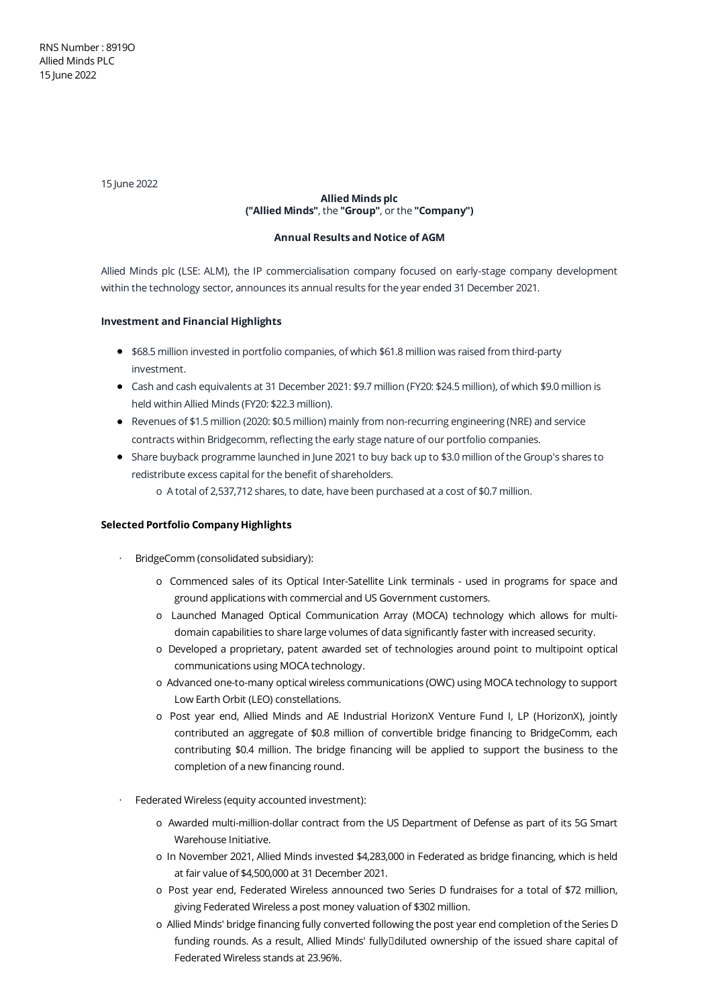15 June 2022

# **Allied Minds plc ("Allied Minds"**, the **"Group"**, or the **"Company")**

# **Annual Results and Notice of AGM**

Allied Minds plc (LSE: ALM), the IP commercialisation company focused on early-stage company development within the technology sector, announces its annual results for the year ended 31 December 2021.

# **Investment and Financial Highlights**

- \$68.5 million invested in portfolio companies, of which \$61.8 million was raised from third-party investment.
- Cash and cash equivalents at 31 December 2021: \$9.7 million (FY20: \$24.5 million), of which \$9.0 million is held within Allied Minds (FY20: \$22.3 million).
- Revenues of \$1.5 million (2020: \$0.5 million) mainly from non-recurring engineering (NRE) and service contracts within Bridgecomm, reflecting the early stage nature of our portfolio companies.
- Share buyback programme launched in June 2021 to buy back up to \$3.0 million of the Group's shares to redistribute excess capital for the benefit of shareholders.
	- o A total of 2,537,712 shares, to date, have been purchased at a cost of \$0.7 million.

# **Selected Portfolio Company Highlights**

- · BridgeComm (consolidated subsidiary):
	- o Commenced sales of its Optical Inter-Satellite Link terminals used in programs for space and ground applications with commercial and US Government customers.
	- o Launched Managed Optical Communication Array (MOCA) technology which allows for multidomain capabilities to share large volumes of data significantly faster with increased security.
	- o Developed a proprietary, patent awarded set of technologies around point to multipoint optical communications using MOCA technology.
	- o Advanced one-to-many optical wireless communications (OWC) using MOCA technology to support Low Earth Orbit (LEO) constellations.
	- o Post year end, Allied Minds and AE Industrial HorizonX Venture Fund I, LP (HorizonX), jointly contributed an aggregate of \$0.8 million of convertible bridge financing to BridgeComm, each contributing \$0.4 million. The bridge financing will be applied to support the business to the completion of a new financing round.
- Federated Wireless (equity accounted investment):
	- o Awarded multi-million-dollar contract from the US Department of Defense as part of its 5G Smart Warehouse Initiative.
	- o In November 2021, Allied Minds invested \$4,283,000 in Federated as bridge financing, which is held at fair value of \$4,500,000 at 31 December 2021.
	- o Post year end, Federated Wireless announced two Series D fundraises for a total of \$72 million, giving Federated Wireless a post money valuation of \$302 million.
	- o Allied Minds' bridge financing fully converted following the post year end completion of the Series D funding rounds. As a result, Allied Minds' fully□diluted ownership of the issued share capital of Federated Wireless stands at 23.96%.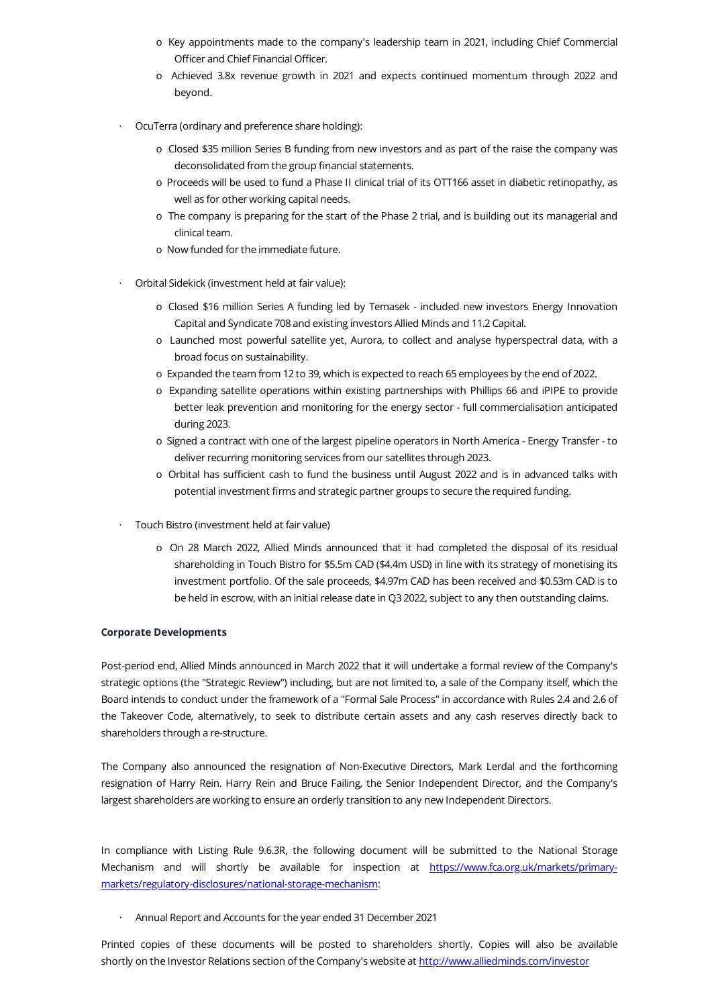- o Key appointments made to the company's leadership team in 2021, including Chief Commercial Officer and Chief Financial Officer.
- o Achieved 3.8x revenue growth in 2021 and expects continued momentum through 2022 and beyond.
- · OcuTerra (ordinary and preference share holding):
	- o Closed \$35 million Series B funding from new investors and as part of the raise the company was deconsolidated from the group financial statements.
	- o Proceeds will be used to fund a Phase II clinical trial of its OTT166 asset in diabetic retinopathy, as well as for other working capital needs.
	- o The company is preparing for the start of the Phase 2 trial, and is building out its managerial and clinical team.
	- o Now funded for the immediate future.
- · Orbital Sidekick (investment held at fair value):
	- o Closed \$16 million Series A funding led by Temasek included new investors Energy Innovation Capital and Syndicate 708 and existing investors Allied Minds and 11.2 Capital.
	- o Launched most powerful satellite yet, Aurora, to collect and analyse hyperspectral data, with a broad focus on sustainability.
	- o Expanded the team from 12 to 39, which is expected to reach 65 employees by the end of 2022.
	- o Expanding satellite operations within existing partnerships with Phillips 66 and iPIPE to provide better leak prevention and monitoring for the energy sector - full commercialisation anticipated during 2023.
	- o Signed a contract with one of the largest pipeline operators in North America Energy Transfer to deliver recurring monitoring services from our satellites through 2023.
	- o Orbital has sufficient cash to fund the business until August 2022 and is in advanced talks with potential investment firms and strategic partner groups to secure the required funding.
- · Touch Bistro (investment held at fair value)
	- o On 28 March 2022, Allied Minds announced that it had completed the disposal of its residual shareholding in Touch Bistro for \$5.5m CAD (\$4.4m USD) in line with its strategy of monetising its investment portfolio. Of the sale proceeds, \$4.97m CAD has been received and \$0.53m CAD is to be held in escrow, with an initial release date in Q3 2022, subject to any then outstanding claims.

# **Corporate Developments**

Post-period end, Allied Minds announced in March 2022 that it will undertake a formal review of the Company's strategic options (the "Strategic Review") including, but are not limited to, a sale of the Company itself, which the Board intends to conduct under the framework of a "Formal Sale Process" in accordance with Rules 2.4 and 2.6 of the Takeover Code, alternatively, to seek to distribute certain assets and any cash reserves directly back to shareholders through a re-structure.

The Company also announced the resignation of Non-Executive Directors, Mark Lerdal and the forthcoming resignation of Harry Rein. Harry Rein and Bruce Failing, the Senior Independent Director, and the Company's largest shareholders are working to ensure an orderly transition to any new Independent Directors.

In compliance with Listing Rule 9.6.3R, the following document will be submitted to the National Storage Mechanism and will shortly be available for inspection at https://www.fca.org.uk/markets/primary[markets/regulatory-disclosures/national-storage-mechanism:](https://www.fca.org.uk/markets/primary-markets/regulatory-disclosures/national-storage-mechanism)

· Annual Report and Accounts for the year ended 31 December 2021

Printed copies of these documents will be posted to shareholders shortly. Copies will also be available shortly on the Investor Relations section of the Company's website at [http://www.alliedminds.com/investor](http://www.alliedminds.com/investor/)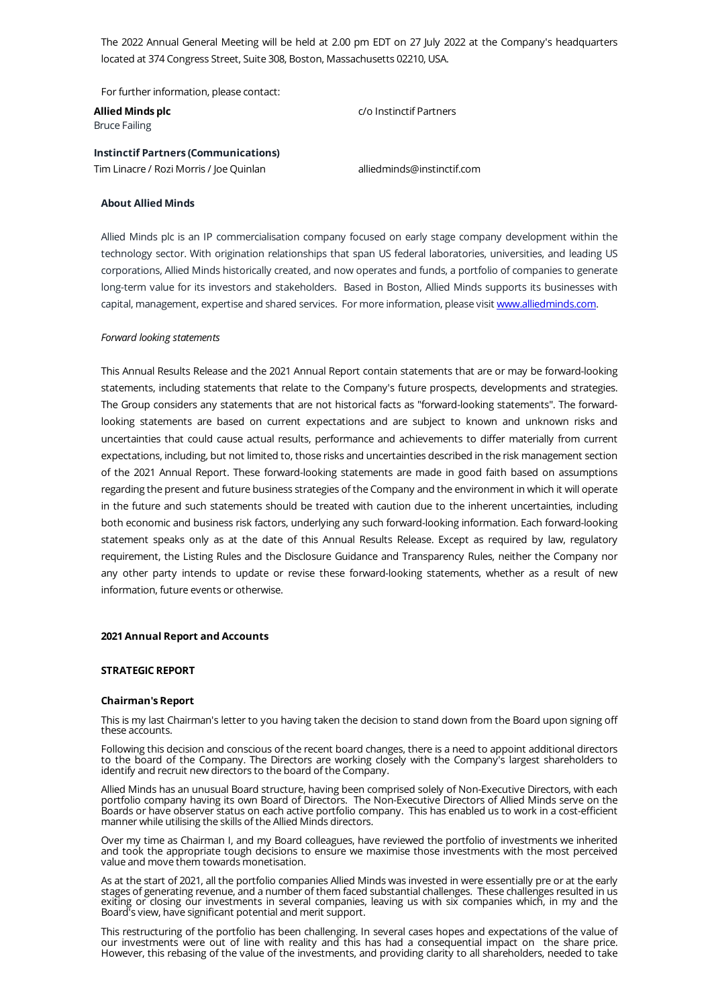The 2022 Annual General Meeting will be held at 2.00 pm EDT on 27 July 2022 at the Company's headquarters located at 374 Congress Street, Suite 308, Boston, Massachusetts 02210, USA.

For further information, please contact:

**Allied Minds plc** Bruce Failing

c/o Instinctif Partners

**Instinctif Partners (Communications)**

Tim Linacre / Rozi Morris / Joe Quinlan alliedminds@instinctif.com

# **About Allied Minds**

Allied Minds plc is an IP commercialisation company focused on early stage company development within the technology sector. With origination relationships that span US federal laboratories, universities, and leading US corporations, Allied Minds historically created, and now operates and funds, a portfolio of companies to generate long-term value for its investors and stakeholders. Based in Boston, Allied Minds supports its businesses with capital, management, expertise and shared services. For more information, please visit [www.alliedminds.com](http://www.alliedminds.com/).

# *Forward looking statements*

This Annual Results Release and the 2021 Annual Report contain statements that are or may be forward-looking statements, including statements that relate to the Company's future prospects, developments and strategies. The Group considers any statements that are not historical facts as "forward-looking statements". The forwardlooking statements are based on current expectations and are subject to known and unknown risks and uncertainties that could cause actual results, performance and achievements to differ materially from current expectations, including, but not limited to, those risks and uncertainties described in the risk management section of the 2021 Annual Report. These forward-looking statements are made in good faith based on assumptions regarding the present and future business strategies of the Company and the environment in which it will operate in the future and such statements should be treated with caution due to the inherent uncertainties, including both economic and business risk factors, underlying any such forward-looking information. Each forward-looking statement speaks only as at the date of this Annual Results Release. Except as required by law, regulatory requirement, the Listing Rules and the Disclosure Guidance and Transparency Rules, neither the Company nor any other party intends to update or revise these forward-looking statements, whether as a result of new information, future events or otherwise.

# **2021 Annual Report and Accounts**

# **STRATEGIC REPORT**

# **Chairman's Report**

This is my last Chairman's letter to you having taken the decision to stand down from the Board upon signing off these accounts.

Following this decision and conscious of the recent board changes, there is a need to appoint additional directors to the board of the Company. The Directors are working closely with the Company's largest shareholders to identify and recruit new directors to the board of the Company.

Allied Minds has an unusual Board structure, having been comprised solely of Non-Executive Directors, with each portfolio company having its own Board of Directors. The Non-Executive Directors of Allied Minds serve on the Boards or have observer status on each active portfolio company. This has enabled us to work in a cost-efficient manner while utilising the skills of the Allied Minds directors.

Over my time as Chairman I, and my Board colleagues, have reviewed the portfolio of investments we inherited and took the appropriate tough decisions to ensure we maximise those investments with the most perceived value and move them towards monetisation.

As at the start of 2021, all the portfolio companies Allied Minds was invested in were essentially pre or at the early stages of generating revenue, and a number of them faced substantial challenges. These challenges resulted in us exiting or closing our investments in several companies, leaving us with six companies which, in my and the Board's view, have significant potential and merit support.

This restructuring of the portfolio has been challenging. In several cases hopes and expectations of the value of our investments were out of line with reality and this has had a consequential impact on the share price. However, this rebasing of the value of the investments, and providing clarity to all shareholders, needed to take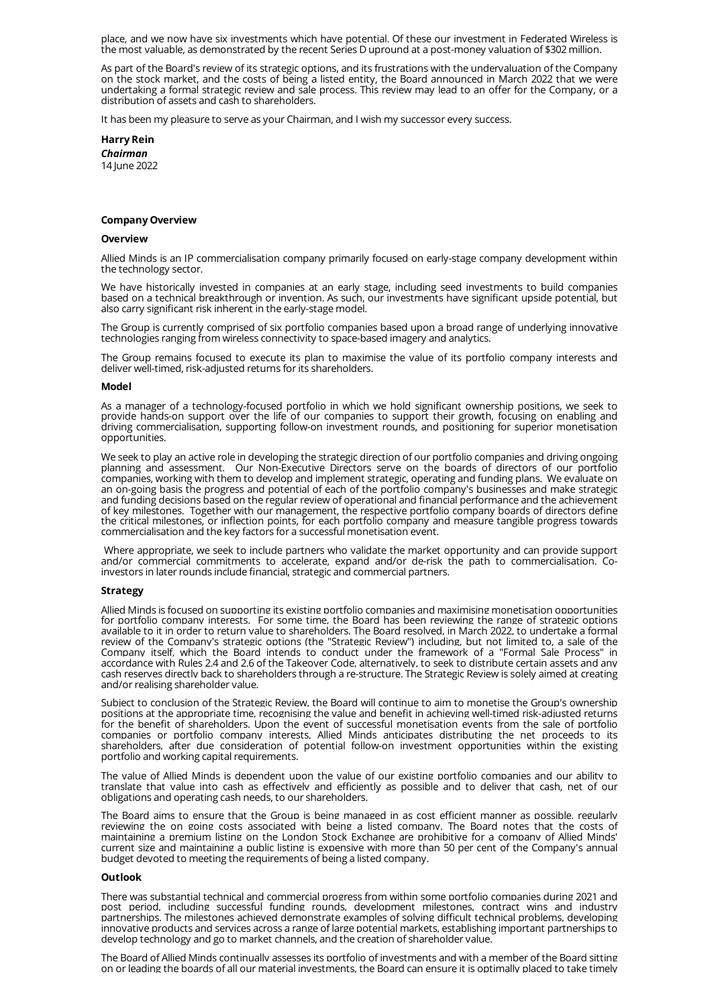place, and we now have six investments which have potential. Of these our investment in Federated Wireless is the most valuable, as demonstrated by the recent Series D upround at a post-money valuation of \$302 million.

As part of the Board's review of its strategic options, and its frustrations with the undervaluation of the Company on the stock market, and the costs of being a listed entity, the Board announced in March 2022 that we were undertaking a formal strategic review and sale process. This review may lead to an offer for the Company, or a distribution of assets and cash to shareholders.

It has been my pleasure to serve as your Chairman, and I wish my successor every success.

**Harry Rein** *Chairman* 14 June 2022

#### **Company Overview**

#### **Overview**

Allied Minds is an IP commercialisation company primarily focused on early-stage company development within the technology sector.

We have historically invested in companies at an early stage, including seed investments to build companies based on a technical breakthrough or invention. As such, our investments have significant upside potential, but also carry significant risk inherent in the early-stage model.

The Group is currently comprised of six portfolio companies based upon a broad range of underlying innovative technologies ranging from wireless connectivity to space-based imagery and analytics.

The Group remains focused to execute its plan to maximise the value of its portfolio company interests and deliver well-timed, risk-adjusted returns for its shareholders.

### **Model**

As a manager of a technology-focused portfolio in which we hold significant ownership positions, we seek to provide hands-on support over the life of our companies to support their growth, focusing on enabling and driving commercialisation, supporting follow-on investment rounds, and positioning for superior monetisation opportunities.

We seek to play an active role in developing the strategic direction of our portfolio companies and driving ongoing planning and assessment. Our Non-Executive Directors serve on the boards of directors of our portfolio companies, working with them to develop and implement strategic, operating and funding plans. We evaluate on an on-going basis the progress and potential of each of the portfolio company's businesses and make strategic and funding decisions based on the regular review of operational and financial performance and the achievement of key milestones. Together with our management, the respective portfolio company boards of directors define the critical milestones, or inflection points, for each portfolio company and measure tangible progress towards commercialisation and the key factors for a successful monetisation event.

Where appropriate, we seek to include partners who validate the market opportunity and can provide support and/or commercial commitments to accelerate, expand and/or de-risk the path to commercialisation. Coinvestors in later rounds include financial, strategic and commercial partners.

#### **Strategy**

Allied Minds is focused on supporting its existing portfolio companies and maximising monetisation opportunities for portfolio company interests. For some time, the Board has been reviewing the range of strategic options available to it in order to return value to shareholders. The Board resolved, in March 2022, to undertake a formal review of the Company's strategic options (the "Strategic Review") including, but not limited to, a sale of the Company itself, which the Board intends to conduct under the framework of a "Formal Sale Process" in accordance with Rules 2.4 and 2.6 of the Takeover Code, alternatively, to seek to distribute certain assets and any cash reserves directly back to shareholders through a re-structure. The Strategic Review is solely aimed at creating and/or realising shareholder value.

Subject to conclusion of the Strategic Review, the Board will continue to aim to monetise the Group's ownership positions at the appropriate time, recognising the value and benefit in achieving well-timed risk-adjusted returns for the benefit of shareholders. Upon the event of successful monetisation events from the sale of portfolio companies or portfolio company interests, Allied Minds anticipates distributing the net proceeds to its shareholders, after due consideration of potential follow-on investment opportunities within the existing portfolio and working capital requirements.

The value of Allied Minds is dependent upon the value of our existing portfolio companies and our ability to translate that value into cash as effectively and efficiently as possible and to deliver that cash, net of our obligations and operating cash needs, to our shareholders.

The Board aims to ensure that the Group is being managed in as cost efficient manner as possible, regularly reviewing the on going costs associated with being a listed company. The Board notes that the costs of maintaining a premium listing on the London Stock Exchange are prohibitive for a company of Allied Minds' current size and maintaining a public listing is expensive with more than 50 per cent of the Company's annual budget devoted to meeting the requirements of being a listed company.

#### **Outlook**

There was substantial technical and commercial progress from within some portfolio companies during 2021 and post period, including successful funding rounds, development milestones, contract wins and industry partnerships. The milestones achieved demonstrate examples of solving difficult technical problems, developing innovative products and services across a range of large potential markets, establishing important partnerships to develop technology and go to market channels, and the creation of shareholder value.

The Board of Allied Minds continually assesses its portfolio of investments and with a member of the Board sitting on or leading the boards of all our material investments, the Board can ensure it is optimally placed to take timely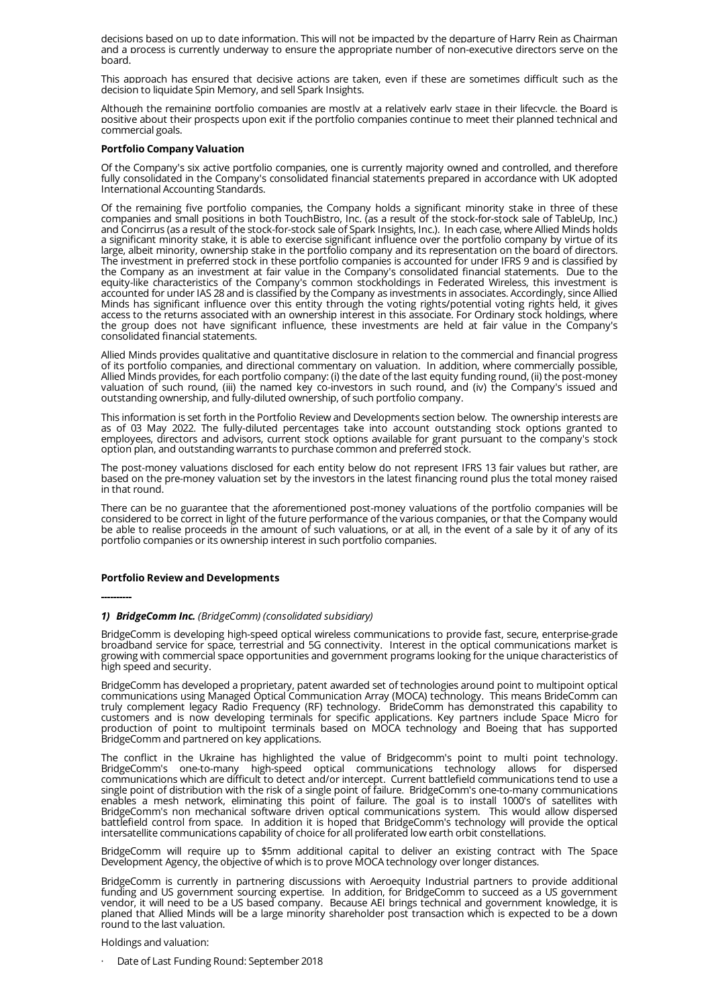decisions based on up to date information. This will not be impacted by the departure of Harry Rein as Chairman and a process is currently underway to ensure the appropriate number of non-executive directors serve on the board.

This approach has ensured that decisive actions are taken, even if these are sometimes difficult such as the decision to liquidate Spin Memory, and sell Spark Insights.

Although the remaining portfolio companies are mostly at a relatively early stage in their lifecycle, the Board is positive about their prospects upon exit if the portfolio companies continue to meet their planned technical and commercial goals.

# **Portfolio Company Valuation**

Of the Company's six active portfolio companies, one is currently majority owned and controlled, and therefore fully consolidated in the Company's consolidated financial statements prepared in accordance with UK adopted International Accounting Standards.

Of the remaining five portfolio companies, the Company holds a significant minority stake in three of these companies and small positions in both TouchBistro, Inc. (as a result of the stock-for-stock sale of TableUp, Inc.) and Concirrus (as a result of the stock-for-stock sale of Spark Insights, Inc.). In each case, where Allied Minds holds a significant minority stake, it is able to exercise significant influence over the portfolio company by virtue of its large, albeit minority, ownership stake in the portfolio company and its representation on the board of directors. The investment in preferred stock in these portfolio companies is accounted for under IFRS 9 and is classified by the Company as an investment at fair value in the Company's consolidated financial statements. Due to the equity-like characteristics of the Company's common stockholdings in Federated Wireless, this investment is accounted for under IAS 28 and is classified by the Company as investments in associates. Accordingly, since Allied Minds has significant influence over this entity through the voting rights/potential voting rights held, it gives access to the returns associated with an ownership interest in this associate. For Ordinary stock holdings, where the group does not have significant influence, these investments are held at fair value in the Company's consolidated financial statements.

Allied Minds provides qualitative and quantitative disclosure in relation to the commercial and financial progress of its portfolio companies, and directional commentary on valuation. In addition, where commercially possible, Allied Minds provides, for each portfolio company: (i) the date of the last equity funding round, (ii) the post-money valuation of such round, (iii) the named key co-investors in such round, and (iv) the Company's issued and outstanding ownership, and fully-diluted ownership, of such portfolio company.

This information is set forth in the Portfolio Review and Developments section below. The ownership interests are as of 03 May 2022. The fully-diluted percentages take into account outstanding stock options granted to employees, directors and advisors, current stock options available for grant pursuant to the company's stock option plan, and outstanding warrants to purchase common and preferred stock.

The post-money valuations disclosed for each entity below do not represent IFRS 13 fair values but rather, are based on the pre-money valuation set by the investors in the latest financing round plus the total money raised in that round.

There can be no guarantee that the aforementioned post-money valuations of the portfolio companies will be considered to be correct in light of the future performance of the various companies, or that the Company would be able to realise proceeds in the amount of such valuations, or at all, in the event of a sale by it of any of its portfolio companies or its ownership interest in such portfolio companies.

# **Portfolio Review and Developments**

# **----------**

# *1) BridgeComm Inc. (BridgeComm) (consolidated subsidiary)*

BridgeComm is developing high-speed optical wireless communications to provide fast, secure, enterprise-grade broadband service for space, terrestrial and 5G connectivity. Interest in the optical communications market is growing with commercial space opportunities and government programs looking for the unique characteristics of high speed and security.

BridgeComm has developed a proprietary, patent awarded set of technologies around point to multipoint optical communications using Managed Optical Communication Array (MOCA) technology. This means BrideComm can truly complement legacy Radio Frequency (RF) technology. BrideComm has demonstrated this capability to customers and is now developing terminals for specific applications. Key partners include Space Micro for production of point to multipoint terminals based on MOCA technology and Boeing that has supported BridgeComm and partnered on key applications.

The conflict in the Ukraine has highlighted the value of Bridgecomm's point to multi point technology. BridgeComm's one-to-many high-speed optical communications technology allows for dispersed communications which are difficult to detect and/or intercept. Current battlefield communications tend to use a single point of distribution with the risk of a single point of failure. BridgeComm's one-to-many communications enables a mesh network, eliminating this point of failure. The goal is to install 1000's of satellites with BridgeComm's non mechanical software driven optical communications system. This would allow dispersed battlefield control from space. In addition it is hoped that BridgeComm's technology will provide the optical intersatellite communications capability of choice for all proliferated low earth orbit constellations.

BridgeComm will require up to \$5mm additional capital to deliver an existing contract with The Space Development Agency, the objective of which is to prove MOCA technology over longer distances.

BridgeComm is currently in partnering discussions with Aeroequity Industrial partners to provide additional funding and US government sourcing expertise. In addition, for BridgeComm to succeed as a US government vendor, it will need to be a US based company. Because AEI brings technical and government knowledge, it is planed that Allied Minds will be a large minority shareholder post transaction which is expected to be a down round to the last valuation.

# Holdings and valuation:

· Date of Last Funding Round: September 2018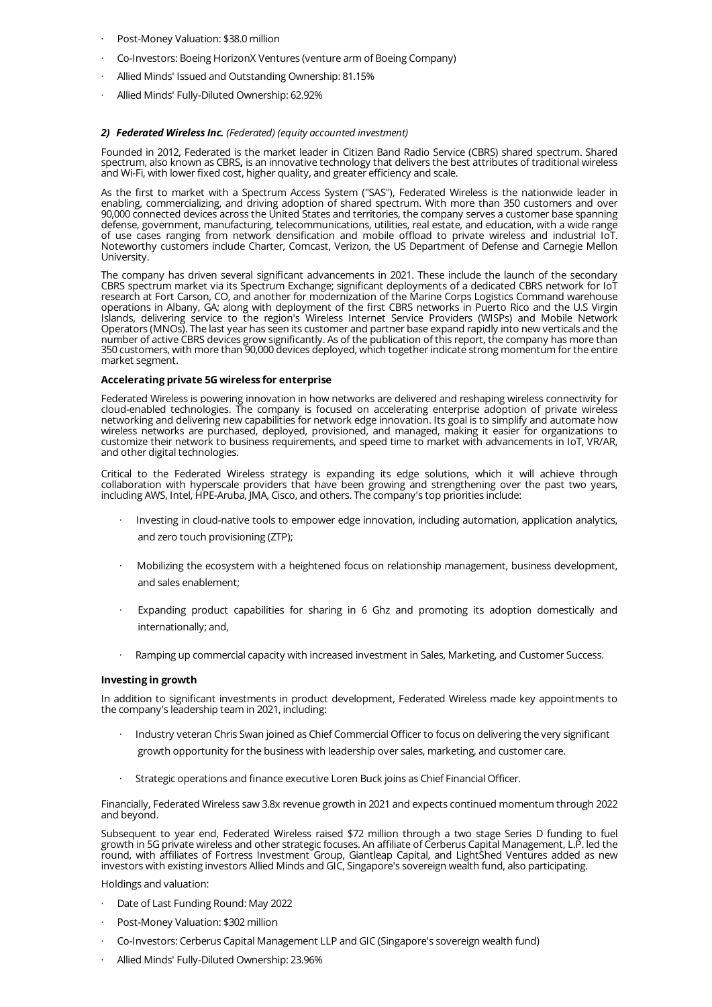- Post-Money Valuation: \$38.0 million
- · Co-Investors: Boeing HorizonX Ventures (venture arm of Boeing Company)
- Allied Minds' Issued and Outstanding Ownership: 81.15%
- · Allied Minds' Fully-Diluted Ownership: 62.92%

# *2) Federated Wireless Inc. (Federated) (equity accounted investment)*

Founded in 2012, Federated is the market leader in Citizen Band Radio Service (CBRS) shared spectrum. Shared spectrum, also known as CBRS**,** is an innovative technology that delivers the best attributes of traditional wireless and Wi-Fi, with lower fixed cost, higher quality, and greater efficiency and scale.

As the first to market with a Spectrum Access System ("SAS"), Federated Wireless is the nationwide leader in enabling, commercializing, and driving adoption of shared spectrum. With more than 350 customers and over 90,000 connected devices across the United States and territories, the company serves a customer base spanning defense, government, manufacturing, telecommunications, utilities, real estate, and education, with a wide range of use cases ranging from network densification and mobile offload to private wireless and industrial IoT. Noteworthy customers include Charter, Comcast, Verizon, the US Department of Defense and Carnegie Mellon University.

The company has driven several significant advancements in 2021. These include the launch of the secondary CBRS spectrum market via its Spectrum Exchange; significant deployments of a dedicated CBRS network for IoT research at Fort Carson, CO, and another for modernization of the Marine Corps Logistics Command warehouse operations in Albany, GA; along with deployment of the first CBRS networks in Puerto Rico and the U.S Virgin Islands, delivering service to the region's Wireless Internet Service Providers (WISPs) and Mobile Network Operators (MNOs). The last year has seen its customer and partner base expand rapidly into new verticals and the number of active CBRS devices grow significantly. As of the publication of this report, the company has more than 350 customers, with more than 90,000 devices deployed, which together indicate strong momentum for the entire market segment.

# **Accelerating private 5G wireless for enterprise**

Federated Wireless is powering innovation in how networks are delivered and reshaping wireless connectivity for cloud-enabled technologies. The company is focused on accelerating enterprise adoption of private wireless networking and delivering new capabilities for network edge innovation. Its goal is to simplify and automate how wireless networks are purchased, deployed, provisioned, and managed, making it easier for organizations to customize their network to business requirements, and speed time to market with advancements in IoT, VR/AR, and other digital technologies.

Critical to the Federated Wireless strategy is expanding its edge solutions, which it will achieve through collaboration with hyperscale providers that have been growing and strengthening over the past two years, including AWS, Intel, HPE-Aruba, JMA, Cisco, and others. The company's top priorities include:

- · Investing in cloud-native tools to empower edge innovation, including automation, application analytics, and zero touch provisioning (ZTP);
- · Mobilizing the ecosystem with a heightened focus on relationship management, business development, and sales enablement;
- · Expanding product capabilities for sharing in 6 Ghz and promoting its adoption domestically and internationally; and,
- Ramping up commercial capacity with increased investment in Sales, Marketing, and Customer Success.

# **Investing in growth**

In addition to significant investments in product development, Federated Wireless made key appointments to the company's leadership team in 2021, including:

- · Industry veteran Chris Swan joined as Chief Commercial Officer to focus on delivering the very significant growth opportunity for the business with leadership over sales, marketing, and customer care.
- · Strategic operations and finance executive Loren Buck joins as Chief Financial Officer.

Financially, Federated Wireless saw 3.8x revenue growth in 2021 and expects continued momentum through 2022 and beyond.

Subsequent to year end, Federated Wireless raised \$72 million through a two stage Series D funding to fuel growth in 5G private wireless and other strategic focuses. An affiliate of Cerberus Capital Management, L.P. led the round, with affiliates of Fortress Investment Group, Giantleap Capital, and LightShed Ventures added as new investors with existing investors Allied Minds and GIC, Singapore's sovereign wealth fund, also participating.

Holdings and valuation:

- · Date of Last Funding Round: May 2022
- Post-Money Valuation: \$302 million
- · Co-Investors: Cerberus Capital Management LLP and GIC (Singapore's sovereign wealth fund)
- · Allied Minds' Fully-Diluted Ownership: 23.96%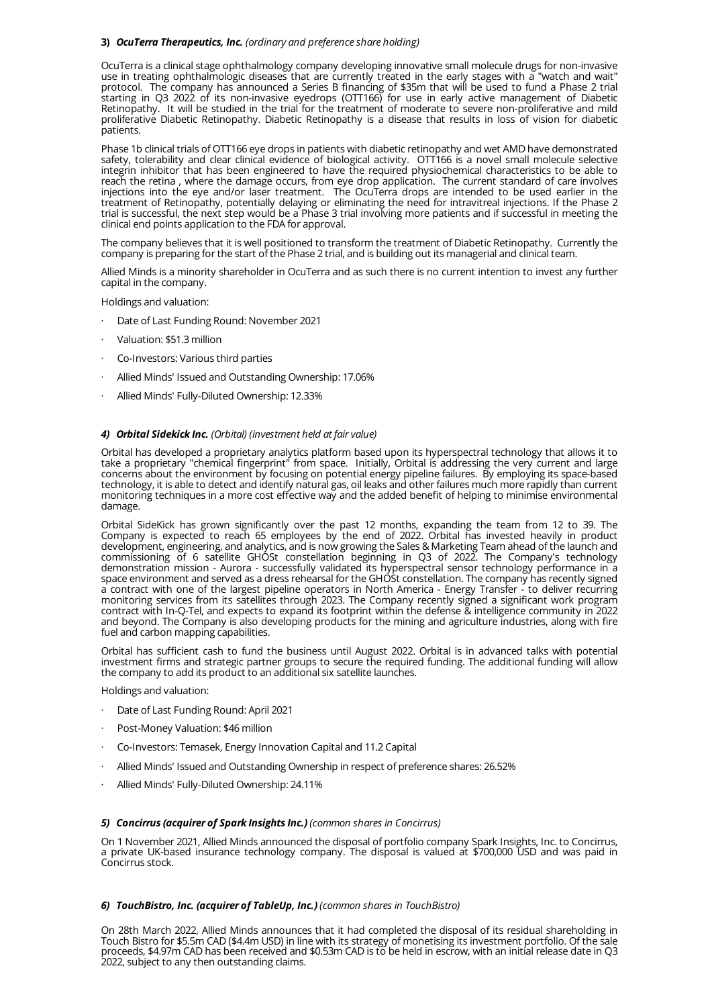# **3)** *OcuTerra Therapeutics, Inc. (ordinary and preference share holding)*

OcuTerra is a clinical stage ophthalmology company developing innovative small molecule drugs for non-invasive use in treating ophthalmologic diseases that are currently treated in the early stages with a "watch and wait" protocol. The company has announced a Series B financing of \$35m that will be used to fund a Phase 2 trial starting in Q3 2022 of its non-invasive eyedrops (OTT166) for use in early active management of Diabetic Retinopathy. It will be studied in the trial for the treatment of moderate to severe non-proliferative and mild proliferative Diabetic Retinopathy. Diabetic Retinopathy is a disease that results in loss of vision for diabetic patients.

Phase 1b clinical trials of OTT166 eye drops in patients with diabetic retinopathy and wet AMD have demonstrated safety, tolerability and clear clinical evidence of biological activity. OTT166 is a novel small molecule selective integrin inhibitor that has been engineered to have the required physiochemical characteristics to be able to reach the retina , where the damage occurs, from eye drop application. The current standard of care involves injections into the eye and/or laser treatment. The OcuTerra drops are intended to be used earlier in the treatment of Retinopathy, potentially delaying or eliminating the need for intravitreal injections. If the Phase 2 trial is successful, the next step would be a Phase 3 trial involving more patients and if successful in meeting the clinical end points application to the FDA for approval.

The company believes that it is well positioned to transform the treatment of Diabetic Retinopathy. Currently the company is preparing for the start of the Phase 2 trial, and is building out its managerial and clinical team.

Allied Minds is a minority shareholder in OcuTerra and as such there is no current intention to invest any further capital in the company.

Holdings and valuation:

- Date of Last Funding Round: November 2021
- · Valuation: \$51.3 million
- Co-Investors: Various third parties
- · Allied Minds' Issued and Outstanding Ownership: 17.06%
- · Allied Minds' Fully-Diluted Ownership: 12.33%

# *4) Orbital Sidekick Inc. (Orbital) (investment held at fair value)*

Orbital has developed a proprietary analytics platform based upon its hyperspectral technology that allows it to take a proprietary "chemical fingerprint" from space. Initially, Orbital is addressing the very current and large concerns about the environment by focusing on potential energy pipeline failures. By employing its space-based technology, it is able to detect and identify natural gas, oil leaks and other failures much more rapidly than current monitoring techniques in a more cost effective way and the added benefit of helping to minimise environmental damage.

Orbital SideKick has grown significantly over the past 12 months, expanding the team from 12 to 39. The Company is expected to reach 65 employees by the end of 2022. Orbital has invested heavily in product development, engineering, and analytics, and is now growing the Sales & Marketing Team ahead of the launch and commissioning of 6 satellite GHOSt constellation beginning in Q3 of 2022. The Company's technology demonstration mission - Aurora - successfully validated its hyperspectral sensor technology performance in a space environment and served as a dress rehearsal for the GHOSt constellation. The company has recently signed a contract with one of the largest pipeline operators in North America - Energy Transfer - to deliver recurring monitoring services from its satellites through 2023. The Company recently signed a significant work program contract with In-Q-Tel, and expects to expand its footprint within the defense & intelligence community in 2022 and beyond. The Company is also developing products for the mining and agriculture industries, along with fire fuel and carbon mapping capabilities.

Orbital has sufficient cash to fund the business until August 2022. Orbital is in advanced talks with potential investment firms and strategic partner groups to secure the required funding. The additional funding will allow the company to add its product to an additional six satellite launches.

Holdings and valuation:

- · Date of Last Funding Round: April 2021
- Post-Money Valuation: \$46 million
- · Co-Investors: Temasek, Energy Innovation Capital and 11.2 Capital
- · Allied Minds' Issued and Outstanding Ownership in respect of preference shares: 26.52%
- · Allied Minds' Fully-Diluted Ownership: 24.11%

# *5) Concirrus (acquirer of Spark Insights Inc.) (common shares in Concirrus)*

On 1 November 2021, Allied Minds announced the disposal of portfolio company Spark Insights, Inc. to Concirrus, a private UK-based insurance technology company. The disposal is valued at \$700,000 USD and was paid in Concirrus stock.

# *6) TouchBistro, Inc. (acquirer of TableUp, Inc.) (common shares in TouchBistro)*

On 28th March 2022, Allied Minds announces that it had completed the disposal of its residual shareholding in Touch Bistro for \$5.5m CAD (\$4.4m USD) in line with its strategy of monetising its investment portfolio. Of the sale proceeds, \$4.97m CAD has been received and \$0.53m CAD is to be held in escrow, with an initial release date in Q3 2022, subject to any then outstanding claims.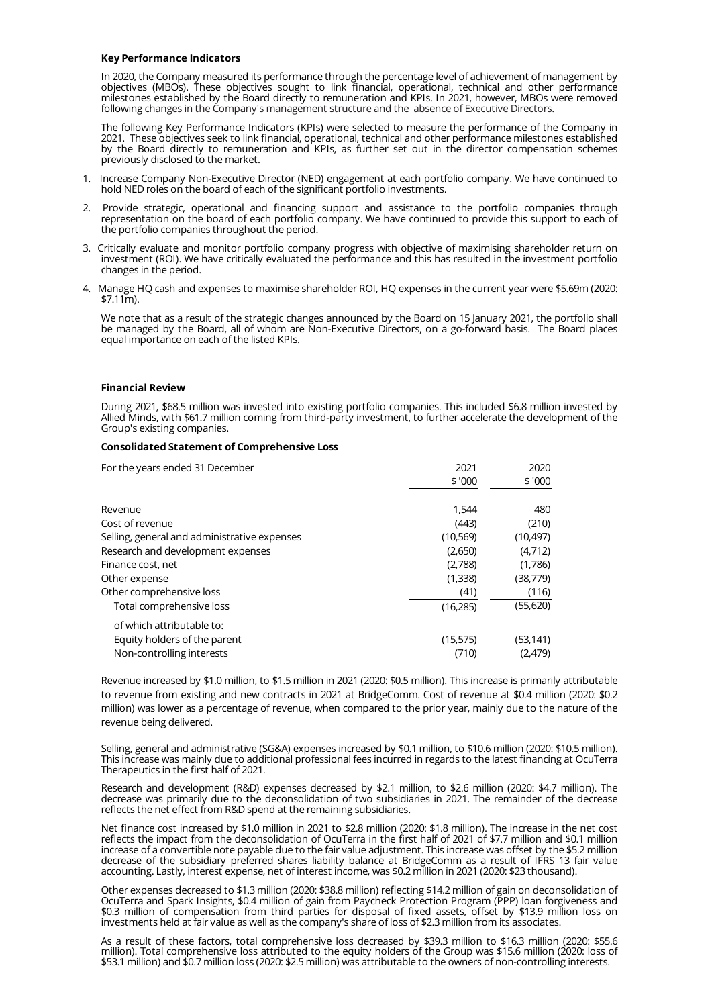# **Key Performance Indicators**

In 2020, the Company measured its performance through the percentage level of achievement of management by objectives (MBOs). These objectives sought to link financial, operational, technical and other performance milestones established by the Board directly to remuneration and KPIs. In 2021, however, MBOs were removed following changes in the Company's management structure and the absence of Executive Directors.

The following Key Performance Indicators (KPIs) were selected to measure the performance of the Company in 2021. These objectives seek to link financial, operational, technical and other performance milestones established by the Board directly to remuneration and KPIs, as further set out in the director compensation schemes previously disclosed to the market.

- 1. Increase Company Non-Executive Director (NED) engagement at each portfolio company. We have continued to hold NED roles on the board of each of the significant portfolio investments.
- 2. Provide strategic, operational and financing support and assistance to the portfolio companies through representation on the board of each portfolio company. We have continued to provide this support to each of the portfolio companies throughout the period.
- 3. Critically evaluate and monitor portfolio company progress with objective of maximising shareholder return on investment (ROI). We have critically evaluated the performance and this has resulted in the investment portfolio changes in the period.
- 4. Manage HQ cash and expenses to maximise shareholder ROI, HQ expenses in the current year were \$5.69m (2020:  $$7.11m$ ).

We note that as a result of the strategic changes announced by the Board on 15 January 2021, the portfolio shall be managed by the Board, all of whom are Non-Executive Directors, on a go-forward basis. The Board places equal importance on each of the listed KPIs.

#### **Financial Review**

During 2021, \$68.5 million was invested into existing portfolio companies. This included \$6.8 million invested by Allied Minds, with \$61.7 million coming from third-party investment, to further accelerate the development of the Group's existing companies.

### **Consolidated Statement of Comprehensive Loss**

| For the years ended 31 December              | 2021      | 2020      |
|----------------------------------------------|-----------|-----------|
|                                              | \$'000    | \$'000    |
| Revenue                                      | 1,544     | 480       |
| Cost of revenue                              | (443)     | (210)     |
| Selling, general and administrative expenses | (10, 569) | (10, 497) |
| Research and development expenses            | (2,650)   | (4,712)   |
| Finance cost, net                            | (2,788)   | (1,786)   |
| Other expense                                | (1,338)   | (38,779)  |
| Other comprehensive loss                     | (41)      | (116)     |
| Total comprehensive loss                     | (16, 285) | (55,620)  |
| of which attributable to:                    |           |           |
| Equity holders of the parent                 | (15, 575) | (53,141)  |
| Non-controlling interests                    | (710)     | (2,479)   |

Revenue increased by \$1.0 million, to \$1.5 million in 2021 (2020: \$0.5 million). This increase is primarily attributable to revenue from existing and new contracts in 2021 at BridgeComm. Cost of revenue at \$0.4 million (2020: \$0.2 million) was lower as a percentage of revenue, when compared to the prior year, mainly due to the nature of the revenue being delivered.

Selling, general and administrative (SG&A) expenses increased by \$0.1 million, to \$10.6 million (2020: \$10.5 million). This increase was mainly due to additional professional fees incurred in regards to the latest financing at OcuTerra Therapeutics in the first half of 2021.

Research and development (R&D) expenses decreased by \$2.1 million, to \$2.6 million (2020: \$4.7 million). The decrease was primarily due to the deconsolidation of two subsidiaries in 2021. The remainder of the decrease reflects the net effect from R&D spend at the remaining subsidiaries.

Net finance cost increased by \$1.0 million in 2021 to \$2.8 million (2020: \$1.8 million). The increase in the net cost reflects the impact from the deconsolidation of OcuTerra in the first half of 2021 of \$7.7 million and \$0.1 million increase of a convertible note payable due to the fair value adjustment. This increase was offset by the \$5.2 million decrease of the subsidiary preferred shares liability balance at BridgeComm as a result of IFRS 13 fair value accounting. Lastly, interest expense, net of interest income, was \$0.2 million in 2021 (2020: \$23 thousand).

Other expenses decreased to \$1.3 million (2020: \$38.8 million) reflecting \$14.2 million of gain on deconsolidation of OcuTerra and Spark Insights, \$0.4 million of gain from Paycheck Protection Program (PPP) loan forgiveness and \$0.3 million of compensation from third parties for disposal of fixed assets, offset by \$13.9 million loss on investments held at fair value as well as the company's share of loss of \$2.3 million from its associates.

As a result of these factors, total comprehensive loss decreased by \$39.3 million to \$16.3 million (2020: \$55.6 million). Total comprehensive loss attributed to the equity holders of the Group was \$15.6 million (2020: loss of \$53.1 million) and \$0.7 million loss (2020: \$2.5 million) was attributable to the owners of non-controlling interests.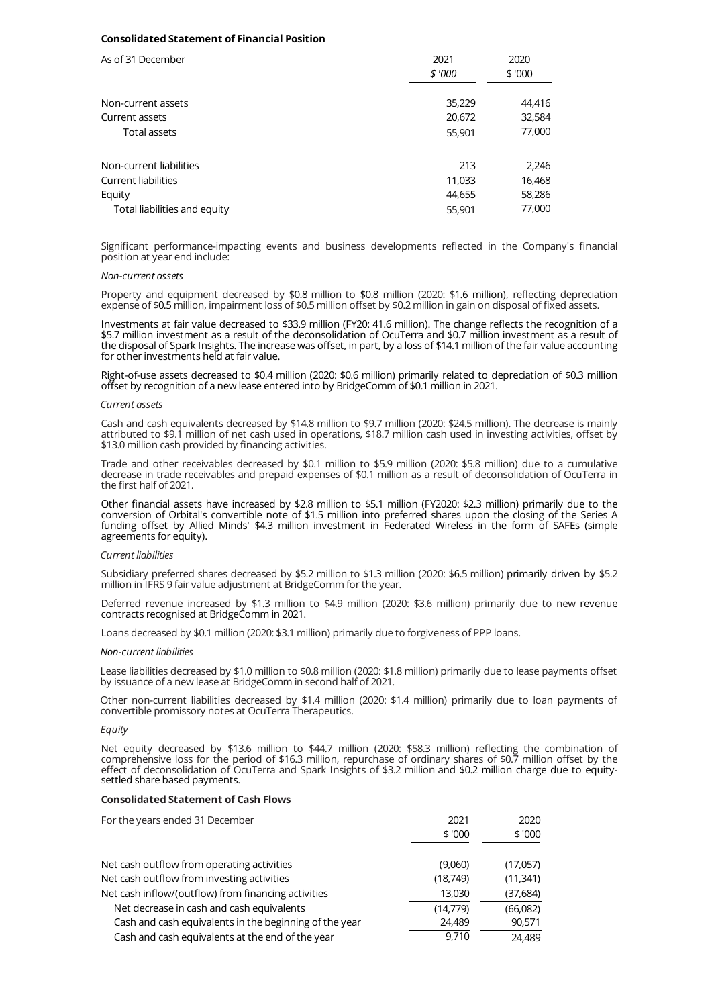# **Consolidated Statement of Financial Position**

| As of 31 December            | 2021<br>\$'000 | 2020<br>\$'000 |  |
|------------------------------|----------------|----------------|--|
|                              |                |                |  |
| Non-current assets           | 35,229         | 44,416         |  |
| Current assets               | 20,672         | 32,584         |  |
| Total assets                 | 55,901         | 77,000         |  |
| Non-current liabilities      | 213            | 2,246          |  |
| <b>Current liabilities</b>   | 11,033         | 16,468         |  |
| Equity                       | 44,655         | 58,286         |  |
| Total liabilities and equity | 55,901         | 77,000         |  |

Significant performance-impacting events and business developments reflected in the Company's financial position at year end include:

#### *Non-current assets*

Property and equipment decreased by \$0.8 million to \$0.8 million (2020: \$1.6 million), reflecting depreciation expense of \$0.5 million, impairment loss of \$0.5 million offset by \$0.2 million in gain on disposal of fixed assets.

Investments at fair value decreased to \$33.9 million (FY20: 41.6 million). The change reflects the recognition of a \$5.7 million investment as a result of the deconsolidation of OcuTerra and \$0.7 million investment as a result of the disposal of Spark Insights. The increase was offset, in part, by a loss of \$14.1 million of the fair value accounting for other investments held at fair value.

Right-of-use assets decreased to \$0.4 million (2020: \$0.6 million) primarily related to depreciation of \$0.3 million offset by recognition of a new lease entered into by BridgeComm of \$0.1 million in 2021.

#### *Current assets*

Cash and cash equivalents decreased by \$14.8 million to \$9.7 million (2020: \$24.5 million). The decrease is mainly attributed to \$9.1 million of net cash used in operations, \$18.7 million cash used in investing activities, offset by \$13.0 million cash provided by financing activities.

Trade and other receivables decreased by \$0.1 million to \$5.9 million (2020: \$5.8 million) due to a cumulative decrease in trade receivables and prepaid expenses of \$0.1 million as a result of deconsolidation of OcuTerra in the first half of 2021.

Other financial assets have increased by \$2.8 million to \$5.1 million (FY2020: \$2.3 million) primarily due to the conversion of Orbital's convertible note of \$1.5 million into preferred shares upon the closing of the Series A funding offset by Allied Minds' \$4.3 million investment in Federated Wireless in the form of SAFEs (simple agreements for equity).

# *Current liabilities*

Subsidiary preferred shares decreased by \$5.2 million to \$1.3 million (2020: \$6.5 million) primarily driven by \$5.2 million in IFRS 9 fair value adjustment at BridgeComm for the year.

Deferred revenue increased by \$1.3 million to \$4.9 million (2020: \$3.6 million) primarily due to new revenue contracts recognised at BridgeComm in 2021.

Loans decreased by \$0.1 million (2020: \$3.1 million) primarily due to forgiveness of PPP loans.

# *Non-current liabilities*

Lease liabilities decreased by \$1.0 million to \$0.8 million (2020: \$1.8 million) primarily due to lease payments offset by issuance of a new lease at BridgeComm in second half of 2021.

Other non-current liabilities decreased by \$1.4 million (2020: \$1.4 million) primarily due to loan payments of convertible promissory notes at OcuTerra Therapeutics.

# *Equity*

Net equity decreased by \$13.6 million to \$44.7 million (2020: \$58.3 million) reflecting the combination of comprehensive loss for the period of \$16.3 million, repurchase of ordinary shares of \$0.7 million offset by the effect of deconsolidation of OcuTerra and Spark Insights of \$3.2 million and \$0.2 million charge due to equitysettled share based payments.

### **Consolidated Statement of Cash Flows**

| For the years ended 31 December                        | 2021     | 2020      |
|--------------------------------------------------------|----------|-----------|
|                                                        | \$'000   | \$'000    |
| Net cash outflow from operating activities             | (9,060)  | (17,057)  |
| Net cash outflow from investing activities             | (18,749) | (11,341)  |
| Net cash inflow/(outflow) from financing activities    | 13,030   | (37, 684) |
| Net decrease in cash and cash equivalents              | (14,779) | (66,082)  |
| Cash and cash equivalents in the beginning of the year | 24,489   | 90,571    |
| Cash and cash equivalents at the end of the year       | 9,710    | 24.489    |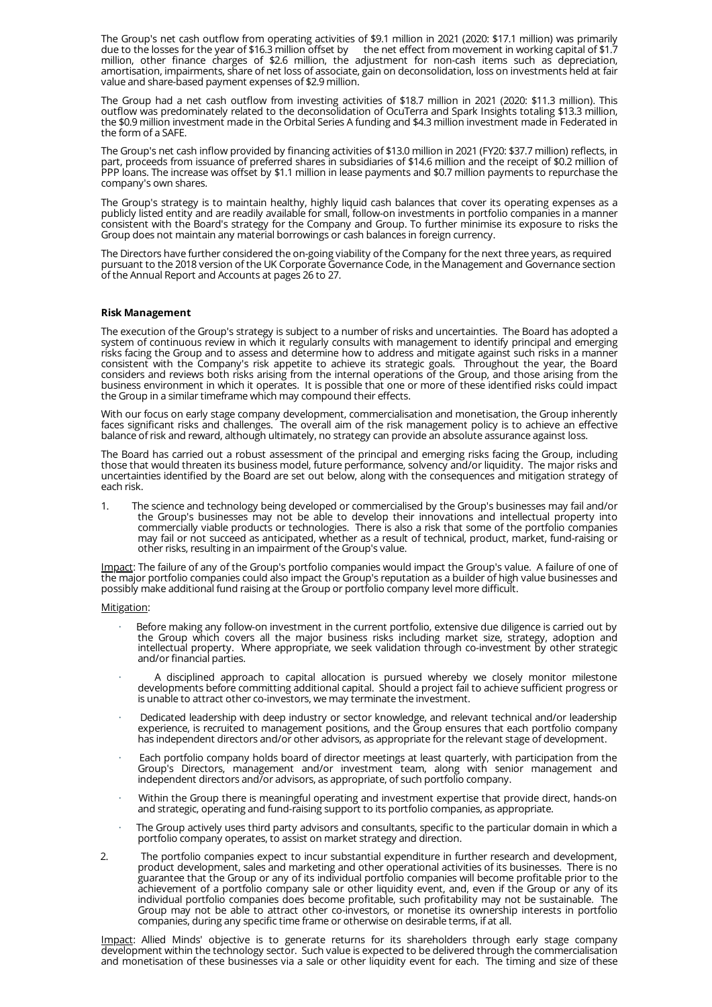The Group's net cash outflow from operating activities of \$9.1 million in 2021 (2020: \$17.1 million) was primarily due to the losses for the year of \$16.3 million offset by the net effect from movement in working capital of \$1.7 million, other finance charges of \$2.6 million, the adjustment for non-cash items such as depreciation, amortisation, impairments, share of net loss of associate, gain on deconsolidation, loss on investments held at fair value and share-based payment expenses of \$2.9 million.

The Group had a net cash outflow from investing activities of \$18.7 million in 2021 (2020: \$11.3 million). This outflow was predominately related to the deconsolidation of OcuTerra and Spark Insights totaling \$13.3 million, the \$0.9 million investment made in the Orbital Series A funding and \$4.3 million investment made in Federated in the form of a SAFE.

The Group's net cash inflow provided by financing activities of \$13.0 million in 2021 (FY20: \$37.7 million) reflects, in part, proceeds from issuance of preferred shares in subsidiaries of \$14.6 million and the receipt of \$0.2 million of PPP loans. The increase was offset by \$1.1 million in lease payments and \$0.7 million payments to repurchase the company's own shares.

The Group's strategy is to maintain healthy, highly liquid cash balances that cover its operating expenses as a publicly listed entity and are readily available for small, follow-on investments in portfolio companies in a manner consistent with the Board's strategy for the Company and Group. To further minimise its exposure to risks the Group does not maintain any material borrowings or cash balances in foreign currency.

The Directors have further considered the on-going viability of the Company for the next three years, as required pursuant to the 2018 version of the UK Corporate Governance Code, in the Management and Governance section of the Annual Report and Accounts at pages 26 to 27.

# **Risk Management**

The execution of the Group's strategy is subject to a number of risks and uncertainties. The Board has adopted a system of continuous review in which it regularly consults with management to identify principal and emerging risks facing the Group and to assess and determine how to address and mitigate against such risks in a manner consistent with the Company's risk appetite to achieve its strategic goals. Throughout the year, the Board considers and reviews both risks arising from the internal operations of the Group, and those arising from the business environment in which it operates. It is possible that one or more of these identified risks could impact the Group in a similar timeframe which may compound their effects.

With our focus on early stage company development, commercialisation and monetisation, the Group inherently faces significant risks and challenges. The overall aim of the risk management policy is to achieve an effective balance of risk and reward, although ultimately, no strategy can provide an absolute assurance against loss.

The Board has carried out a robust assessment of the principal and emerging risks facing the Group, including those that would threaten its business model, future performance, solvency and/or liquidity. The major risks and uncertainties identified by the Board are set out below, along with the consequences and mitigation strategy of each risk.

1. The science and technology being developed or commercialised by the Group's businesses may fail and/or the Group's businesses may not be able to develop their innovations and intellectual property into commercially viable products or technologies. There is also a risk that some of the portfolio companies may fail or not succeed as anticipated, whether as a result of technical, product, market, fund-raising or other risks, resulting in an impairment of the Group's value.

Impact: The failure of any of the Group's portfolio companies would impact the Group's value. A failure of one of the major portfolio companies could also impact the Group's reputation as a builder of high value businesses and possibly make additional fund raising at the Group or portfolio company level more difficult.

#### Mitigation:

- · Before making any follow-on investment in the current portfolio, extensive due diligence is carried out by the Group which covers all the major business risks including market size, strategy, adoption and intellectual property. Where appropriate, we seek validation through co-investment by other strategic and/or financial parties.
- $\cdot$  A disciplined approach to capital allocation is pursued whereby we closely monitor milestone developments before committing additional capital. Should a project fail to achieve sufficient progress or is unable to attract other co-investors, we may terminate the investment.
- · Dedicated leadership with deep industry or sector knowledge, and relevant technical and/or leadership experience, is recruited to management positions, and the Group ensures that each portfolio company has independent directors and/or other advisors, as appropriate for the relevant stage of development.
- $\cdot$  Each portfolio company holds board of director meetings at least quarterly, with participation from the Group's Directors, management and/or investment team, along with senior management and independent directors and/or advisors, as appropriate, of such portfolio company.
- · Within the Group there is meaningful operating and investment expertise that provide direct, hands-on and strategic, operating and fund-raising support to its portfolio companies, as appropriate.
- The Group actively uses third party advisors and consultants, specific to the particular domain in which a portfolio company operates, to assist on market strategy and direction.
- 2. The portfolio companies expect to incur substantial expenditure in further research and development, product development, sales and marketing and other operational activities of its businesses. There is no guarantee that the Group or any of its individual portfolio companies will become profitable prior to the achievement of a portfolio company sale or other liquidity event, and, even if the Group or any of its individual portfolio companies does become profitable, such profitability may not be sustainable. The Group may not be able to attract other co-investors, or monetise its ownership interests in portfolio companies, during any specific time frame or otherwise on desirable terms, if at all.

Impact: Allied Minds' objective is to generate returns for its shareholders through early stage company development within the technology sector. Such value is expected to be delivered through the commercialisation and monetisation of these businesses via a sale or other liquidity event for each. The timing and size of these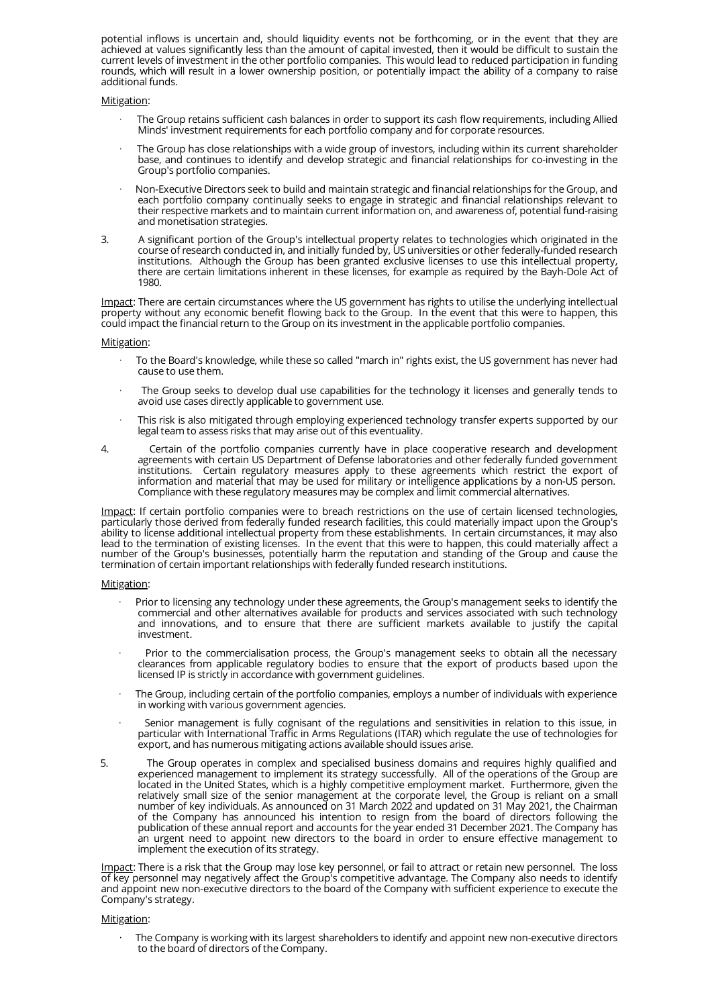potential inflows is uncertain and, should liquidity events not be forthcoming, or in the event that they are achieved at values significantly less than the amount of capital invested, then it would be difficult to sustain the current levels of investment in the other portfolio companies. This would lead to reduced participation in funding rounds, which will result in a lower ownership position, or potentially impact the ability of a company to raise additional funds.

# Mitigation:

- · The Group retains sufficient cash balances in order to support its cash flow requirements, including Allied Minds' investment requirements for each portfolio company and for corporate resources.
- The Group has close relationships with a wide group of investors, including within its current shareholder base, and continues to identify and develop strategic and financial relationships for co-investing in the Group's portfolio companies.
- · Non-Executive Directors seek to build and maintain strategic and financial relationships for the Group, and each portfolio company continually seeks to engage in strategic and financial relationships relevant to their respective markets and to maintain current information on, and awareness of, potential fund-raising and monetisation strategies.
- 3. A significant portion of the Group's intellectual property relates to technologies which originated in the course of research conducted in, and initially funded by, US universities or other federally-funded research institutions. Although the Group has been granted exclusive licenses to use this intellectual property, there are certain limitations inherent in these licenses, for example as required by the Bayh-Dole Act of 1980.

Impact: There are certain circumstances where the US government has rights to utilise the underlying intellectual property without any economic benefit flowing back to the Group. In the event that this were to happen, this could impact the financial return to the Group on its investment in the applicable portfolio companies.

#### Mitigation:

- To the Board's knowledge, while these so called "march in" rights exist, the US government has never had cause to use them.
- The Group seeks to develop dual use capabilities for the technology it licenses and generally tends to avoid use cases directly applicable to government use.
- This risk is also mitigated through employing experienced technology transfer experts supported by our legal team to assess risks that may arise out of this eventuality.
- 4. Certain of the portfolio companies currently have in place cooperative research and development agreements with certain US Department of Defense laboratories and other federally funded government institutions. Certain regulatory measures apply to these agreements which restrict the export of information and material that may be used for military or intelligence applications by a non-US person. Compliance with these regulatory measures may be complex and limit commercial alternatives.

Impact: If certain portfolio companies were to breach restrictions on the use of certain licensed technologies, particularly those derived from federally funded research facilities, this could materially impact upon the Group's ability to license additional intellectual property from these establishments. In certain circumstances, it may also lead to the termination of existing licenses. In the event that this were to happen, this could materially affect a number of the Group's businesses, potentially harm the reputation and standing of the Group and cause the termination of certain important relationships with federally funded research institutions.

#### Mitigation:

- Prior to licensing any technology under these agreements, the Group's management seeks to identify the commercial and other alternatives available for products and services associated with such technology and innovations, and to ensure that there are sufficient markets available to justify the capital investment.
- Prior to the commercialisation process, the Group's management seeks to obtain all the necessary clearances from applicable regulatory bodies to ensure that the export of products based upon the licensed IP is strictly in accordance with government guidelines.
- The Group, including certain of the portfolio companies, employs a number of individuals with experience in working with various government agencies.
- Senior management is fully cognisant of the regulations and sensitivities in relation to this issue, in particular with International Traffic in Arms Regulations (ITAR) which regulate the use of technologies for export, and has numerous mitigating actions available should issues arise.
- 5. The Group operates in complex and specialised business domains and requires highly qualified and experienced management to implement its strategy successfully. All of the operations of the Group are located in the United States, which is a highly competitive employment market. Furthermore, given the relatively small size of the senior management at the corporate level, the Group is reliant on a small number of key individuals. As announced on 31 March 2022 and updated on 31 May 2021, the Chairman of the Company has announced his intention to resign from the board of directors following the publication of these annual report and accounts for the year ended 31 December 2021. The Company has an urgent need to appoint new directors to the board in order to ensure effective management to implement the execution of its strategy.

Impact: There is a risk that the Group may lose key personnel, or fail to attract or retain new personnel. The loss of key personnel may negatively affect the Group's competitive advantage. The Company also needs to identify and appoint new non-executive directors to the board of the Company with sufficient experience to execute the Company's strategy.

### Mitigation:

The Company is working with its largest shareholders to identify and appoint new non-executive directors to the board of directors of the Company.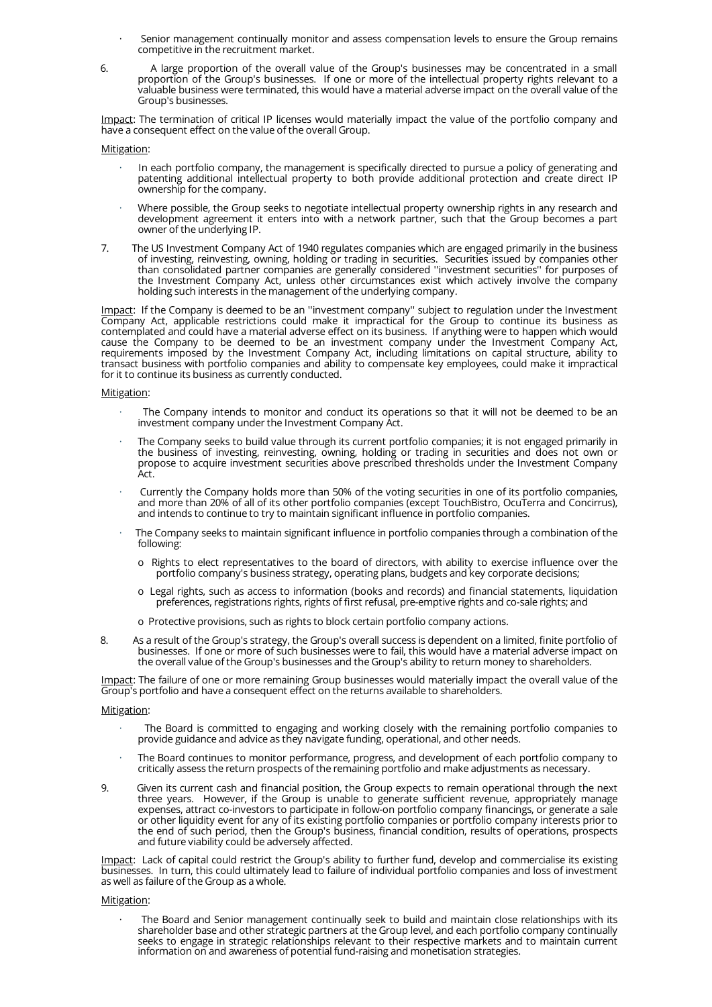- Senior management continually monitor and assess compensation levels to ensure the Group remains competitive in the recruitment market.
- 6. A large proportion of the overall value of the Group's businesses may be concentrated in a small proportion of the Group's businesses. If one or more of the intellectual property rights relevant to a valuable business were terminated, this would have a material adverse impact on the overall value of the Group's businesses.

Impact: The termination of critical IP licenses would materially impact the value of the portfolio company and have a consequent effect on the value of the overall Group.

# Mitigation:

- · In each portfolio company, the management is specifically directed to pursue a policy of generating and patenting additional intellectual property to both provide additional protection and create direct IP ownership for the company.
- Where possible, the Group seeks to negotiate intellectual property ownership rights in any research and development agreement it enters into with a network partner, such that the Group becomes a part owner of the underlying IP.
- 7. The US Investment Company Act of 1940 regulates companies which are engaged primarily in the business of investing, reinvesting, owning, holding or trading in securities. Securities issued by companies other than consolidated partner companies are generally considered ''investment securities'' for purposes of the Investment Company Act, unless other circumstances exist which actively involve the company holding such interests in the management of the underlying company.

<u>Impact</u>: If the Company is deemed to be an "investment company" subject to regulation under the Investment Company Act, applicable restrictions could make it impractical for the Group to continue its business as contemplated and could have a material adverse effect on its business. If anything were to happen which would cause the Company to be deemed to be an investment company under the Investment Company Act, requirements imposed by the Investment Company Act, including limitations on capital structure, ability to transact business with portfolio companies and ability to compensate key employees, could make it impractical for it to continue its business as currently conducted.

# Mitigation:

- The Company intends to monitor and conduct its operations so that it will not be deemed to be an investment company under the Investment Company Act.
- The Company seeks to build value through its current portfolio companies; it is not engaged primarily in the business of investing, reinvesting, owning, holding or trading in securities and does not own or propose to acquire investment securities above prescribed thresholds under the Investment Company Act.
- Currently the Company holds more than 50% of the voting securities in one of its portfolio companies, and more than 20% of all of its other portfolio companies (except TouchBistro, OcuTerra and Concirrus), and intends to continue to try to maintain significant influence in portfolio companies.
- The Company seeks to maintain significant influence in portfolio companies through a combination of the following:
	- o Rights to elect representatives to the board of directors, with ability to exercise influence over the portfolio company's business strategy, operating plans, budgets and key corporate decisions;
	- o Legal rights, such as access to information (books and records) and financial statements, liquidation preferences, registrations rights, rights of first refusal, pre-emptive rights and co-sale rights; and
	- o Protective provisions, such as rights to block certain portfolio company actions.
- 8. As a result of the Group's strategy, the Group's overall success is dependent on a limited, finite portfolio of businesses. If one or more of such businesses were to fail, this would have a material adverse impact on the overall value of the Group's businesses and the Group's ability to return money to shareholders.

Impact: The failure of one or more remaining Group businesses would materially impact the overall value of the Group's portfolio and have a consequent effect on the returns available to shareholders.

# Mitigation:

- · The Board is committed to engaging and working closely with the remaining portfolio companies to provide guidance and advice as they navigate funding, operational, and other needs.
- · The Board continues to monitor performance, progress, and development of each portfolio company to critically assess the return prospects of the remaining portfolio and make adjustments as necessary.
- 9. Given its current cash and financial position, the Group expects to remain operational through the next three years. However, if the Group is unable to generate sufficient revenue, appropriately manage expenses, attract co-investors to participate in follow-on portfolio company financings, or generate a sale or other liquidity event for any of its existing portfolio companies or portfolio company interests prior to the end of such period, then the Group's business, financial condition, results of operations, prospects and future viability could be adversely affected.

Impact: Lack of capital could restrict the Group's ability to further fund, develop and commercialise its existing businesses. In turn, this could ultimately lead to failure of individual portfolio companies and loss of investment as well as failure of the Group as a whole.

# Mitigation:

· The Board and Senior management continually seek to build and maintain close relationships with its shareholder base and other strategic partners at the Group level, and each portfolio company continually seeks to engage in strategic relationships relevant to their respective markets and to maintain current information on and awareness of potential fund-raising and monetisation strategies.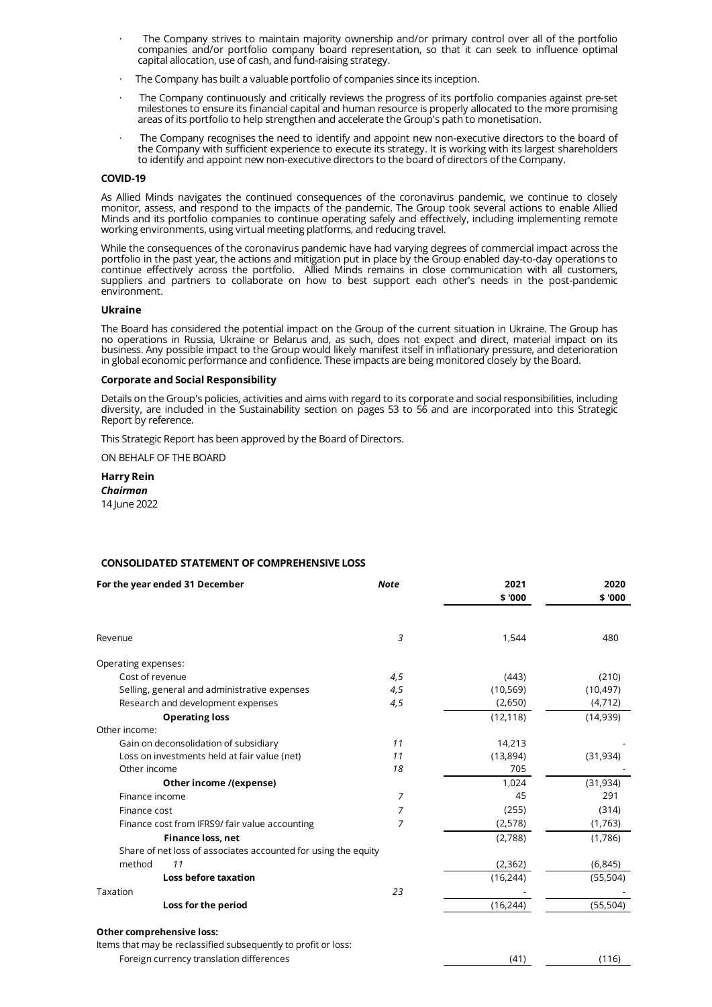- The Company strives to maintain majority ownership and/or primary control over all of the portfolio companies and/or portfolio company board representation, so that it can seek to influence optimal capital allocation, use of cash, and fund-raising strategy.
- The Company has built a valuable portfolio of companies since its inception.
- The Company continuously and critically reviews the progress of its portfolio companies against pre-set milestones to ensure its financial capital and human resource is properly allocated to the more promising areas of its portfolio to help strengthen and accelerate the Group's path to monetisation.
- The Company recognises the need to identify and appoint new non-executive directors to the board of the Company with sufficient experience to execute its strategy. It is working with its largest shareholders to identify and appoint new non-executive directors to the board of directors of the Company.

# **COVID-19**

As Allied Minds navigates the continued consequences of the coronavirus pandemic, we continue to closely monitor, assess, and respond to the impacts of the pandemic. The Group took several actions to enable Allied Minds and its portfolio companies to continue operating safely and effectively, including implementing remote working environments, using virtual meeting platforms, and reducing travel.

While the consequences of the coronavirus pandemic have had varying degrees of commercial impact across the portfolio in the past year, the actions and mitigation put in place by the Group enabled day-to-day operations to continue effectively across the portfolio. Allied Minds remains in close communication with all customers, suppliers and partners to collaborate on how to best support each other's needs in the post-pandemic environment.

# **Ukraine**

The Board has considered the potential impact on the Group of the current situation in Ukraine. The Group has no operations in Russia, Ukraine or Belarus and, as such, does not expect and direct, material impact on its business. Any possible impact to the Group would likely manifest itself in inflationary pressure, and deterioration in global economic performance and confidence. These impacts are being monitored closely by the Board.

# **Corporate and Social Responsibility**

Details on the Group's policies, activities and aims with regard to its corporate and social responsibilities, including diversity, are included in the Sustainability section on pages 53 to 56 and are incorporated into this Strategic Report by reference.

This Strategic Report has been approved by the Board of Directors.

ON BEHALF OF THE BOARD

**Harry Rein** *Chairman* 14 June 2022

# **CONSOLIDATED STATEMENT OF COMPREHENSIVE LOSS**

| For the year ended 31 December                                 | <b>Note</b>    | 2021<br>\$ '000 | 2020<br>\$ '000 |
|----------------------------------------------------------------|----------------|-----------------|-----------------|
| Revenue                                                        | 3              | 1,544           | 480             |
| Operating expenses:                                            |                |                 |                 |
| Cost of revenue                                                | 4,5            | (443)           | (210)           |
| Selling, general and administrative expenses                   | 4,5            | (10, 569)       | (10, 497)       |
| Research and development expenses                              | 4,5            | (2,650)         | (4, 712)        |
| <b>Operating loss</b>                                          |                | (12, 118)       | (14,939)        |
| Other income:                                                  |                |                 |                 |
| Gain on deconsolidation of subsidiary                          | 11             | 14,213          |                 |
| Loss on investments held at fair value (net)                   | 11             | (13,894)        | (31, 934)       |
| Other income                                                   | 18             | 705             |                 |
| Other income /(expense)                                        |                | 1,024           | (31, 934)       |
| Finance income                                                 | 7              | 45              | 291             |
| Finance cost                                                   | 7              | (255)           | (314)           |
| Finance cost from IFRS9/ fair value accounting                 | $\overline{7}$ | (2, 578)        | (1,763)         |
| Finance loss, net                                              |                | (2,788)         | (1,786)         |
| Share of net loss of associates accounted for using the equity |                |                 |                 |
| method<br>11                                                   |                | (2, 362)        | (6, 845)        |
| <b>Loss before taxation</b>                                    |                | (16, 244)       | (55, 504)       |
| Taxation                                                       | 23             |                 |                 |
| Loss for the period                                            |                | (16, 244)       | (55, 504)       |
| Other comprehensive loss:                                      |                |                 |                 |
| Items that may be reclassified subsequently to profit or loss: |                |                 |                 |
| Foreign currency translation differences                       |                | (41)            | (116)           |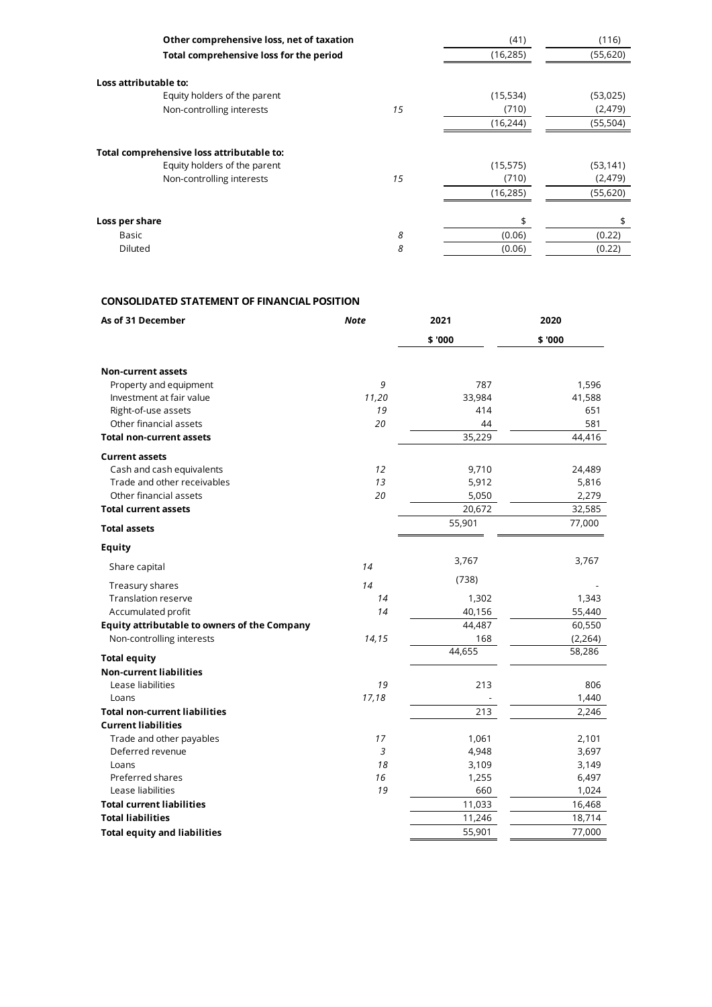| Other comprehensive loss, net of taxation |    | (41)      | (116)     |
|-------------------------------------------|----|-----------|-----------|
| Total comprehensive loss for the period   |    | (16, 285) | (55,620)  |
| Loss attributable to:                     |    |           |           |
| Equity holders of the parent              |    | (15, 534) | (53,025)  |
| Non-controlling interests                 | 15 | (710)     | (2,479)   |
|                                           |    | (16, 244) | (55, 504) |
| Total comprehensive loss attributable to: |    |           |           |
| Equity holders of the parent              |    | (15, 575) | (53, 141) |
| Non-controlling interests                 | 15 | (710)     | (2,479)   |
|                                           |    | (16, 285) | (55,620)  |
| Loss per share                            |    | \$        | \$        |
| Basic                                     | 8  | (0.06)    | (0.22)    |
| Diluted                                   | 8  | (0.06)    | (0.22)    |
|                                           |    |           |           |

# **CONSOLIDATED STATEMENT OF FINANCIAL POSITION**

| As of 31 December                                   | <b>Note</b>    | 2021   | 2020     |
|-----------------------------------------------------|----------------|--------|----------|
|                                                     |                | \$'000 | \$ '000  |
| <b>Non-current assets</b>                           |                |        |          |
| Property and equipment                              | 9              | 787    | 1,596    |
| Investment at fair value                            | 11,20          | 33,984 | 41,588   |
| Right-of-use assets                                 | 19             | 414    | 651      |
| Other financial assets                              | 20             | 44     | 581      |
| <b>Total non-current assets</b>                     |                | 35,229 | 44,416   |
| <b>Current assets</b>                               |                |        |          |
| Cash and cash equivalents                           | 12             | 9,710  | 24,489   |
| Trade and other receivables                         | 13             | 5,912  | 5,816    |
| Other financial assets                              | 20             | 5,050  | 2,279    |
| <b>Total current assets</b>                         |                | 20,672 | 32,585   |
| <b>Total assets</b>                                 |                | 55,901 | 77,000   |
| <b>Equity</b>                                       |                |        |          |
| Share capital                                       | 14             | 3,767  | 3,767    |
| Treasury shares                                     | 14             | (738)  |          |
| <b>Translation reserve</b>                          | 14             | 1,302  | 1,343    |
| Accumulated profit                                  | 14             | 40,156 | 55,440   |
| <b>Equity attributable to owners of the Company</b> |                | 44,487 | 60,550   |
| Non-controlling interests                           | 14,15          | 168    | (2, 264) |
| <b>Total equity</b>                                 |                | 44,655 | 58,286   |
| <b>Non-current liabilities</b>                      |                |        |          |
| Lease liabilities                                   | 19             | 213    | 806      |
| Loans                                               | 17,18          |        | 1,440    |
| <b>Total non-current liabilities</b>                |                | 213    | 2,246    |
| <b>Current liabilities</b>                          |                |        |          |
| Trade and other payables                            | 17             | 1,061  | 2,101    |
| Deferred revenue                                    | $\overline{3}$ | 4,948  | 3,697    |
| Loans                                               | 18             | 3,109  | 3,149    |
| Preferred shares                                    | 16             | 1,255  | 6,497    |
| Lease liabilities                                   | 19             | 660    | 1,024    |
| <b>Total current liabilities</b>                    |                | 11,033 | 16,468   |
| <b>Total liabilities</b>                            |                | 11,246 | 18,714   |
| <b>Total equity and liabilities</b>                 |                | 55,901 | 77,000   |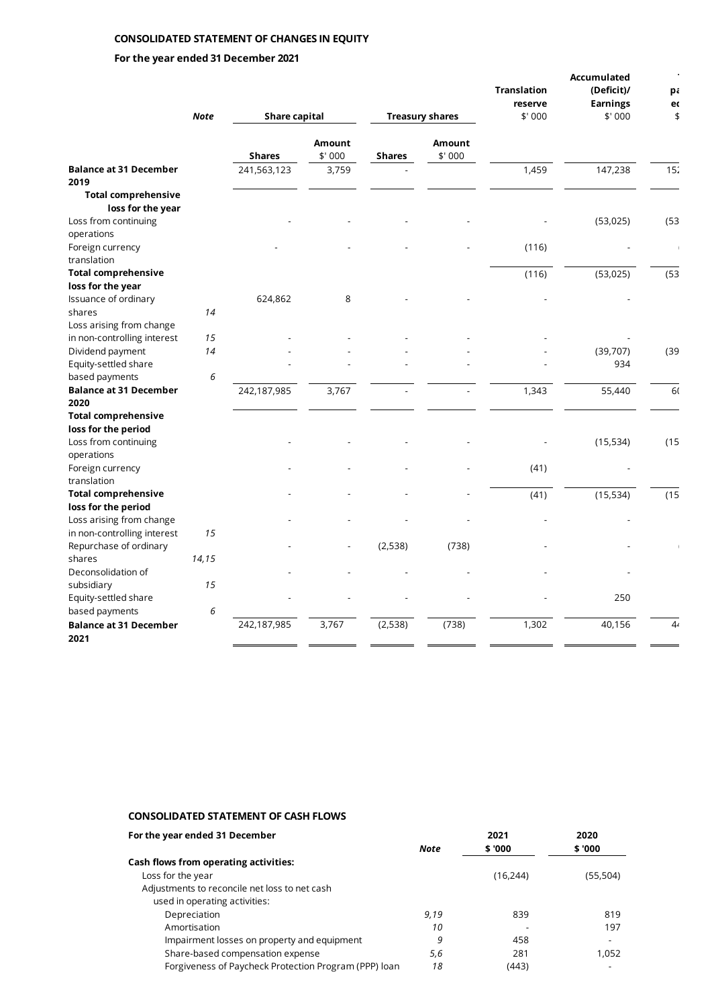# **CONSOLIDATED STATEMENT OF CHANGES IN EQUITY**

# **For the year ended 31 December 2021**

|                                       |             |                      |                         |               |                         | <b>Translation</b> | Accumulated<br>(Deficit)/ | pa                       |
|---------------------------------------|-------------|----------------------|-------------------------|---------------|-------------------------|--------------------|---------------------------|--------------------------|
|                                       |             |                      |                         |               |                         | reserve            | <b>Earnings</b>           | ec                       |
|                                       | <b>Note</b> | <b>Share capital</b> |                         |               | <b>Treasury shares</b>  | \$'000             | \$'000                    | \$                       |
|                                       |             | <b>Shares</b>        | <b>Amount</b><br>\$'000 | <b>Shares</b> | <b>Amount</b><br>\$'000 |                    |                           |                          |
| <b>Balance at 31 December</b>         |             | 241,563,123          | 3,759                   |               |                         | 1,459              | 147,238                   | 15 <sub>2</sub>          |
| 2019                                  |             |                      |                         |               |                         |                    |                           |                          |
| <b>Total comprehensive</b>            |             |                      |                         |               |                         |                    |                           |                          |
| loss for the year                     |             |                      |                         |               |                         |                    |                           |                          |
| Loss from continuing                  |             |                      |                         |               |                         |                    | (53, 025)                 | (53)                     |
| operations                            |             |                      |                         |               |                         |                    |                           |                          |
| Foreign currency                      |             |                      |                         |               |                         | (116)              |                           | $\overline{\phantom{a}}$ |
| translation                           |             |                      |                         |               |                         |                    |                           |                          |
| <b>Total comprehensive</b>            |             |                      |                         |               |                         | (116)              | (53, 025)                 | (53)                     |
| loss for the year                     |             |                      |                         |               |                         |                    |                           |                          |
| Issuance of ordinary                  |             | 624,862              | 8                       |               |                         |                    |                           |                          |
| shares                                | 14          |                      |                         |               |                         |                    |                           |                          |
| Loss arising from change              |             |                      |                         |               |                         |                    |                           |                          |
| in non-controlling interest           | 15          |                      |                         |               |                         |                    |                           |                          |
| Dividend payment                      | 14          |                      |                         |               |                         |                    | (39,707)                  | (39)                     |
| Equity-settled share                  |             |                      |                         |               |                         |                    | 934                       |                          |
| based payments                        | 6           |                      |                         |               |                         |                    |                           |                          |
| <b>Balance at 31 December</b><br>2020 |             | 242,187,985          | 3,767                   |               |                         | 1,343              | 55,440                    | 60                       |
| <b>Total comprehensive</b>            |             |                      |                         |               |                         |                    |                           |                          |
| loss for the period                   |             |                      |                         |               |                         |                    |                           |                          |
| Loss from continuing                  |             |                      |                         |               |                         |                    | (15, 534)                 | (15)                     |
| operations                            |             |                      |                         |               |                         |                    |                           |                          |
| Foreign currency                      |             |                      |                         |               |                         | (41)               |                           |                          |
| translation                           |             |                      |                         |               |                         |                    |                           |                          |
| <b>Total comprehensive</b>            |             |                      |                         |               |                         | (41)               | (15, 534)                 | (15)                     |
| loss for the period                   |             |                      |                         |               |                         |                    |                           |                          |
| Loss arising from change              |             |                      |                         |               |                         |                    |                           |                          |
| in non-controlling interest           | 15          |                      |                         |               |                         |                    |                           |                          |
| Repurchase of ordinary                |             |                      |                         | (2,538)       | (738)                   |                    |                           |                          |
| shares                                | 14,15       |                      |                         |               |                         |                    |                           |                          |
| Deconsolidation of                    |             |                      |                         |               |                         |                    |                           |                          |
| subsidiary                            | 15          |                      |                         |               |                         |                    |                           |                          |
| Equity-settled share                  |             |                      |                         |               |                         |                    | 250                       |                          |
| based payments                        | 6           |                      |                         |               |                         |                    |                           |                          |
| <b>Balance at 31 December</b>         |             | 242,187,985          | 3,767                   | (2, 538)      | (738)                   | 1,302              | 40,156                    | 44                       |
| 2021                                  |             |                      |                         |               |                         |                    |                           |                          |
|                                       |             |                      |                         |               |                         |                    |                           |                          |

# **CONSOLIDATED STATEMENT OF CASH FLOWS**

| For the year ended 31 December                        |      | 2021      | 2020      |
|-------------------------------------------------------|------|-----------|-----------|
|                                                       | Note | \$ '000   | \$ '000   |
| Cash flows from operating activities:                 |      |           |           |
| Loss for the year                                     |      | (16, 244) | (55, 504) |
| Adjustments to reconcile net loss to net cash         |      |           |           |
| used in operating activities:                         |      |           |           |
| Depreciation                                          | 9.19 | 839       | 819       |
| Amortisation                                          | 10   |           | 197       |
| Impairment losses on property and equipment           | 9    | 458       |           |
| Share-based compensation expense                      | 5,6  | 281       | 1,052     |
| Forgiveness of Paycheck Protection Program (PPP) loan | 18   | (443)     |           |
|                                                       |      |           |           |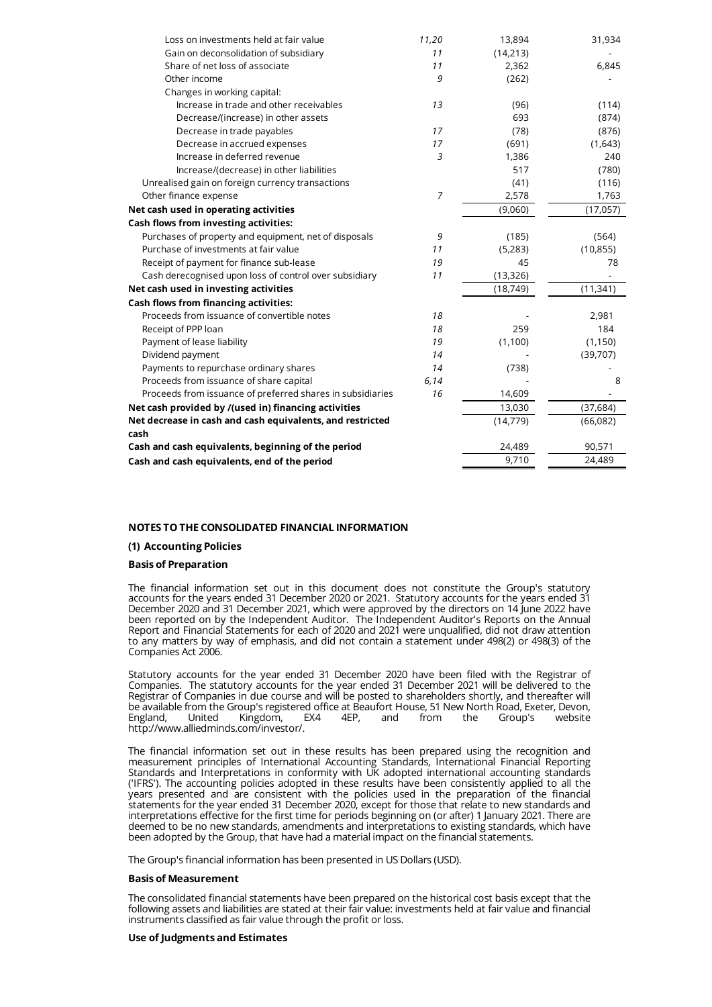| Loss on investments held at fair value                     | 11,20          | 13,894    | 31,934    |
|------------------------------------------------------------|----------------|-----------|-----------|
| Gain on deconsolidation of subsidiary                      | 11             | (14, 213) |           |
| Share of net loss of associate                             | 11             | 2,362     | 6,845     |
| Other income                                               | 9              | (262)     |           |
| Changes in working capital:                                |                |           |           |
| Increase in trade and other receivables                    | 13             | (96)      | (114)     |
| Decrease/(increase) in other assets                        |                | 693       | (874)     |
| Decrease in trade payables                                 | 17             | (78)      | (876)     |
| Decrease in accrued expenses                               | 17             | (691)     | (1,643)   |
| Increase in deferred revenue                               | 3              | 1,386     | 240       |
| Increase/(decrease) in other liabilities                   |                | 517       | (780)     |
| Unrealised gain on foreign currency transactions           |                | (41)      | (116)     |
| Other finance expense                                      | $\overline{7}$ | 2,578     | 1,763     |
| Net cash used in operating activities                      |                | (9,060)   | (17,057)  |
| Cash flows from investing activities:                      |                |           |           |
| Purchases of property and equipment, net of disposals      | 9              | (185)     | (564)     |
| Purchase of investments at fair value                      | 11             | (5,283)   | (10, 855) |
| Receipt of payment for finance sub-lease                   | 19             | 45        | 78        |
| Cash derecognised upon loss of control over subsidiary     | 11             | (13, 326) |           |
| Net cash used in investing activities                      |                | (18, 749) | (11, 341) |
| <b>Cash flows from financing activities:</b>               |                |           |           |
| Proceeds from issuance of convertible notes                | 18             |           | 2,981     |
| Receipt of PPP loan                                        | 18             | 259       | 184       |
| Payment of lease liability                                 | 19             | (1, 100)  | (1, 150)  |
| Dividend payment                                           | 14             |           | (39, 707) |
| Payments to repurchase ordinary shares                     | 14             | (738)     |           |
| Proceeds from issuance of share capital                    | 6,14           |           | 8         |
| Proceeds from issuance of preferred shares in subsidiaries | 16             | 14,609    |           |
| Net cash provided by /(used in) financing activities       |                | 13,030    | (37, 684) |
| Net decrease in cash and cash equivalents, and restricted  |                | (14, 779) | (66,082)  |
| cash                                                       |                |           |           |
| Cash and cash equivalents, beginning of the period         |                | 24,489    | 90,571    |
| Cash and cash equivalents, end of the period               |                | 9,710     | 24,489    |

# **NOTES TO THE CONSOLIDATED FINANCIAL INFORMATION**

# **(1) Accounting Policies**

# **Basis of Preparation**

The financial information set out in this document does not constitute the Group's statutory accounts for the years ended 31 December 2020 or 2021. Statutory accounts for the years ended 31 December 2020 and 31 December 2021, which were approved by the directors on 14 June 2022 have been reported on by the Independent Auditor. The Independent Auditor's Reports on the Annual Report and Financial Statements for each of 2020 and 2021 were unqualified, did not draw attention to any matters by way of emphasis, and did not contain a statement under 498(2) or 498(3) of the Companies Act 2006.

Statutory accounts for the year ended 31 December 2020 have been filed with the Registrar of Companies. The statutory accounts for the year ended 31 December 2021 will be delivered to the Registrar of Companies in due course and will be posted to shareholders shortly, and thereafter will be available from the Group's registered office at Beaufort House, 51 New North Road, Exeter, Devon,<br>England, United Kingdom, EX4 4EP, and from the Group's website England, United Kingdom, EX4 4EP, and from the Group's website http://www.alliedminds.com/investor/.

The financial information set out in these results has been prepared using the recognition and measurement principles of International Accounting Standards, International Financial Reporting Standards and Interpretations in conformity with UK adopted international accounting standards ('IFRS'). The accounting policies adopted in these results have been consistently applied to all the years presented and are consistent with the policies used in the preparation of the financial statements for the year ended 31 December 2020, except for those that relate to new standards and interpretations effective for the first time for periods beginning on (or after) 1 January 2021. There are deemed to be no new standards, amendments and interpretations to existing standards, which have been adopted by the Group, that have had a material impact on the financial statements.

The Group's financial information has been presented in US Dollars (USD).

#### **Basis of Measurement**

The consolidated financial statements have been prepared on the historical cost basis except that the following assets and liabilities are stated at their fair value: investments held at fair value and financial instruments classified as fair value through the profit or loss.

#### **Use of Judgments and Estimates**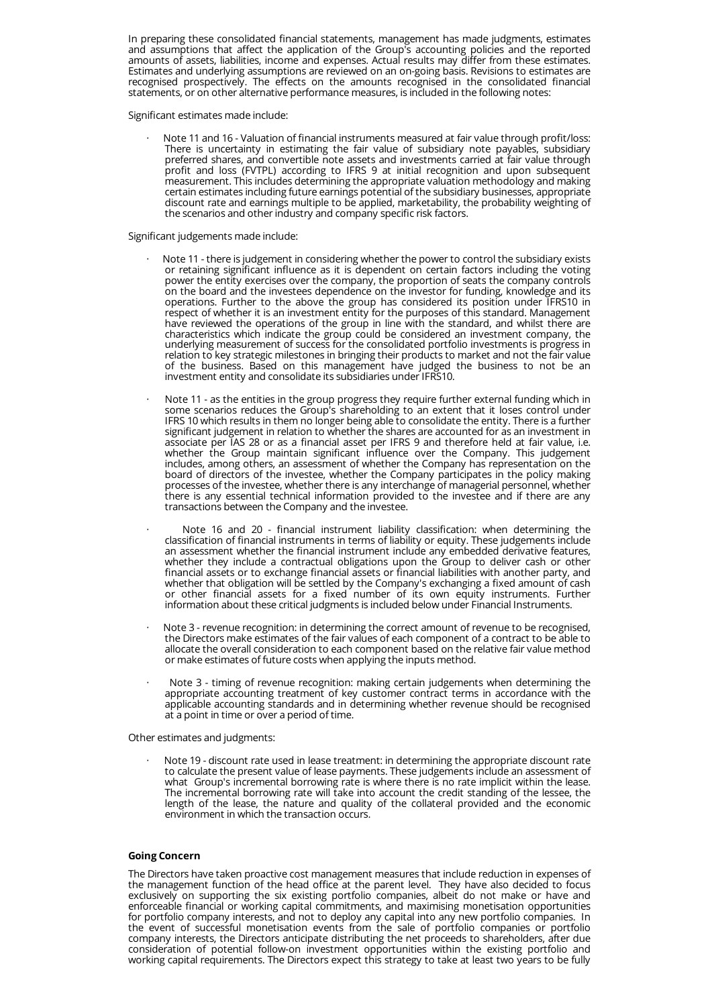In preparing these consolidated financial statements, management has made judgments, estimates and assumptions that affect the application of the Group's accounting policies and the reported amounts of assets, liabilities, income and expenses. Actual results may differ from these estimates. Estimates and underlying assumptions are reviewed on an on-going basis. Revisions to estimates are recognised prospectively. The effects on the amounts recognised in the consolidated financial statements, or on other alternative performance measures, is included in the following notes:

Significant estimates made include:

Note 11 and 16 - Valuation of financial instruments measured at fair value through profit/loss: There is uncertainty in estimating the fair value of subsidiary note payables, subsidiary preferred shares, and convertible note assets and investments carried at fair value through profit and loss (FVTPL) according to IFRS 9 at initial recognition and upon subsequent measurement. This includes determining the appropriate valuation methodology and making certain estimates including future earnings potential of the subsidiary businesses, appropriate discount rate and earnings multiple to be applied, marketability, the probability weighting of the scenarios and other industry and company specific risk factors.

# Significant judgements made include:

- Note 11 there is judgement in considering whether the power to control the subsidiary exists or retaining significant influence as it is dependent on certain factors including the voting power the entity exercises over the company, the proportion of seats the company controls on the board and the investees dependence on the investor for funding, knowledge and its operations. Further to the above the group has considered its position under IFRS10 in respect of whether it is an investment entity for the purposes of this standard. Management have reviewed the operations of the group in line with the standard, and whilst there are characteristics which indicate the group could be considered an investment company, the underlying measurement of success for the consolidated portfolio investments is progress in relation to key strategic milestones in bringing their products to market and not the fair value of the business. Based on this management have judged the business to not be an investment entity and consolidate its subsidiaries under IFRS10.
- Note 11 as the entities in the group progress they require further external funding which in some scenarios reduces the Group's shareholding to an extent that it loses control under IFRS 10 which results in them no longer being able to consolidate the entity. There is a further significant judgement in relation to whether the shares are accounted for as an investment in associate per IAS 28 or as a financial asset per IFRS 9 and therefore held at fair value, i.e. whether the Group maintain significant influence over the Company. This judgement includes, among others, an assessment of whether the Company has representation on the board of directors of the investee, whether the Company participates in the policy making processes of the investee, whether there is any interchange of managerial personnel, whether there is any essential technical information provided to the investee and if there are any transactions between the Company and the investee.
- · Note 16 and 20 financial instrument liability classification: when determining the classification of financial instruments in terms of liability or equity. These judgements include an assessment whether the financial instrument include any embedded derivative features, whether they include a contractual obligations upon the Group to deliver cash or other financial assets or to exchange financial assets or financial liabilities with another party, and whether that obligation will be settled by the Company's exchanging a fixed amount of cash or other financial assets for a fixed number of its own equity instruments. Further information about these critical judgments is included below under Financial Instruments.
- Note 3 revenue recognition: in determining the correct amount of revenue to be recognised, the Directors make estimates of the fair values of each component of a contract to be able to allocate the overall consideration to each component based on the relative fair value method or make estimates of future costs when applying the inputs method.
- Note 3 timing of revenue recognition: making certain judgements when determining the appropriate accounting treatment of key customer contract terms in accordance with the applicable accounting standards and in determining whether revenue should be recognised at a point in time or over a period of time.

Other estimates and judgments:

Note 19 - discount rate used in lease treatment: in determining the appropriate discount rate to calculate the present value of lease payments. These judgements include an assessment of what Group's incremental borrowing rate is where there is no rate implicit within the lease. The incremental borrowing rate will take into account the credit standing of the lessee, the length of the lease, the nature and quality of the collateral provided and the economic environment in which the transaction occurs.

# **Going Concern**

The Directors have taken proactive cost management measures that include reduction in expenses of the management function of the head office at the parent level. They have also decided to focus exclusively on supporting the six existing portfolio companies, albeit do not make or have and enforceable financial or working capital commitments, and maximising monetisation opportunities for portfolio company interests, and not to deploy any capital into any new portfolio companies. In the event of successful monetisation events from the sale of portfolio companies or portfolio company interests, the Directors anticipate distributing the net proceeds to shareholders, after due consideration of potential follow-on investment opportunities within the existing portfolio and working capital requirements. The Directors expect this strategy to take at least two years to be fully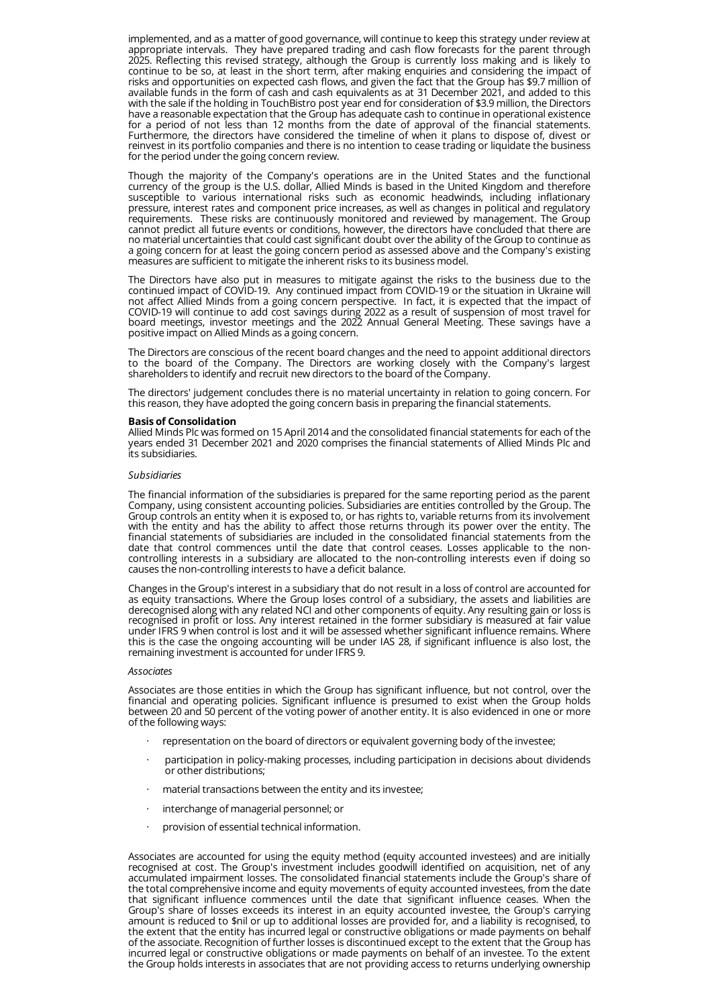implemented, and as a matter of good governance, will continue to keep this strategy under review at appropriate intervals. They have prepared trading and cash flow forecasts for the parent through 2025. Reflecting this revised strategy, although the Group is currently loss making and is likely to continue to be so, at least in the short term, after making enquiries and considering the impact of risks and opportunities on expected cash flows, and given the fact that the Group has \$9.7 million of available funds in the form of cash and cash equivalents as at 31 December 2021, and added to this with the sale if the holding in TouchBistro post year end for consideration of \$3.9 million, the Directors have a reasonable expectation that the Group has adequate cash to continue in operational existence for a period of not less than 12 months from the date of approval of the financial statements. Furthermore, the directors have considered the timeline of when it plans to dispose of, divest or reinvest in its portfolio companies and there is no intention to cease trading or liquidate the business for the period under the going concern review.

Though the majority of the Company's operations are in the United States and the functional currency of the group is the U.S. dollar, Allied Minds is based in the United Kingdom and therefore susceptible to various international risks such as economic headwinds, including inflationary pressure, interest rates and component price increases, as well as changes in political and regulatory requirements. These risks are continuously monitored and reviewed by management. The Group cannot predict all future events or conditions, however, the directors have concluded that there are no material uncertainties that could cast significant doubt over the ability of the Group to continue as a going concern for at least the going concern period as assessed above and the Company's existing measures are sufficient to mitigate the inherent risks to its business model.

The Directors have also put in measures to mitigate against the risks to the business due to the continued impact of COVID-19. Any continued impact from COVID-19 or the situation in Ukraine will not affect Allied Minds from a going concern perspective. In fact, it is expected that the impact of COVID-19 will continue to add cost savings during 2022 as a result of suspension of most travel for board meetings, investor meetings and the 2022 Annual General Meeting. These savings have a positive impact on Allied Minds as a going concern.

The Directors are conscious of the recent board changes and the need to appoint additional directors to the board of the Company. The Directors are working closely with the Company's largest shareholders to identify and recruit new directors to the board of the Company.

The directors' judgement concludes there is no material uncertainty in relation to going concern. For this reason, they have adopted the going concern basis in preparing the financial statements.

#### **Basis of Consolidation**

Allied Minds Plc was formed on 15 April 2014 and the consolidated financial statements for each of the years ended 31 December 2021 and 2020 comprises the financial statements of Allied Minds Plc and its subsidiaries.

#### *Subsidiaries*

The financial information of the subsidiaries is prepared for the same reporting period as the parent Company, using consistent accounting policies. Subsidiaries are entities controlled by the Group. The Group controls an entity when it is exposed to, or has rights to, variable returns from its involvement with the entity and has the ability to affect those returns through its power over the entity. The financial statements of subsidiaries are included in the consolidated financial statements from the date that control commences until the date that control ceases. Losses applicable to the noncontrolling interests in a subsidiary are allocated to the non-controlling interests even if doing so causes the non-controlling interests to have a deficit balance.

Changes in the Group's interest in a subsidiary that do not result in a loss of control are accounted for as equity transactions. Where the Group loses control of a subsidiary, the assets and liabilities are derecognised along with any related NCI and other components of equity. Any resulting gain or loss is recognised in profit or loss. Any interest retained in the former subsidiary is measured at fair value under IFRS 9 when control is lost and it will be assessed whether significant influence remains. Where this is the case the ongoing accounting will be under IAS 28, if significant influence is also lost, the remaining investment is accounted for under IFRS 9.

#### *Associates*

Associates are those entities in which the Group has significant influence, but not control, over the financial and operating policies. Significant influence is presumed to exist when the Group holds between 20 and 50 percent of the voting power of another entity. It is also evidenced in one or more of the following ways:

- · representation on the board of directors or equivalent governing body of the investee;
- · participation in policy-making processes, including participation in decisions about dividends or other distributions;
- material transactions between the entity and its investee;
- · interchange of managerial personnel; or
- provision of essential technical information.

Associates are accounted for using the equity method (equity accounted investees) and are initially recognised at cost. The Group's investment includes goodwill identified on acquisition, net of any accumulated impairment losses. The consolidated financial statements include the Group's share of the total comprehensive income and equity movements of equity accounted investees, from the date that significant influence commences until the date that significant influence ceases. When the Group's share of losses exceeds its interest in an equity accounted investee, the Group's carrying amount is reduced to \$nil or up to additional losses are provided for, and a liability is recognised, to the extent that the entity has incurred legal or constructive obligations or made payments on behalf of the associate. Recognition of further losses is discontinued except to the extent that the Group has incurred legal or constructive obligations or made payments on behalf of an investee. To the extent the Group holds interests in associates that are not providing access to returns underlying ownership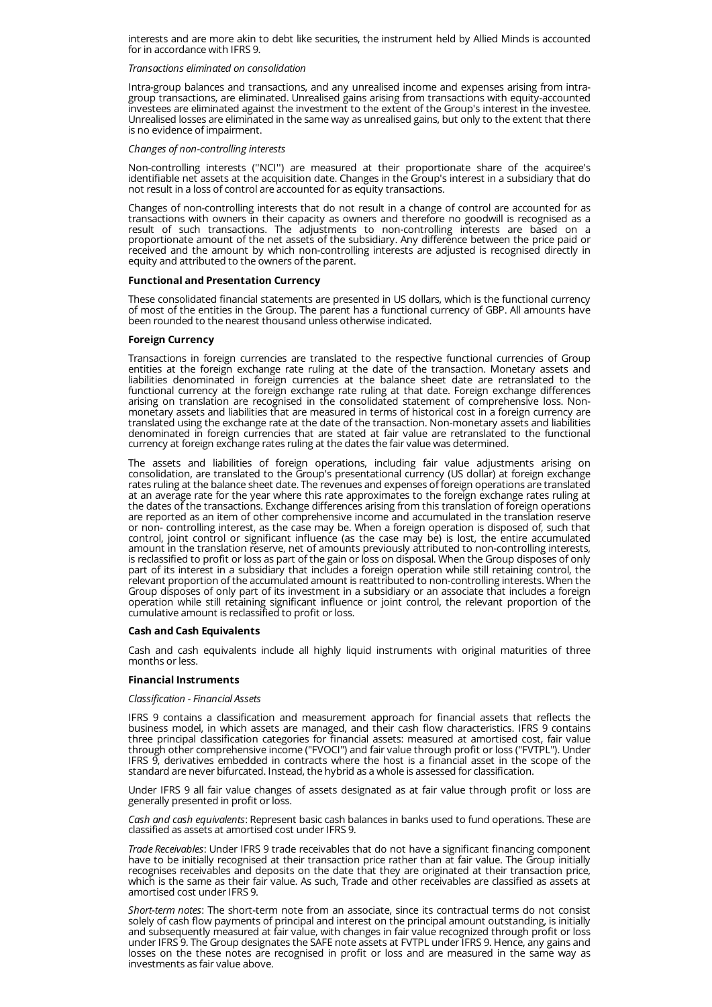interests and are more akin to debt like securities, the instrument held by Allied Minds is accounted for in accordance with IFRS 9.

#### *Transactions eliminated on consolidation*

Intra-group balances and transactions, and any unrealised income and expenses arising from intragroup transactions, are eliminated. Unrealised gains arising from transactions with equity-accounted investees are eliminated against the investment to the extent of the Group's interest in the investee. Unrealised losses are eliminated in the same way as unrealised gains, but only to the extent that there is no evidence of impairment.

#### *Changes of non-controlling interests*

Non-controlling interests (''NCI'') are measured at their proportionate share of the acquiree's identifiable net assets at the acquisition date. Changes in the Group's interest in a subsidiary that do not result in a loss of control are accounted for as equity transactions.

Changes of non-controlling interests that do not result in a change of control are accounted for as transactions with owners in their capacity as owners and therefore no goodwill is recognised as a result of such transactions. The adjustments to non-controlling interests are based on a proportionate amount of the net assets of the subsidiary. Any difference between the price paid or received and the amount by which non-controlling interests are adjusted is recognised directly in equity and attributed to the owners of the parent.

# **Functional and Presentation Currency**

These consolidated financial statements are presented in US dollars, which is the functional currency of most of the entities in the Group. The parent has a functional currency of GBP. All amounts have been rounded to the nearest thousand unless otherwise indicated.

# **Foreign Currency**

Transactions in foreign currencies are translated to the respective functional currencies of Group entities at the foreign exchange rate ruling at the date of the transaction. Monetary assets and liabilities denominated in foreign currencies at the balance sheet date are retranslated to the functional currency at the foreign exchange rate ruling at that date. Foreign exchange differences arising on translation are recognised in the consolidated statement of comprehensive loss. Non monetary assets and liabilities that are measured in terms of historical cost in a foreign currency are translated using the exchange rate at the date of the transaction. Non-monetary assets and liabilities denominated in foreign currencies that are stated at fair value are retranslated to the functional currency at foreign exchange rates ruling at the dates the fair value was determined.

The assets and liabilities of foreign operations, including fair value adjustments arising on consolidation, are translated to the Group's presentational currency (US dollar) at foreign exchange rates ruling at the balance sheet date. The revenues and expenses of foreign operations are translated at an average rate for the year where this rate approximates to the foreign exchange rates ruling at the dates of the transactions. Exchange differences arising from this translation of foreign operations are reported as an item of other comprehensive income and accumulated in the translation reserve or non- controlling interest, as the case may be. When a foreign operation is disposed of, such that control, joint control or significant influence (as the case may be) is lost, the entire accumulated amount in the translation reserve, net of amounts previously attributed to non-controlling interests, is reclassified to profit or loss as part of the gain or loss on disposal. When the Group disposes of only part of its interest in a subsidiary that includes a foreign operation while still retaining control, the relevant proportion of the accumulated amount is reattributed to non-controlling interests. When the Group disposes of only part of its investment in a subsidiary or an associate that includes a foreign operation while still retaining significant influence or joint control, the relevant proportion of the cumulative amount is reclassified to profit or loss.

# **Cash and Cash Equivalents**

Cash and cash equivalents include all highly liquid instruments with original maturities of three months or less.

# **Financial Instruments**

# *Classification - Financial Assets*

IFRS 9 contains a classification and measurement approach for financial assets that reflects the business model, in which assets are managed, and their cash flow characteristics. IFRS 9 contains three principal classification categories for financial assets: measured at amortised cost, fair value through other comprehensive income ("FVOCI") and fair value through profit or loss ("FVTPL"). Under IFRS 9, derivatives embedded in contracts where the host is a financial asset in the scope of the standard are never bifurcated. Instead, the hybrid as a whole is assessed for classification.

Under IFRS 9 all fair value changes of assets designated as at fair value through profit or loss are generally presented in profit or loss.

*Cash and cash equivalents*: Represent basic cash balances in banks used to fund operations. These are classified as assets at amortised cost under IFRS 9.

*Trade Receivables*: Under IFRS 9 trade receivables that do not have a significant financing component have to be initially recognised at their transaction price rather than at fair value. The Group initially recognises receivables and deposits on the date that they are originated at their transaction price, which is the same as their fair value. As such, Trade and other receivables are classified as assets at amortised cost under IFRS 9.

*Short-term notes*: The short-term note from an associate, since its contractual terms do not consist solely of cash flow payments of principal and interest on the principal amount outstanding, is initially and subsequently measured at fair value, with changes in fair value recognized through profit or loss under IFRS 9. The Group designates the SAFE note assets at FVTPL under IFRS 9. Hence, any gains and losses on the these notes are recognised in profit or loss and are measured in the same way as investments as fair value above.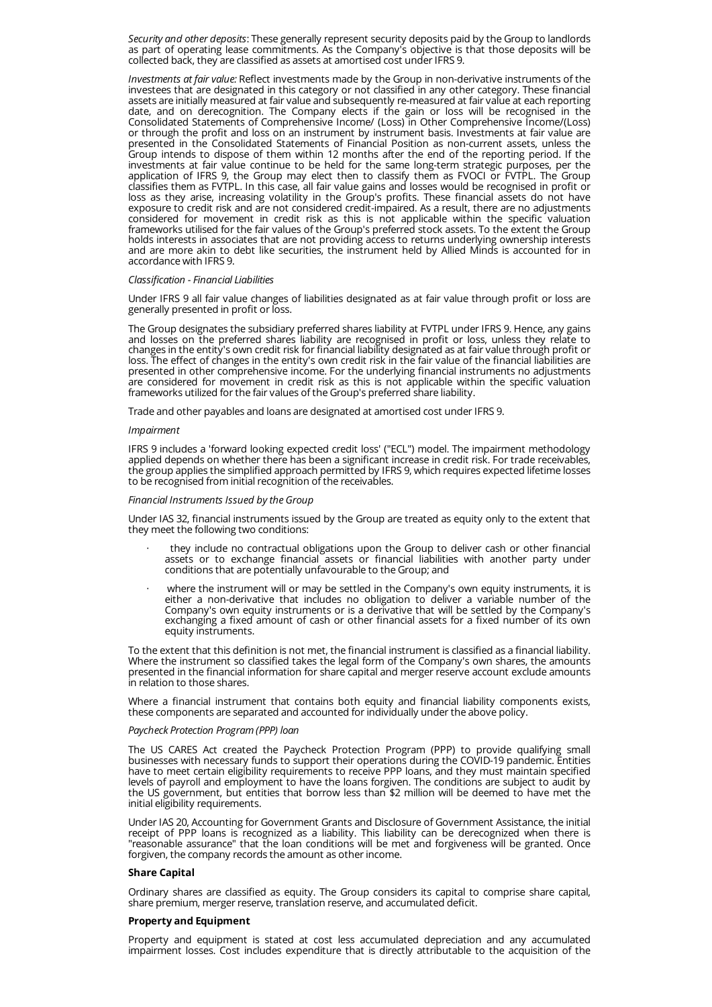*Security and other deposits*: These generally represent security deposits paid by the Group to landlords as part of operating lease commitments. As the Company's objective is that those deposits will be collected back, they are classified as assets at amortised cost under IFRS 9.

*Investments at fair value:* Reflect investments made by the Group in non-derivative instruments of the investees that are designated in this category or not classified in any other category. These financial assets are initially measured at fair value and subsequently re-measured at fair value at each reporting date, and on derecognition. The Company elects if the gain or loss will be recognised in the Consolidated Statements of Comprehensive Income/ (Loss) in Other Comprehensive Income/(Loss) or through the profit and loss on an instrument by instrument basis. Investments at fair value are presented in the Consolidated Statements of Financial Position as non-current assets, unless the Group intends to dispose of them within 12 months after the end of the reporting period. If the investments at fair value continue to be held for the same long-term strategic purposes, per the application of IFRS 9, the Group may elect then to classify them as FVOCI or FVTPL. The Group classifies them as FVTPL. In this case, all fair value gains and losses would be recognised in profit or loss as they arise, increasing volatility in the Group's profits. These financial assets do not have exposure to credit risk and are not considered credit-impaired. As a result, there are no adjustments considered for movement in credit risk as this is not applicable within the specific valuation frameworks utilised for the fair values of the Group's preferred stock assets. To the extent the Group holds interests in associates that are not providing access to returns underlying ownership interests and are more akin to debt like securities, the instrument held by Allied Minds is accounted for in accordance with IFRS 9.

### *Classification - Financial Liabilities*

Under IFRS 9 all fair value changes of liabilities designated as at fair value through profit or loss are generally presented in profit or loss.

The Group designates the subsidiary preferred shares liability at FVTPL under IFRS 9. Hence, any gains and losses on the preferred shares liability are recognised in profit or loss, unless they relate to changes in the entity's own credit risk for financial liability designated as at fair value through profit or loss. The effect of changes in the entity's own credit risk in the fair value of the financial liabilities are presented in other comprehensive income. For the underlying financial instruments no adjustments are considered for movement in credit risk as this is not applicable within the specific valuation frameworks utilized for the fair values of the Group's preferred share liability.

Trade and other payables and loans are designated at amortised cost under IFRS 9.

#### *Impairment*

IFRS 9 includes a 'forward looking expected credit loss' ("ECL") model. The impairment methodology applied depends on whether there has been a significant increase in credit risk. For trade receivables, the group applies the simplified approach permitted by IFRS 9, which requires expected lifetime losses to be recognised from initial recognition of the receivables.

#### *Financial Instruments Issued by the Group*

Under IAS 32, financial instruments issued by the Group are treated as equity only to the extent that they meet the following two conditions:

- · they include no contractual obligations upon the Group to deliver cash or other financial assets or to exchange financial assets or financial liabilities with another party under conditions that are potentially unfavourable to the Group; and
- where the instrument will or may be settled in the Company's own equity instruments, it is either a non-derivative that includes no obligation to deliver a variable number of the Company's own equity instruments or is a derivative that will be settled by the Company's exchanging a fixed amount of cash or other financial assets for a fixed number of its own equity instruments.

To the extent that this definition is not met, the financial instrument is classified as a financial liability. Where the instrument so classified takes the legal form of the Company's own shares, the amounts presented in the financial information for share capital and merger reserve account exclude amounts in relation to those shares.

Where a financial instrument that contains both equity and financial liability components exists, these components are separated and accounted for individually under the above policy.

#### *Paycheck Protection Program (PPP) loan*

The US CARES Act created the Paycheck Protection Program (PPP) to provide qualifying small businesses with necessary funds to support their operations during the COVID-19 pandemic. Entities have to meet certain eligibility requirements to receive PPP loans, and they must maintain specified levels of payroll and employment to have the loans forgiven. The conditions are subject to audit by the US government, but entities that borrow less than \$2 million will be deemed to have met the initial eligibility requirements.

Under IAS 20, Accounting for Government Grants and Disclosure of Government Assistance, the initial receipt of PPP loans is recognized as a liability. This liability can be derecognized when there is "reasonable assurance" that the loan conditions will be met and forgiveness will be granted. Once forgiven, the company records the amount as other income.

#### **Share Capital**

Ordinary shares are classified as equity. The Group considers its capital to comprise share capital, share premium, merger reserve, translation reserve, and accumulated deficit.

#### **Property and Equipment**

Property and equipment is stated at cost less accumulated depreciation and any accumulated impairment losses. Cost includes expenditure that is directly attributable to the acquisition of the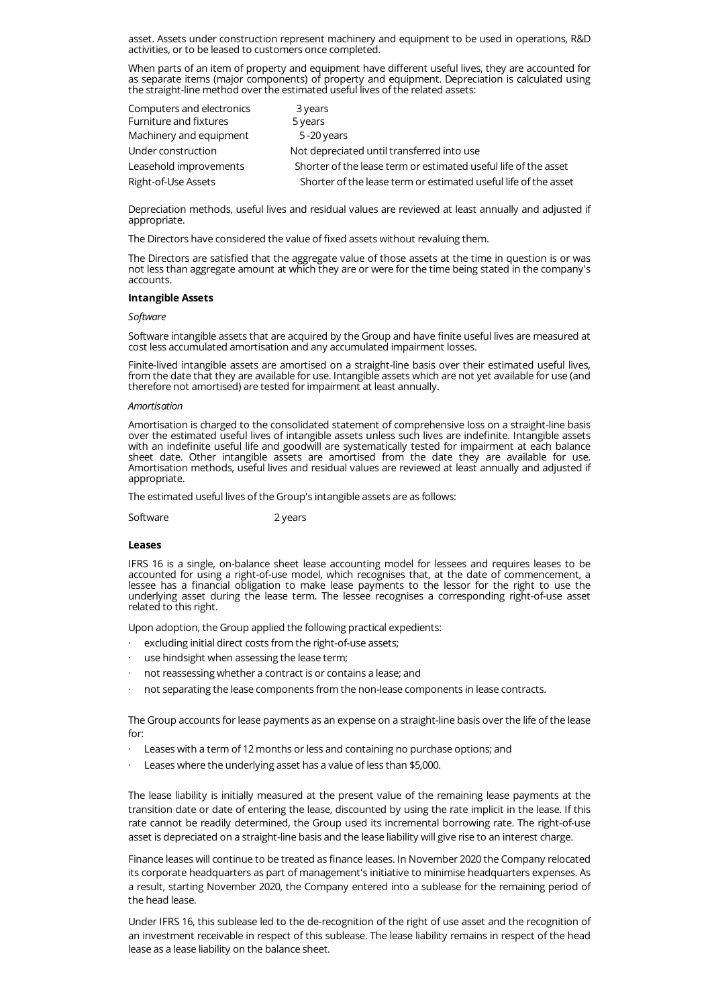asset. Assets under construction represent machinery and equipment to be used in operations, R&D activities, or to be leased to customers once completed.

When parts of an item of property and equipment have different useful lives, they are accounted for as separate items (major components) of property and equipment. Depreciation is calculated using the straight-line method over the estimated useful lives of the related assets:

| Computers and electronics | 3 years                                                         |
|---------------------------|-----------------------------------------------------------------|
| Furniture and fixtures    | 5 years                                                         |
| Machinery and equipment   | $5 - 20$ years                                                  |
| Under construction        | Not depreciated until transferred into use                      |
| Leasehold improvements    | Shorter of the lease term or estimated useful life of the asset |
| Right-of-Use Assets       | Shorter of the lease term or estimated useful life of the asset |

Depreciation methods, useful lives and residual values are reviewed at least annually and adjusted if appropriate.

The Directors have considered the value of fixed assets without revaluing them.

The Directors are satisfied that the aggregate value of those assets at the time in question is or was not less than aggregate amount at which they are or were for the time being stated in the company's accounts.

# **Intangible Assets**

#### *Software*

Software intangible assets that are acquired by the Group and have finite useful lives are measured at cost less accumulated amortisation and any accumulated impairment losses.

Finite-lived intangible assets are amortised on a straight-line basis over their estimated useful lives, from the date that they are available for use. Intangible assets which are not yet available for use (and therefore not amortised) are tested for impairment at least annually.

#### *Amortisation*

Amortisation is charged to the consolidated statement of comprehensive loss on a straight-line basis over the estimated useful lives of intangible assets unless such lives are indefinite. Intangible assets with an indefinite useful life and goodwill are systematically tested for impairment at each balance sheet date. Other intangible assets are amortised from the date they are available for use. Amortisation methods, useful lives and residual values are reviewed at least annually and adjusted if appropriate.

The estimated useful lives of the Group's intangible assets are as follows:

Software 2 years

#### **Leases**

IFRS 16 is a single, on-balance sheet lease accounting model for lessees and requires leases to be accounted for using a right-of-use model, which recognises that, at the date of commencement, a lessee has a financial obligation to make lease payments to the lessor for the right to use the underlying asset during the lease term. The lessee recognises a corresponding right-of-use asset related to this right.

Upon adoption, the Group applied the following practical expedients:

- excluding initial direct costs from the right-of-use assets;
- use hindsight when assessing the lease term;
- not reassessing whether a contract is or contains a lease; and
- not separating the lease components from the non-lease components in lease contracts.

The Group accounts for lease payments as an expense on a straight-line basis over the life of the lease for:

- · Leases with a term of 12 months or less and containing no purchase options; and
- Leases where the underlying asset has a value of less than \$5,000.

The lease liability is initially measured at the present value of the remaining lease payments at the transition date or date of entering the lease, discounted by using the rate implicit in the lease. If this rate cannot be readily determined, the Group used its incremental borrowing rate. The right-of-use asset is depreciated on a straight-line basis and the lease liability will give rise to an interest charge.

Finance leases will continue to be treated as finance leases. In November 2020 the Company relocated its corporate headquarters as part of management's initiative to minimise headquarters expenses. As a result, starting November 2020, the Company entered into a sublease for the remaining period of the head lease.

Under IFRS 16, this sublease led to the de-recognition of the right of use asset and the recognition of an investment receivable in respect of this sublease. The lease liability remains in respect of the head lease as a lease liability on the balance sheet.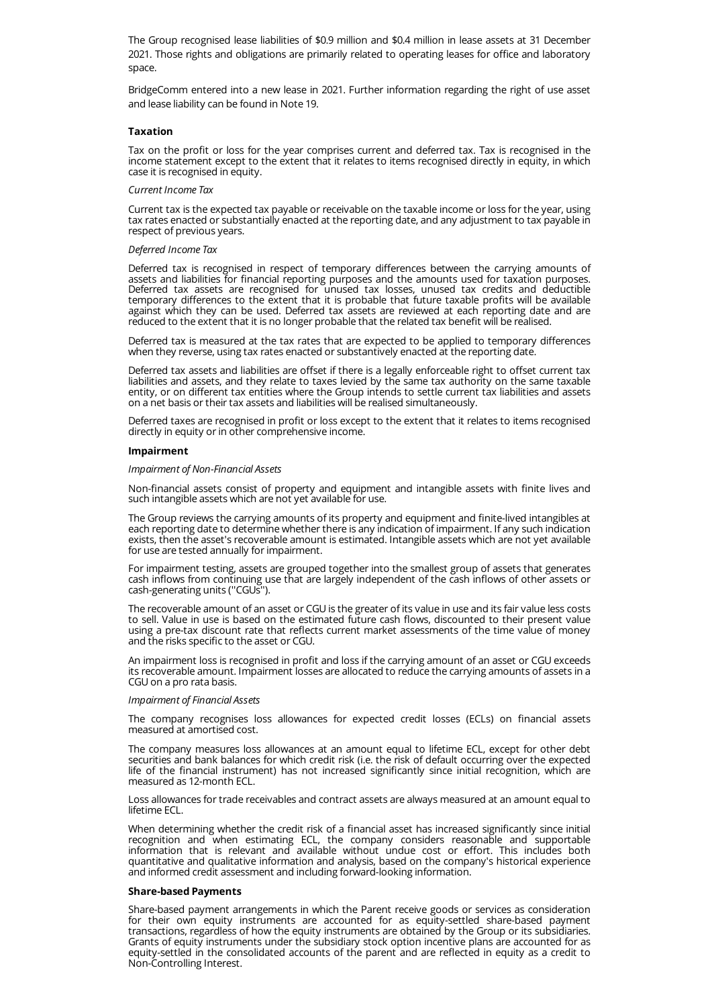The Group recognised lease liabilities of \$0.9 million and \$0.4 million in lease assets at 31 December 2021. Those rights and obligations are primarily related to operating leases for office and laboratory space.

BridgeComm entered into a new lease in 2021. Further information regarding the right of use asset and lease liability can be found in Note 19.

#### **Taxation**

Tax on the profit or loss for the year comprises current and deferred tax. Tax is recognised in the income statement except to the extent that it relates to items recognised directly in equity, in which case it is recognised in equity.

#### *Current Income Tax*

Current tax is the expected tax payable or receivable on the taxable income or loss for the year, using tax rates enacted or substantially enacted at the reporting date, and any adjustment to tax payable in respect of previous years.

#### *Deferred Income Tax*

Deferred tax is recognised in respect of temporary differences between the carrying amounts of assets and liabilities for financial reporting purposes and the amounts used for taxation purposes. Deferred tax assets are recognised for unused tax losses, unused tax credits and deductible temporary differences to the extent that it is probable that future taxable profits will be available against which they can be used. Deferred tax assets are reviewed at each reporting date and are reduced to the extent that it is no longer probable that the related tax benefit will be realised.

Deferred tax is measured at the tax rates that are expected to be applied to temporary differences when they reverse, using tax rates enacted or substantively enacted at the reporting date.

Deferred tax assets and liabilities are offset if there is a legally enforceable right to offset current tax liabilities and assets, and they relate to taxes levied by the same tax authority on the same taxable entity, or on different tax entities where the Group intends to settle current tax liabilities and assets on a net basis or their tax assets and liabilities will be realised simultaneously.

Deferred taxes are recognised in profit or loss except to the extent that it relates to items recognised directly in equity or in other comprehensive income.

#### **Impairment**

#### *Impairment of Non-Financial Assets*

Non-financial assets consist of property and equipment and intangible assets with finite lives and such intangible assets which are not yet available for use.

The Group reviews the carrying amounts of its property and equipment and finite-lived intangibles at each reporting date to determine whether there is any indication of impairment. If any such indication exists, then the asset's recoverable amount is estimated. Intangible assets which are not yet available for use are tested annually for impairment.

For impairment testing, assets are grouped together into the smallest group of assets that generates cash inflows from continuing use that are largely independent of the cash inflows of other assets or cash-generating units (''CGUs'').

The recoverable amount of an asset or CGU is the greater of its value in use and its fair value less costs to sell. Value in use is based on the estimated future cash flows, discounted to their present value using a pre-tax discount rate that reflects current market assessments of the time value of money and the risks specific to the asset or CGU.

An impairment loss is recognised in profit and loss if the carrying amount of an asset or CGU exceeds its recoverable amount. Impairment losses are allocated to reduce the carrying amounts of assets in a CGU on a pro rata basis.

#### *Impairment of Financial Assets*

The company recognises loss allowances for expected credit losses (ECLs) on financial assets measured at amortised cost.

The company measures loss allowances at an amount equal to lifetime ECL, except for other debt securities and bank balances for which credit risk (i.e. the risk of default occurring over the expected life of the financial instrument) has not increased significantly since initial recognition, which are measured as 12-month ECL.

Loss allowances for trade receivables and contract assets are always measured at an amount equal to lifetime ECL.

When determining whether the credit risk of a financial asset has increased significantly since initial recognition and when estimating ECL, the company considers reasonable and supportable information that is relevant and available without undue cost or effort. This includes both quantitative and qualitative information and analysis, based on the company's historical experience and informed credit assessment and including forward-looking information.

#### **Share-based Payments**

Share-based payment arrangements in which the Parent receive goods or services as consideration for their own equity instruments are accounted for as equity-settled share-based payment transactions, regardless of how the equity instruments are obtained by the Group or its subsidiaries. Grants of equity instruments under the subsidiary stock option incentive plans are accounted for as equity-settled in the consolidated accounts of the parent and are reflected in equity as a credit to Non-Controlling Interest.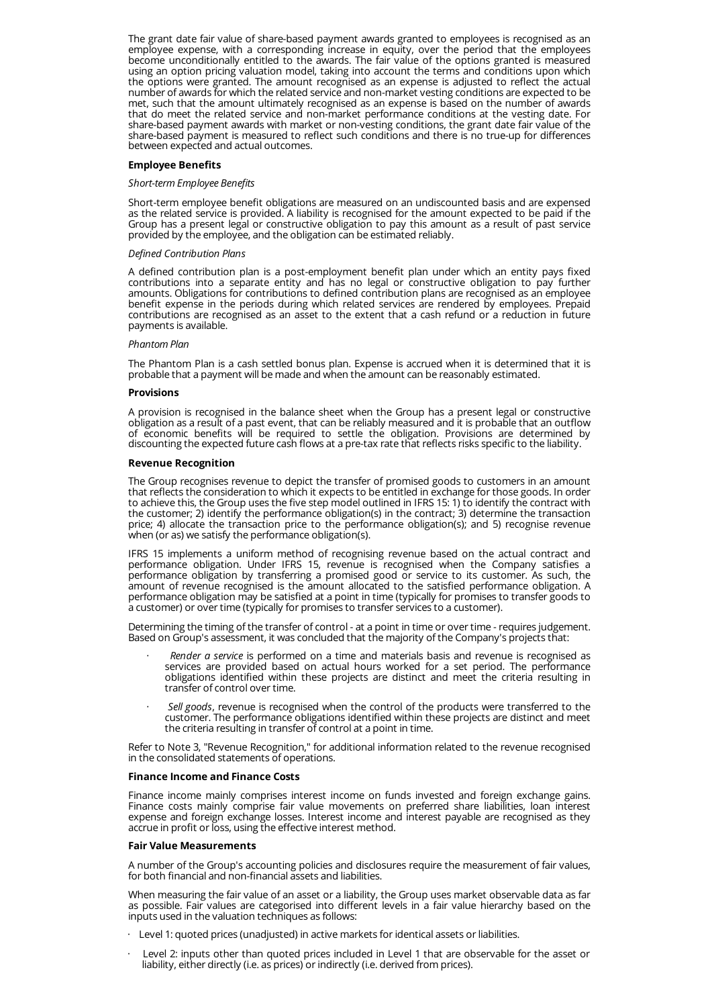The grant date fair value of share-based payment awards granted to employees is recognised as an employee expense, with a corresponding increase in equity, over the period that the employees become unconditionally entitled to the awards. The fair value of the options granted is measured using an option pricing valuation model, taking into account the terms and conditions upon which the options were granted. The amount recognised as an expense is adjusted to reflect the actual number of awards for which the related service and non-market vesting conditions are expected to be met, such that the amount ultimately recognised as an expense is based on the number of awards that do meet the related service and non-market performance conditions at the vesting date. For share-based payment awards with market or non-vesting conditions, the grant date fair value of the share-based payment is measured to reflect such conditions and there is no true-up for differences between expected and actual outcomes.

### **Employee Benefits**

### *Short-term Employee Benefits*

Short-term employee benefit obligations are measured on an undiscounted basis and are expensed as the related service is provided. A liability is recognised for the amount expected to be paid if the Group has a present legal or constructive obligation to pay this amount as a result of past service provided by the employee, and the obligation can be estimated reliably.

#### *Defined Contribution Plans*

A defined contribution plan is a post-employment benefit plan under which an entity pays fixed contributions into a separate entity and has no legal or constructive obligation to pay further amounts. Obligations for contributions to defined contribution plans are recognised as an employee benefit expense in the periods during which related services are rendered by employees. Prepaid contributions are recognised as an asset to the extent that a cash refund or a reduction in future payments is available.

#### *Phantom Plan*

The Phantom Plan is a cash settled bonus plan. Expense is accrued when it is determined that it is probable that a payment will be made and when the amount can be reasonably estimated.

#### **Provisions**

A provision is recognised in the balance sheet when the Group has a present legal or constructive obligation as a result of a past event, that can be reliably measured and it is probable that an outflow of economic benefits will be required to settle the obligation. Provisions are determined by discounting the expected future cash flows at a pre-tax rate that reflects risks specific to the liability.

# **Revenue Recognition**

The Group recognises revenue to depict the transfer of promised goods to customers in an amount that reflects the consideration to which it expects to be entitled in exchange for those goods. In order to achieve this, the Group uses the five step model outlined in IFRS 15: 1) to identify the contract with the customer; 2) identify the performance obligation(s) in the contract; 3) determine the transaction price; 4) allocate the transaction price to the performance obligation(s); and 5) recognise revenue when (or as) we satisfy the performance obligation(s).

IFRS 15 implements a uniform method of recognising revenue based on the actual contract and performance obligation. Under IFRS 15, revenue is recognised when the Company satisfies a performance obligation by transferring a promised good or service to its customer. As such, the amount of revenue recognised is the amount allocated to the satisfied performance obligation. A performance obligation may be satisfied at a point in time (typically for promises to transfer goods to a customer) or over time (typically for promises to transfer services to a customer).

Determining the timing of the transfer of control - at a point in time or over time - requires judgement. Based on Group's assessment, it was concluded that the majority of the Company's projects that:

- · *Render a service* is performed on a time and materials basis and revenue is recognised as services are provided based on actual hours worked for a set period. The performance obligations identified within these projects are distinct and meet the criteria resulting in transfer of control over time.
- · *Sell goods*, revenue is recognised when the control of the products were transferred to the customer. The performance obligations identified within these projects are distinct and meet the criteria resulting in transfer of control at a point in time.

Refer to Note 3, "Revenue Recognition," for additional information related to the revenue recognised in the consolidated statements of operations.

# **Finance Income and Finance Costs**

Finance income mainly comprises interest income on funds invested and foreign exchange gains. Finance costs mainly comprise fair value movements on preferred share liabilities, loan interest expense and foreign exchange losses. Interest income and interest payable are recognised as they accrue in profit or loss, using the effective interest method.

# **Fair Value Measurements**

A number of the Group's accounting policies and disclosures require the measurement of fair values, for both financial and non-financial assets and liabilities.

When measuring the fair value of an asset or a liability, the Group uses market observable data as far as possible. Fair values are categorised into different levels in a fair value hierarchy based on the inputs used in the valuation techniques as follows:

- Level 1: quoted prices (unadjusted) in active markets for identical assets or liabilities.
- Level 2: inputs other than quoted prices included in Level 1 that are observable for the asset or liability, either directly (i.e. as prices) or indirectly (i.e. derived from prices).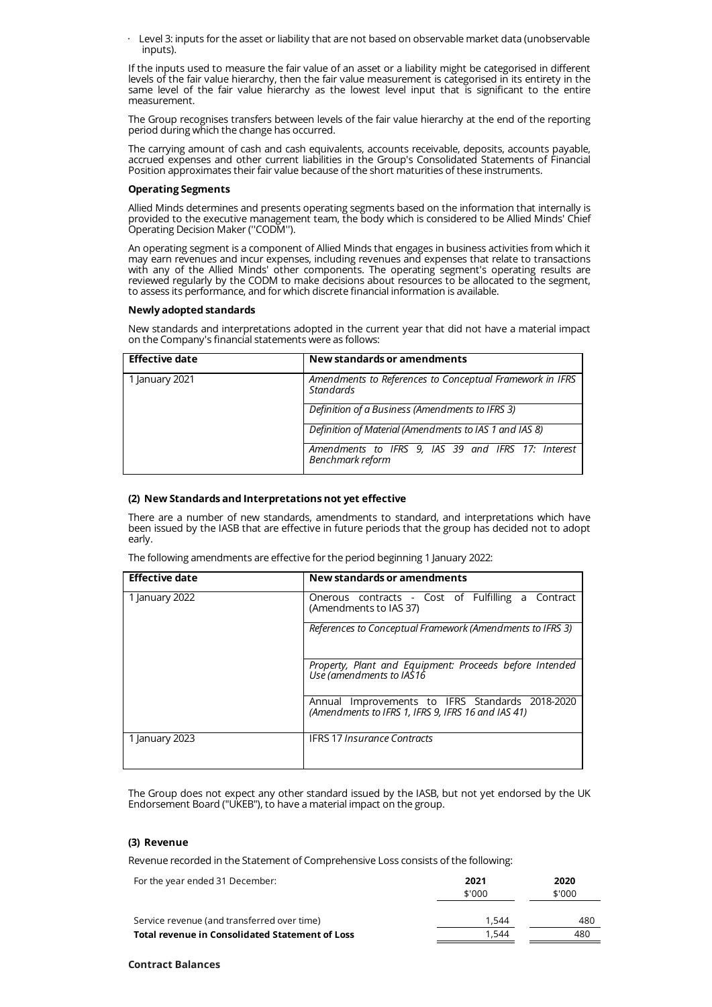Level 3: inputs for the asset or liability that are not based on observable market data (unobservable inputs).

If the inputs used to measure the fair value of an asset or a liability might be categorised in different levels of the fair value hierarchy, then the fair value measurement is categorised in its entirety in the same level of the fair value hierarchy as the lowest level input that is significant to the entire measurement.

The Group recognises transfers between levels of the fair value hierarchy at the end of the reporting period during which the change has occurred.

The carrying amount of cash and cash equivalents, accounts receivable, deposits, accounts payable, accrued expenses and other current liabilities in the Group's Consolidated Statements of Financial Position approximates their fair value because of the short maturities of these instruments.

# **Operating Segments**

Allied Minds determines and presents operating segments based on the information that internally is provided to the executive management team, the body which is considered to be Allied Minds' Chief Operating Decision Maker (''CODM'').

An operating segment is a component of Allied Minds that engages in business activities from which it may earn revenues and incur expenses, including revenues and expenses that relate to transactions with any of the Allied Minds' other components. The operating segment's operating results are reviewed regularly by the CODM to make decisions about resources to be allocated to the segment, to assess its performance, and for which discrete financial information is available.

# **Newly adopted standards**

New standards and interpretations adopted in the current year that did not have a material impact on the Company's financial statements were as follows:

| <b>Effective date</b> | New standards or amendments                                                  |  |  |  |
|-----------------------|------------------------------------------------------------------------------|--|--|--|
| 1 January 2021        | Amendments to References to Conceptual Framework in IFRS<br><b>Standards</b> |  |  |  |
|                       | Definition of a Business (Amendments to IFRS 3)                              |  |  |  |
|                       | Definition of Material (Amendments to IAS 1 and IAS 8)                       |  |  |  |
|                       | Amendments to IFRS 9, IAS 39 and IFRS 17: Interest<br>Benchmark reform       |  |  |  |

# **(2) New Standards and Interpretations not yet effective**

There are a number of new standards, amendments to standard, and interpretations which have been issued by the IASB that are effective in future periods that the group has decided not to adopt early.

|  | The following amendments are effective for the period beginning 1 January 2022: |  |
|--|---------------------------------------------------------------------------------|--|

| <b>Effective date</b> | New standards or amendments                                                                           |
|-----------------------|-------------------------------------------------------------------------------------------------------|
| 1 January 2022        | Onerous contracts - Cost of Fulfilling a Contract<br>(Amendments to IAS 37)                           |
|                       | References to Conceptual Framework (Amendments to IFRS 3)                                             |
|                       | Property, Plant and Equipment: Proceeds before Intended<br>Use (amendments to IAS16                   |
|                       | Annual Improvements to IFRS Standards 2018-2020<br>(Amendments to IFRS 1, IFRS 9, IFRS 16 and IAS 41) |
| 1 January 2023        | <b>IFRS 17 Insurance Contracts</b>                                                                    |

The Group does not expect any other standard issued by the IASB, but not yet endorsed by the UK Endorsement Board ("UKEB"), to have a material impact on the group.

# **(3) Revenue**

Revenue recorded in the Statement of Comprehensive Loss consists of the following:

| For the year ended 31 December:                 | 2021<br>\$'000 | 2020<br>\$'000 |
|-------------------------------------------------|----------------|----------------|
| Service revenue (and transferred over time)     | 1.544          | 480            |
| Total revenue in Consolidated Statement of Loss | 1.544          | 480            |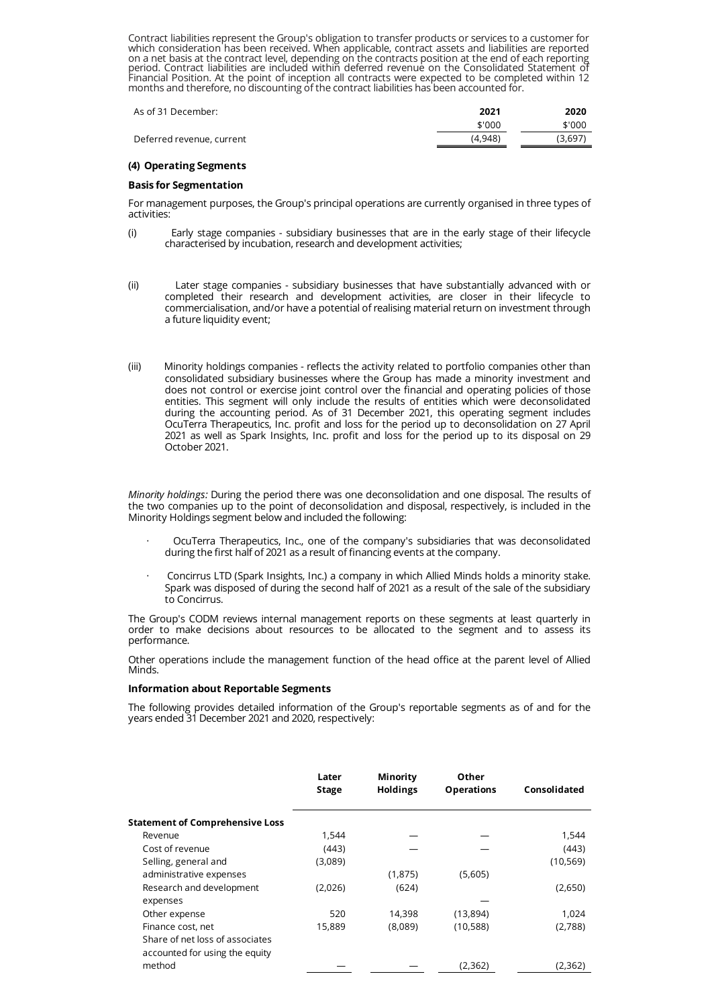Contract liabilities represent the Group's obligation to transfer products or services to a customer for which consideration has been received. When applicable, contract assets and liabilities are reported on a net basis at the contract level, depending on the contracts position at the end of each reporting period. Contract liabilities are included within deferred revenue on the Consolidated Statement of Financial Position. At the point of inception all contracts were expected to be completed within 12 months and therefore, no discounting of the contract liabilities has been accounted for.

| As of 31 December:        | 2021    | 2020   |
|---------------------------|---------|--------|
|                           | \$'000  | \$'000 |
| Deferred revenue, current | (4.948) | (3.697 |

# **(4) Operating Segments**

# **Basis for Segmentation**

For management purposes, the Group's principal operations are currently organised in three types of activities:

- (i) Early stage companies subsidiary businesses that are in the early stage of their lifecycle characterised by incubation, research and development activities;
- (ii) Later stage companies subsidiary businesses that have substantially advanced with or completed their research and development activities, are closer in their lifecycle to commercialisation, and/or have a potential of realising material return on investment through a future liquidity event;
- (iii) Minority holdings companies reflects the activity related to portfolio companies other than consolidated subsidiary businesses where the Group has made a minority investment and does not control or exercise joint control over the financial and operating policies of those entities. This segment will only include the results of entities which were deconsolidated during the accounting period. As of 31 December 2021, this operating segment includes OcuTerra Therapeutics, Inc. profit and loss for the period up to deconsolidation on 27 April 2021 as well as Spark Insights, Inc. profit and loss for the period up to its disposal on 29 October 2021.

*Minority holdings:* During the period there was one deconsolidation and one disposal. The results of the two companies up to the point of deconsolidation and disposal, respectively, is included in the Minority Holdings segment below and included the following:

- OcuTerra Therapeutics, Inc., one of the company's subsidiaries that was deconsolidated during the first half of 2021 as a result of financing events at the company.
- · Concirrus LTD (Spark Insights, Inc.) a company in which Allied Minds holds a minority stake. Spark was disposed of during the second half of 2021 as a result of the sale of the subsidiary to Concirrus.

The Group's CODM reviews internal management reports on these segments at least quarterly in order to make decisions about resources to be allocated to the segment and to assess its performance.

Other operations include the management function of the head office at the parent level of Allied Minds.

# **Information about Reportable Segments**

The following provides detailed information of the Group's reportable segments as of and for the years ended 31 December 2021 and 2020, respectively:

|                                        | Later<br><b>Stage</b> | Minority<br><b>Holdings</b> | Other<br><b>Operations</b> | Consolidated |
|----------------------------------------|-----------------------|-----------------------------|----------------------------|--------------|
| <b>Statement of Comprehensive Loss</b> |                       |                             |                            |              |
| Revenue                                | 1,544                 |                             |                            | 1,544        |
| Cost of revenue                        | (443)                 |                             |                            | (443)        |
| Selling, general and                   | (3,089)               |                             |                            | (10, 569)    |
| administrative expenses                |                       | (1,875)                     | (5,605)                    |              |
| Research and development               | (2,026)               | (624)                       |                            | (2,650)      |
| expenses                               |                       |                             |                            |              |
| Other expense                          | 520                   | 14,398                      | (13,894)                   | 1,024        |
| Finance cost, net                      | 15,889                | (8,089)                     | (10, 588)                  | (2,788)      |
| Share of net loss of associates        |                       |                             |                            |              |
| accounted for using the equity         |                       |                             |                            |              |
| method                                 |                       |                             | (2,362)                    | (2,362)      |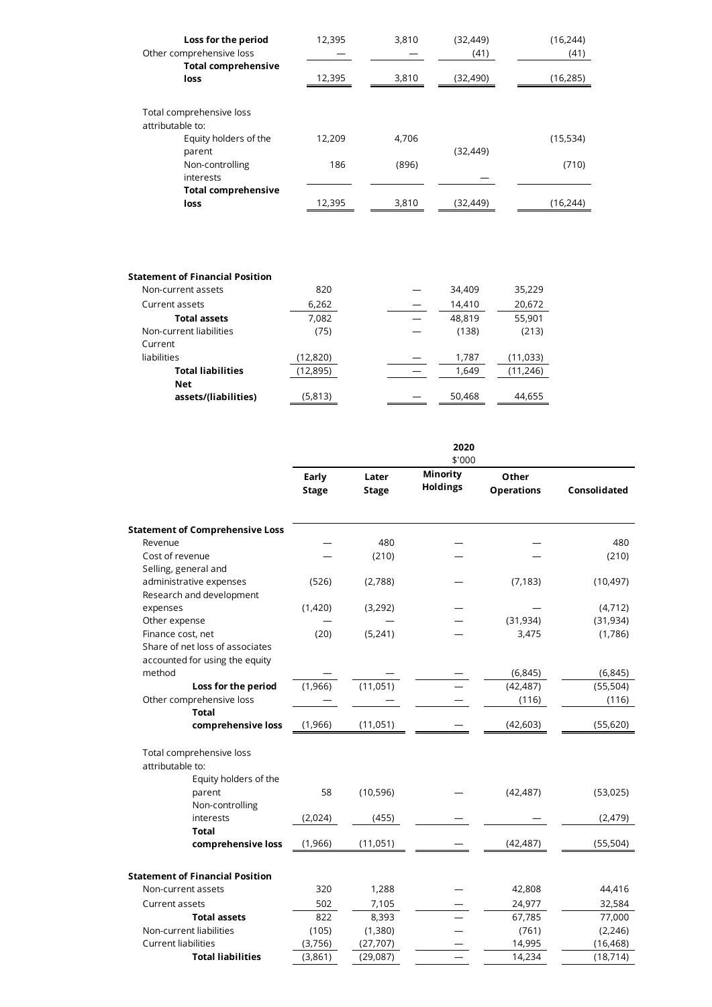| Loss for the period<br>Other comprehensive loss | 12,395 | 3,810 | (32, 449)<br>(41) | (16, 244)<br>(41) |
|-------------------------------------------------|--------|-------|-------------------|-------------------|
| <b>Total comprehensive</b><br>loss              | 12,395 | 3,810 | (32,490)          | (16, 285)         |
| Total comprehensive loss<br>attributable to:    |        |       |                   |                   |
| Equity holders of the                           | 12,209 | 4,706 |                   | (15,534)          |
| parent                                          |        |       | (32, 449)         |                   |
| Non-controlling<br>interests                    | 186    | (896) |                   | (710)             |
| <b>Total comprehensive</b>                      |        |       |                   |                   |
| loss                                            | 12.395 | 3.810 | (32.449)          | (16, 244)         |

# **Statement of Financial Position** Non-current assets 820 — 34,409 35,229 Current assets 6,262 ― 14,410 20,672 **Total assets** 7,082 ― 48,819 55,901 Non-current liabilities (75) — (138) (213) Current liabilities (12,820) ― 1,787 (11,033) **Total liabilities** (12,895) — 1,649 (11,246) **Net assets/(liabilities)** (5,813) — 50,468 44,655

|                                                                   | 2020<br>\$'000        |                       |                             |                            |                     |  |  |
|-------------------------------------------------------------------|-----------------------|-----------------------|-----------------------------|----------------------------|---------------------|--|--|
|                                                                   | Early<br><b>Stage</b> | Later<br><b>Stage</b> | Minority<br><b>Holdings</b> | Other<br><b>Operations</b> | <b>Consolidated</b> |  |  |
| <b>Statement of Comprehensive Loss</b>                            |                       |                       |                             |                            |                     |  |  |
| Revenue                                                           |                       | 480                   |                             |                            | 480                 |  |  |
| Cost of revenue                                                   |                       | (210)                 |                             |                            | (210)               |  |  |
| Selling, general and                                              |                       |                       |                             |                            |                     |  |  |
| administrative expenses<br>Research and development               | (526)                 | (2,788)               |                             | (7, 183)                   | (10, 497)           |  |  |
| expenses                                                          | (1,420)               | (3,292)               |                             |                            | (4, 712)            |  |  |
| Other expense                                                     |                       |                       |                             | (31, 934)                  | (31, 934)           |  |  |
| Finance cost, net                                                 | (20)                  | (5,241)               |                             | 3,475                      | (1,786)             |  |  |
| Share of net loss of associates<br>accounted for using the equity |                       |                       |                             |                            |                     |  |  |
| method                                                            |                       |                       |                             | (6, 845)                   | (6, 845)            |  |  |
| Loss for the period                                               | (1,966)               | (11, 051)             |                             | (42, 487)                  | (55, 504)           |  |  |
| Other comprehensive loss                                          |                       |                       |                             | (116)                      | (116)               |  |  |
| <b>Total</b>                                                      |                       |                       |                             |                            |                     |  |  |
| comprehensive loss                                                | (1,966)               | (11,051)              |                             | (42, 603)                  | (55, 620)           |  |  |
| Total comprehensive loss<br>attributable to:                      |                       |                       |                             |                            |                     |  |  |
| Equity holders of the                                             |                       |                       |                             |                            |                     |  |  |
| parent                                                            | 58                    | (10, 596)             |                             | (42, 487)                  | (53,025)            |  |  |
| Non-controlling                                                   |                       |                       |                             |                            |                     |  |  |
| interests                                                         | (2,024)               | (455)                 |                             |                            | (2, 479)            |  |  |
| <b>Total</b>                                                      |                       |                       |                             |                            |                     |  |  |
| comprehensive loss                                                | (1,966)               | (11, 051)             |                             | (42, 487)                  | (55, 504)           |  |  |
| <b>Statement of Financial Position</b>                            |                       |                       |                             |                            |                     |  |  |
| Non-current assets                                                | 320                   | 1,288                 |                             | 42,808                     | 44,416              |  |  |
| <b>Current assets</b>                                             | 502                   | 7,105                 |                             | 24,977                     | 32,584              |  |  |
| <b>Total assets</b>                                               | 822                   | 8,393                 |                             | 67,785                     | 77,000              |  |  |
| Non-current liabilities                                           | (105)                 | (1,380)               |                             | (761)                      | (2, 246)            |  |  |
| <b>Current liabilities</b>                                        | (3,756)               | (27,707)              |                             | 14,995                     | (16, 468)           |  |  |
| <b>Total liabilities</b>                                          | (3,861)               | (29, 087)             |                             | 14,234                     | (18, 714)           |  |  |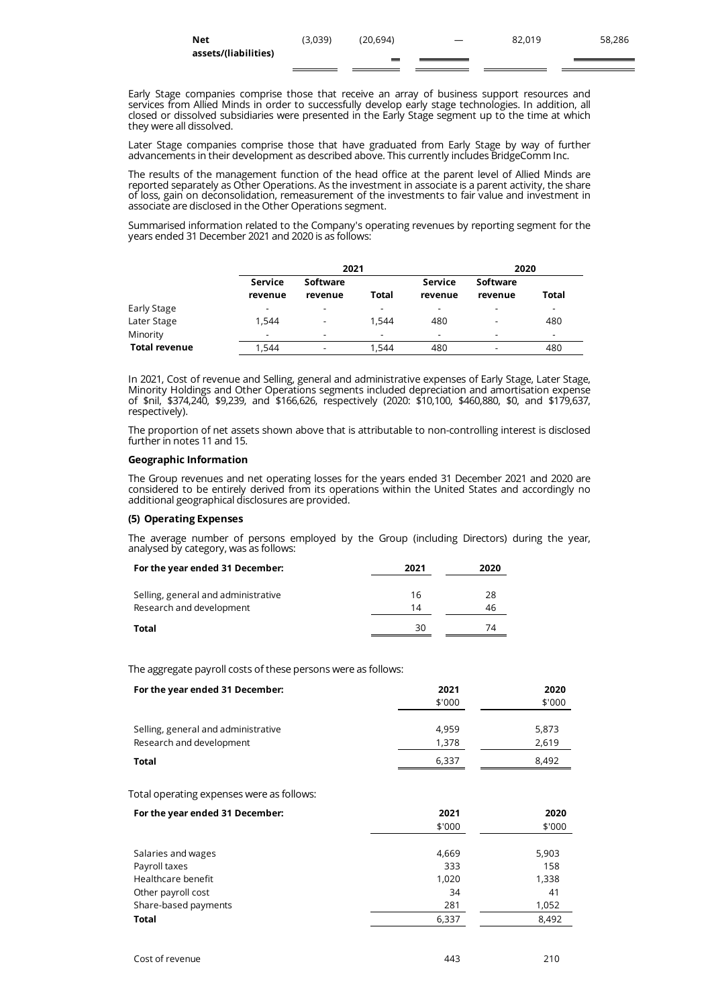| Net                  | (3.039) | (20.694) | 82.019 | 58,286 |
|----------------------|---------|----------|--------|--------|
| assets/(liabilities) |         |          |        |        |

Early Stage companies comprise those that receive an array of business support resources and services from Allied Minds in order to successfully develop early stage technologies. In addition, all closed or dissolved subsidiaries were presented in the Early Stage segment up to the time at which they were all dissolved.

Later Stage companies comprise those that have graduated from Early Stage by way of further advancements in their development as described above. This currently includes BridgeComm Inc.

The results of the management function of the head office at the parent level of Allied Minds are reported separately as Other Operations. As the investment in associate is a parent activity, the share of loss, gain on deconsolidation, remeasurement of the investments to fair value and investment in associate are disclosed in the Other Operations segment.

Summarised information related to the Company's operating revenues by reporting segment for the years ended 31 December 2021 and 2020 is as follows:

|                      |                    | 2021                     |                          |                          |                          | 2020                     |  |
|----------------------|--------------------|--------------------------|--------------------------|--------------------------|--------------------------|--------------------------|--|
|                      | Service<br>revenue | Software<br>revenue      | Total                    | Service<br>revenue       | Software<br>revenue      | Total                    |  |
| Early Stage          | -                  | -                        | $\overline{\phantom{0}}$ |                          | $\overline{\phantom{a}}$ |                          |  |
| Later Stage          | 1,544              | $\overline{\phantom{a}}$ | 1.544                    | 480                      | $\overline{\phantom{a}}$ | 480                      |  |
| Minority             | -                  | $\overline{\phantom{a}}$ | $\overline{\phantom{0}}$ | $\overline{\phantom{a}}$ | $\overline{\phantom{a}}$ | $\overline{\phantom{a}}$ |  |
| <b>Total revenue</b> | 1,544              |                          | 1.544                    | 480                      |                          | 480                      |  |

In 2021, Cost of revenue and Selling, general and administrative expenses of Early Stage, Later Stage, Minority Holdings and Other Operations segments included depreciation and amortisation expense of \$nil, \$374,240, \$9,239, and \$166,626, respectively (2020: \$10,100, \$460,880, \$0, and \$179,637, respectively).

The proportion of net assets shown above that is attributable to non-controlling interest is disclosed further in notes 11 and 15.

# **Geographic Information**

The Group revenues and net operating losses for the years ended 31 December 2021 and 2020 are considered to be entirely derived from its operations within the United States and accordingly no additional geographical disclosures are provided.

# **(5) Operating Expenses**

The average number of persons employed by the Group (including Directors) during the year, analysed by category, was as follows:

| For the year ended 31 December:     | 2021 | 2020 |
|-------------------------------------|------|------|
| Selling, general and administrative | 16   | 28   |
| Research and development            | 14   | 46   |
| Total                               | 30   | 74   |

The aggregate payroll costs of these persons were as follows:

| For the year ended 31 December:           | 2021<br>\$'000 | 2020<br>\$'000 |
|-------------------------------------------|----------------|----------------|
| Selling, general and administrative       | 4,959          | 5,873          |
| Research and development                  | 1,378          | 2,619          |
| <b>Total</b>                              | 6,337          | 8,492          |
| Total operating expenses were as follows: | 2021           | 2020           |
| For the year ended 31 December:           | \$'000         | \$'000         |
| Salaries and wages                        | 4,669          | 5,903          |
| Payroll taxes                             | 333            | 158            |
| Healthcare benefit                        | 1,020          | 1,338          |
| Other payroll cost                        | 34             | 41             |
| Share-based payments                      | 281            | 1,052          |
| <b>Total</b>                              | 6,337          | 8,492          |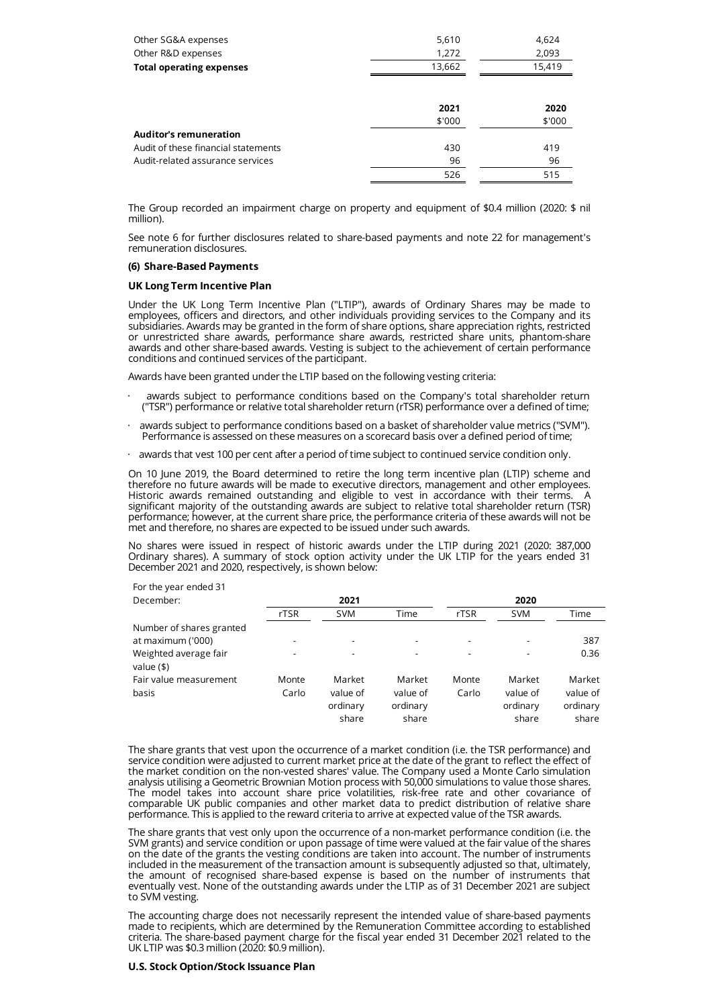| Other SG&A expenses                 | 5,610  | 4,624  |
|-------------------------------------|--------|--------|
| Other R&D expenses                  | 1,272  | 2,093  |
| <b>Total operating expenses</b>     | 13,662 | 15,419 |
|                                     |        |        |
|                                     | 2021   | 2020   |
|                                     | \$'000 | \$'000 |
| <b>Auditor's remuneration</b>       |        |        |
| Audit of these financial statements | 430    | 419    |
| Audit-related assurance services    | 96     | 96     |
|                                     | 526    | 515    |

The Group recorded an impairment charge on property and equipment of \$0.4 million (2020: \$ nil million).

See note 6 for further disclosures related to share-based payments and note 22 for management's remuneration disclosures.

# **(6) Share-Based Payments**

# **UK Long Term Incentive Plan**

Under the UK Long Term Incentive Plan ("LTIP"), awards of Ordinary Shares may be made to employees, officers and directors, and other individuals providing services to the Company and its subsidiaries. Awards may be granted in the form of share options, share appreciation rights, restricted or unrestricted share awards, performance share awards, restricted share units, phantom-share awards and other share-based awards. Vesting is subject to the achievement of certain performance conditions and continued services of the participant.

Awards have been granted under the LTIP based on the following vesting criteria:

- awards subject to performance conditions based on the Company's total shareholder return ("TSR") performance or relative total shareholder return (rTSR) performance over a defined of time;
- · awards subject to performance conditions based on a basket of shareholder value metrics ("SVM"). Performance is assessed on these measures on a scorecard basis over a defined period of time;
- awards that vest 100 per cent after a period of time subject to continued service condition only.

On 10 June 2019, the Board determined to retire the long term incentive plan (LTIP) scheme and therefore no future awards will be made to executive directors, management and other employees. Historic awards remained outstanding and eligible to vest in accordance with their terms. A significant majority of the outstanding awards are subject to relative total shareholder return (TSR) performance; however, at the current share price, the performance criteria of these awards will not be met and therefore, no shares are expected to be issued under such awards.

No shares were issued in respect of historic awards under the LTIP during 2021 (2020: 387,000 Ordinary shares). A summary of stock option activity under the UK LTIP for the years ended 31 December 2021 and 2020, respectively, is shown below:

| For the year ended 31                 |       |            |                          |                              |            |          |
|---------------------------------------|-------|------------|--------------------------|------------------------------|------------|----------|
| December:                             |       | 2021       |                          |                              | 2020       |          |
|                                       | rTSR  | <b>SVM</b> | Time                     | rTSR                         | <b>SVM</b> | Time     |
| Number of shares granted              |       |            |                          |                              |            |          |
| at maximum ('000)                     |       | -          | $\overline{\phantom{a}}$ | $\qquad \qquad \blacksquare$ |            | 387      |
| Weighted average fair<br>value $(\$)$ |       |            | -                        |                              |            | 0.36     |
| Fair value measurement                | Monte | Market     | Market                   | Monte                        | Market     | Market   |
| basis                                 | Carlo | value of   | value of                 | Carlo                        | value of   | value of |
|                                       |       | ordinary   | ordinary                 |                              | ordinary   | ordinary |
|                                       |       | share      | share                    |                              | share      | share    |

The share grants that vest upon the occurrence of a market condition (i.e. the TSR performance) and service condition were adjusted to current market price at the date of the grant to reflect the effect of the market condition on the non-vested shares' value. The Company used a Monte Carlo simulation analysis utilising a Geometric Brownian Motion process with 50,000 simulations to value those shares. The model takes into account share price volatilities, risk-free rate and other covariance of comparable UK public companies and other market data to predict distribution of relative share performance. This is applied to the reward criteria to arrive at expected value of the TSR awards.

The share grants that vest only upon the occurrence of a non-market performance condition (i.e. the SVM grants) and service condition or upon passage of time were valued at the fair value of the shares on the date of the grants the vesting conditions are taken into account. The number of instruments included in the measurement of the transaction amount is subsequently adjusted so that, ultimately, the amount of recognised share-based expense is based on the number of instruments that eventually vest. None of the outstanding awards under the LTIP as of 31 December 2021 are subject to SVM vesting.

The accounting charge does not necessarily represent the intended value of share-based payments made to recipients, which are determined by the Remuneration Committee according to established criteria. The share-based payment charge for the fiscal year ended 31 December 2021 related to the UK LTIP was \$0.3 million (2020: \$0.9 million).

### **U.S. Stock Option/Stock Issuance Plan**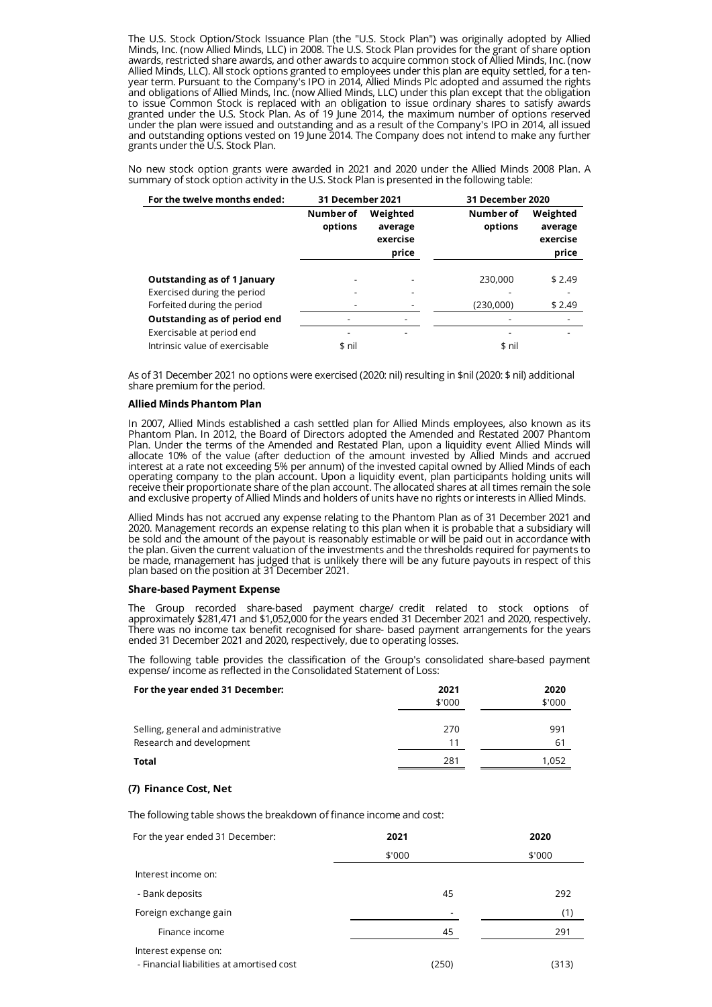The U.S. Stock Option/Stock Issuance Plan (the "U.S. Stock Plan") was originally adopted by Allied Minds, Inc. (now Allied Minds, LLC) in 2008. The U.S. Stock Plan provides for the grant of share option awards, restricted share awards, and other awards to acquire common stock of Allied Minds, Inc. (now Allied Minds, LLC). All stock options granted to employees under this plan are equity settled, for a tenyear term. Pursuant to the Company's IPO in 2014, Allied Minds Plc adopted and assumed the rights and obligations of Allied Minds, Inc. (now Allied Minds, LLC) under this plan except that the obligation to issue Common Stock is replaced with an obligation to issue ordinary shares to satisfy awards granted under the U.S. Stock Plan. As of 19 June 2014, the maximum number of options reserved under the plan were issued and outstanding and as a result of the Company's IPO in 2014, all issued and outstanding options vested on 19 June 2014. The Company does not intend to make any further grants under the U.S. Stock Plan.

No new stock option grants were awarded in 2021 and 2020 under the Allied Minds 2008 Plan. A summary of stock option activity in the U.S. Stock Plan is presented in the following table:

| For the twelve months ended:       | 31 December 2021     |                                          | 31 December 2020     |                                          |
|------------------------------------|----------------------|------------------------------------------|----------------------|------------------------------------------|
|                                    | Number of<br>options | Weighted<br>average<br>exercise<br>price | Number of<br>options | Weighted<br>average<br>exercise<br>price |
| <b>Outstanding as of 1 January</b> |                      |                                          | 230,000              | \$2.49                                   |
| Exercised during the period        |                      |                                          |                      |                                          |
| Forfeited during the period        |                      |                                          | (230,000)            | \$2.49                                   |
|                                    |                      |                                          |                      |                                          |
| Outstanding as of period end       |                      |                                          |                      |                                          |
| Exercisable at period end          |                      |                                          |                      |                                          |
| Intrinsic value of exercisable     | \$ nil               |                                          | \$ nil               |                                          |

As of 31 December 2021 no options were exercised (2020: nil) resulting in \$nil (2020: \$ nil) additional share premium for the period.

# **Allied Minds Phantom Plan**

In 2007, Allied Minds established a cash settled plan for Allied Minds employees, also known as its Phantom Plan. In 2012, the Board of Directors adopted the Amended and Restated 2007 Phantom Plan. Under the terms of the Amended and Restated Plan, upon a liquidity event Allied Minds will allocate 10% of the value (after deduction of the amount invested by Allied Minds and accrued interest at a rate not exceeding 5% per annum) of the invested capital owned by Allied Minds of each operating company to the plan account. Upon a liquidity event, plan participants holding units will receive their proportionate share of the plan account. The allocated shares at all times remain the sole and exclusive property of Allied Minds and holders of units have no rights or interests in Allied Minds.

Allied Minds has not accrued any expense relating to the Phantom Plan as of 31 December 2021 and 2020. Management records an expense relating to this plan when it is probable that a subsidiary will be sold and the amount of the payout is reasonably estimable or will be paid out in accordance with the plan. Given the current valuation of the investments and the thresholds required for payments to be made, management has judged that is unlikely there will be any future payouts in respect of this plan based on the position at 31 December 2021.

#### **Share-based Payment Expense**

The Group recorded share-based payment charge/ credit related to stock options of approximately \$281,471 and \$1,052,000 for the years ended 31 December 2021 and 2020, respectively. There was no income tax benefit recognised for share- based payment arrangements for the years ended 31 December 2021 and 2020, respectively, due to operating losses.

The following table provides the classification of the Group's consolidated share-based payment expense/ income as reflected in the Consolidated Statement of Loss:

| For the year ended 31 December:                                 | 2021<br>\$'000 | 2020<br>\$'000 |
|-----------------------------------------------------------------|----------------|----------------|
| Selling, general and administrative<br>Research and development | 270<br>11      | 991<br>61      |
| Total                                                           | 281            | 1.052          |

# **(7) Finance Cost, Net**

The following table shows the breakdown of finance income and cost:

| For the year ended 31 December:                                   | 2021   | 2020   |
|-------------------------------------------------------------------|--------|--------|
|                                                                   | \$'000 | \$'000 |
| Interest income on:                                               |        |        |
| - Bank deposits                                                   | 45     | 292    |
| Foreign exchange gain                                             |        | (1)    |
| Finance income                                                    | 45     | 291    |
| Interest expense on:<br>- Financial liabilities at amortised cost | (250)  | (313)  |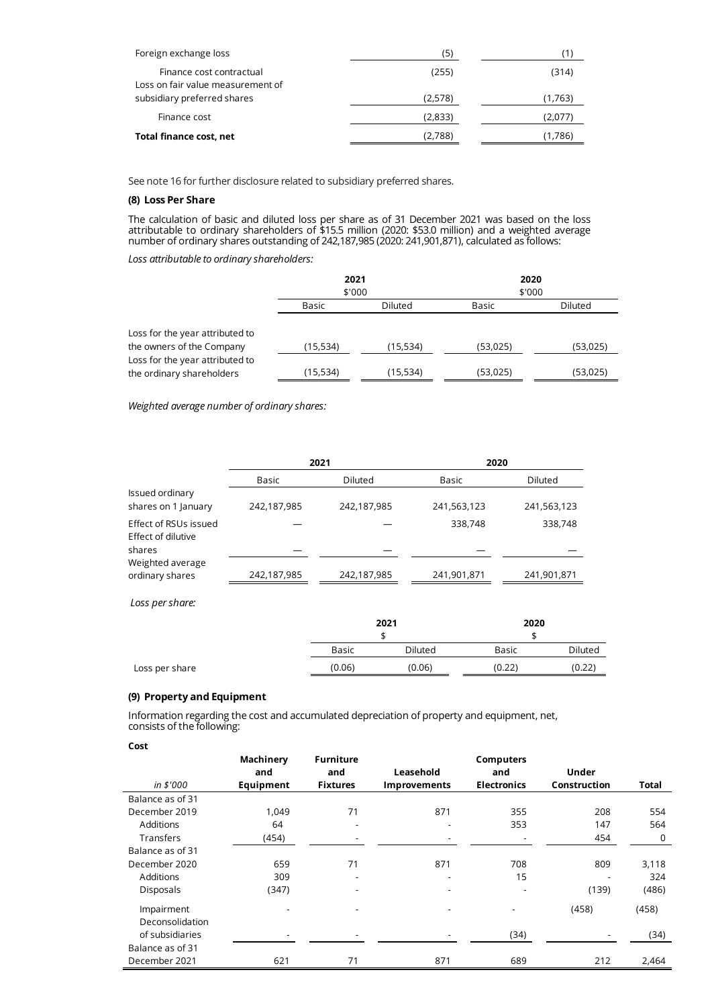| Foreign exchange loss                                         | (5)     |         |
|---------------------------------------------------------------|---------|---------|
| Finance cost contractual<br>Loss on fair value measurement of | (255)   | (314)   |
| subsidiary preferred shares                                   | (2,578) | (1,763) |
| Finance cost                                                  | (2,833) | (2,077) |
| Total finance cost, net                                       | (2.788) | (1,786) |

See note 16 for further disclosure related to subsidiary preferred shares.

# **(8) Loss Per Share**

The calculation of basic and diluted loss per share as of 31 December 2021 was based on the loss attributable to ordinary shareholders of \$15.5 million (2020: \$53.0 million) and a weighted average number of ordinary shares outstanding of 242,187,985 (2020: 241,901,871), calculated as follows:

*Loss attributable to ordinary shareholders:*

|                                                              | 2021<br>\$'000 |          | 2020<br>\$'000 |          |
|--------------------------------------------------------------|----------------|----------|----------------|----------|
|                                                              | Basic          | Diluted  | Basic          | Diluted  |
| Loss for the year attributed to<br>the owners of the Company | (15,534)       | (15,534) | (53,025)       | (53,025) |
| Loss for the year attributed to<br>the ordinary shareholders | (15,534)       | (15,534) | (53,025)       | (53,025) |

*Weighted average number of ordinary shares:*

|                                             | 2021        |             | 2020        |             |  |
|---------------------------------------------|-------------|-------------|-------------|-------------|--|
|                                             | Basic       | Diluted     | Basic       | Diluted     |  |
| Issued ordinary<br>shares on 1 January      | 242,187,985 | 242,187,985 | 241,563,123 | 241,563,123 |  |
| Effect of RSUs issued<br>Effect of dilutive |             |             | 338,748     | 338,748     |  |
| shares                                      |             |             |             |             |  |
| Weighted average<br>ordinary shares         | 242,187,985 | 242,187,985 | 241,901,871 | 241,901,871 |  |

*Loss per share:*

|                |        | 2021    | 2020   |                              |  |  |  |  |
|----------------|--------|---------|--------|------------------------------|--|--|--|--|
|                |        |         |        |                              |  |  |  |  |
|                | Basic  | Diluted | Basic  | Diluted                      |  |  |  |  |
| Loss per share | (0.06) | (0.06)  | (0.22) | $^{\prime}$ 0.22 $^{\prime}$ |  |  |  |  |

# **(9) Property and Equipment**

Information regarding the cost and accumulated depreciation of property and equipment, net, consists of the following:

**Cost**

|                  | Machinery<br>and         | <b>Furniture</b><br>and | Leasehold                | Computers<br>and   | <b>Under</b> |              |
|------------------|--------------------------|-------------------------|--------------------------|--------------------|--------------|--------------|
| in \$'000        | Equipment                | <b>Fixtures</b>         | <b>Improvements</b>      | <b>Electronics</b> | Construction | <b>Total</b> |
| Balance as of 31 |                          |                         |                          |                    |              |              |
| December 2019    | 1,049                    | 71                      | 871                      | 355                | 208          | 554          |
| Additions        | 64                       |                         | $\overline{\phantom{a}}$ | 353                | 147          | 564          |
| Transfers        | (454)                    |                         |                          |                    | 454          | 0            |
| Balance as of 31 |                          |                         |                          |                    |              |              |
| December 2020    | 659                      | 71                      | 871                      | 708                | 809          | 3,118        |
| Additions        | 309                      |                         | $\overline{\phantom{0}}$ | 15                 |              | 324          |
| Disposals        | (347)                    |                         |                          | ٠                  | (139)        | (486)        |
| Impairment       | $\overline{\phantom{a}}$ |                         | $\overline{\phantom{a}}$ |                    | (458)        | (458)        |
| Deconsolidation  |                          |                         |                          |                    |              |              |
| of subsidiaries  | ۰                        |                         |                          | (34)               |              | (34)         |
| Balance as of 31 |                          |                         |                          |                    |              |              |
| December 2021    | 621                      | 71                      | 871                      | 689                | 212          | 2,464        |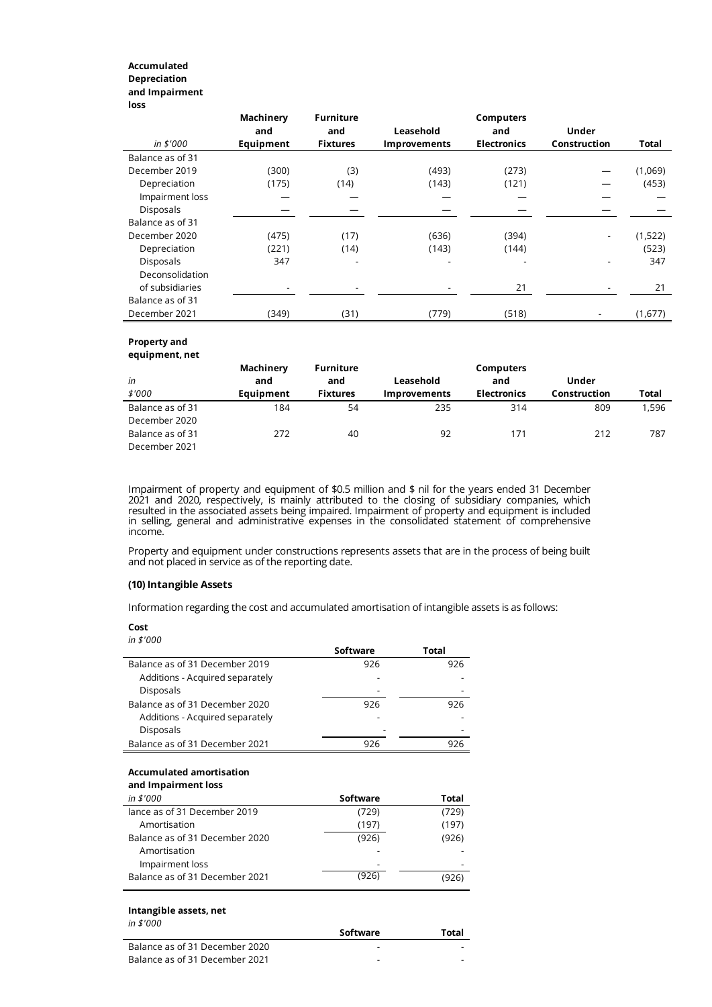# **Accumulated Depreciation and Impairment loss**

|                  | Machinery<br>and | <b>Furniture</b><br>and | Leasehold           | <b>Computers</b><br>and | <b>Under</b> |         |
|------------------|------------------|-------------------------|---------------------|-------------------------|--------------|---------|
| in \$'000        | Equipment        | <b>Fixtures</b>         | <b>Improvements</b> | <b>Electronics</b>      | Construction | Total   |
| Balance as of 31 |                  |                         |                     |                         |              |         |
| December 2019    | (300)            | (3)                     | (493)               | (273)                   |              | (1,069) |
| Depreciation     | (175)            | (14)                    | (143)               | (121)                   |              | (453)   |
| Impairment loss  |                  |                         |                     |                         |              |         |
| Disposals        |                  |                         |                     |                         |              |         |
| Balance as of 31 |                  |                         |                     |                         |              |         |
| December 2020    | (475)            | (17)                    | (636)               | (394)                   |              | (1,522) |
| Depreciation     | (221)            | (14)                    | (143)               | (144)                   |              | (523)   |
| Disposals        | 347              |                         |                     |                         |              | 347     |
| Deconsolidation  |                  |                         |                     |                         |              |         |
| of subsidiaries  |                  |                         |                     | 21                      |              | 21      |
| Balance as of 31 |                  |                         |                     |                         |              |         |
| December 2021    | (349)            | (31)                    | (779)               | (518)                   |              | (1,677) |

#### **Property and equipment, net**

| <b>Campulation</b> |           |                  |                     |                    |              |       |
|--------------------|-----------|------------------|---------------------|--------------------|--------------|-------|
|                    | Machinery | <b>Furniture</b> |                     | <b>Computers</b>   |              |       |
| in                 | and       | and              | Leasehold           | and                | Under        |       |
| \$'000             | Equipment | <b>Fixtures</b>  | <b>Improvements</b> | <b>Electronics</b> | Construction | Total |
| Balance as of 31   | 184       | 54               | 235                 | 314                | 809          | 1,596 |
| December 2020      |           |                  |                     |                    |              |       |
| Balance as of 31   | 272       | 40               | 92                  | 171                | 212          | 787   |
| December 2021      |           |                  |                     |                    |              |       |
|                    |           |                  |                     |                    |              |       |

Impairment of property and equipment of \$0.5 million and \$ nil for the years ended 31 December 2021 and 2020, respectively, is mainly attributed to the closing of subsidiary companies, which resulted in the associated assets being impaired. Impairment of property and equipment is included in selling, general and administrative expenses in the consolidated statement of comprehensive income.

Property and equipment under constructions represents assets that are in the process of being built and not placed in service as of the reporting date.

# **(10) Intangible Assets**

Information regarding the cost and accumulated amortisation of intangible assets is as follows:

**Cost**

| in \$'000                       |                 |       |
|---------------------------------|-----------------|-------|
|                                 | Software        | Total |
| Balance as of 31 December 2019  | 926             | 926   |
| Additions - Acquired separately |                 |       |
| Disposals                       |                 |       |
| Balance as of 31 December 2020  | 926             | 926   |
| Additions - Acquired separately |                 |       |
| Disposals                       |                 |       |
| Balance as of 31 December 2021  | 926             | 926   |
|                                 |                 |       |
| <b>Accumulated amortisation</b> |                 |       |
| and Impairment loss             |                 |       |
| in \$'000                       | <b>Software</b> | Total |
| lance as of 31 December 2019    | (729)           | (729) |
| Amortisation                    | (197)           | (197) |
| Balance as of 31 December 2020  | (926)           | (926) |
| Amortisation                    |                 |       |
| Impairment loss                 |                 |       |
| Balance as of 31 December 2021  | (926)           | (926) |
|                                 |                 |       |
| Intangible assets, net          |                 |       |
| in \$'000                       | Software        | Total |
|                                 |                 |       |

| Balance as of 31 December 2020 | - |  |
|--------------------------------|---|--|
| Balance as of 31 December 2021 | ۰ |  |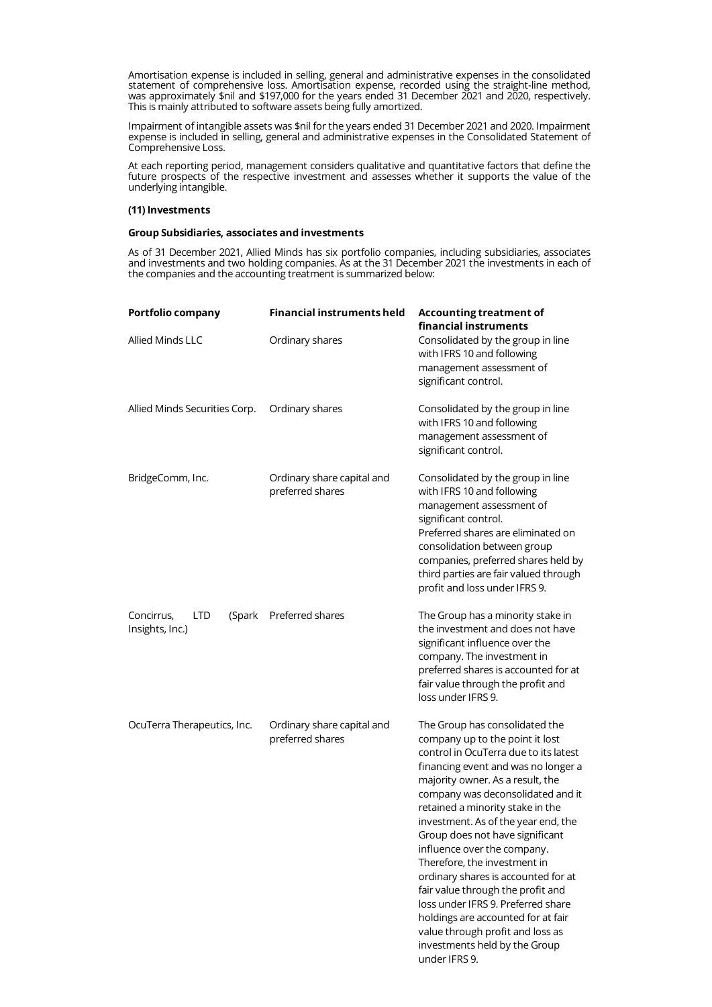Amortisation expense is included in selling, general and administrative expenses in the consolidated statement of comprehensive loss. Amortisation expense, recorded using the straight-line method, was approximately \$nil and \$197,000 for the years ended 31 December 2021 and 2020, respectively. This is mainly attributed to software assets being fully amortized.

Impairment of intangible assets was \$nil for the years ended 31 December 2021 and 2020. Impairment expense is included in selling, general and administrative expenses in the Consolidated Statement of Comprehensive Loss.

At each reporting period, management considers qualitative and quantitative factors that define the future prospects of the respective investment and assesses whether it supports the value of the underlying intangible.

# **(11) Investments**

# **Group Subsidiaries, associates and investments**

As of 31 December 2021, Allied Minds has six portfolio companies, including subsidiaries, associates and investments and two holding companies. As at the 31 December 2021 the investments in each of the companies and the accounting treatment is summarized below:

| Portfolio company                                     | <b>Financial instruments held</b>              | <b>Accounting treatment of</b><br>financial instruments                                                                                                                                                                                                                                                                                                                                                                                                                                                                                                                                                                                               |
|-------------------------------------------------------|------------------------------------------------|-------------------------------------------------------------------------------------------------------------------------------------------------------------------------------------------------------------------------------------------------------------------------------------------------------------------------------------------------------------------------------------------------------------------------------------------------------------------------------------------------------------------------------------------------------------------------------------------------------------------------------------------------------|
| <b>Allied Minds LLC</b>                               | Ordinary shares                                | Consolidated by the group in line<br>with IFRS 10 and following<br>management assessment of<br>significant control.                                                                                                                                                                                                                                                                                                                                                                                                                                                                                                                                   |
| Allied Minds Securities Corp.                         | Ordinary shares                                | Consolidated by the group in line<br>with IFRS 10 and following<br>management assessment of<br>significant control.                                                                                                                                                                                                                                                                                                                                                                                                                                                                                                                                   |
| BridgeComm, Inc.                                      | Ordinary share capital and<br>preferred shares | Consolidated by the group in line<br>with IFRS 10 and following<br>management assessment of<br>significant control.<br>Preferred shares are eliminated on<br>consolidation between group<br>companies, preferred shares held by<br>third parties are fair valued through<br>profit and loss under IFRS 9.                                                                                                                                                                                                                                                                                                                                             |
| Concirrus,<br><b>LTD</b><br>(Spark<br>Insights, Inc.) | Preferred shares                               | The Group has a minority stake in<br>the investment and does not have<br>significant influence over the<br>company. The investment in<br>preferred shares is accounted for at<br>fair value through the profit and<br>loss under IFRS 9.                                                                                                                                                                                                                                                                                                                                                                                                              |
| OcuTerra Therapeutics, Inc.                           | Ordinary share capital and<br>preferred shares | The Group has consolidated the<br>company up to the point it lost<br>control in OcuTerra due to its latest<br>financing event and was no longer a<br>majority owner. As a result, the<br>company was deconsolidated and it<br>retained a minority stake in the<br>investment. As of the year end, the<br>Group does not have significant<br>influence over the company.<br>Therefore, the investment in<br>ordinary shares is accounted for at<br>fair value through the profit and<br>loss under IFRS 9. Preferred share<br>holdings are accounted for at fair<br>value through profit and loss as<br>investments held by the Group<br>under IFRS 9. |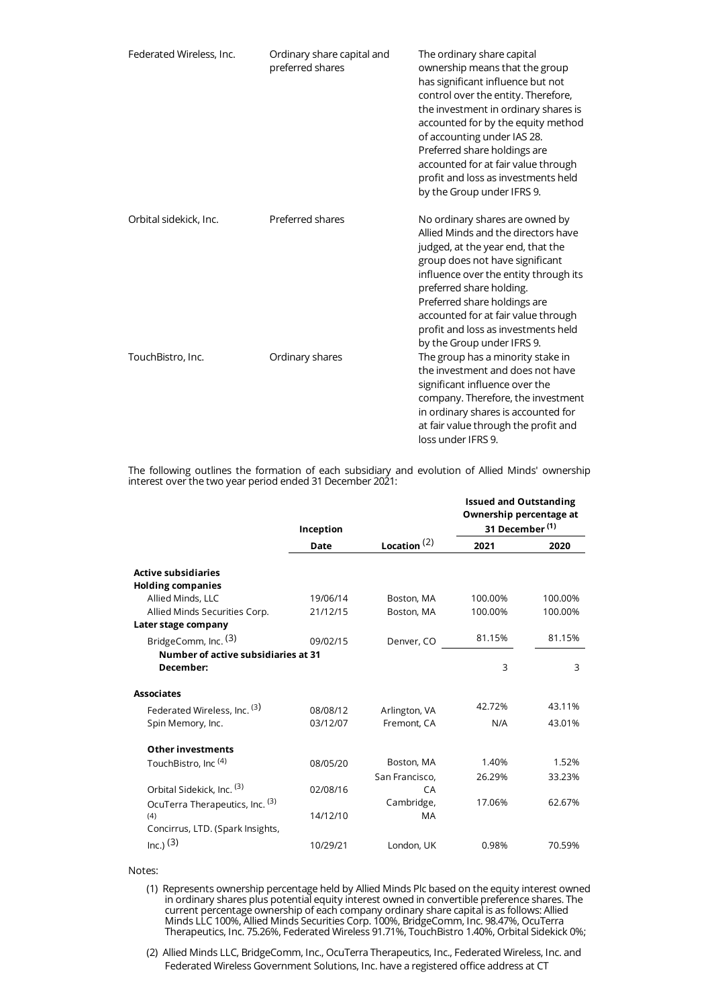| Federated Wireless, Inc. | Ordinary share capital and<br>preferred shares | The ordinary share capital<br>ownership means that the group<br>has significant influence but not<br>control over the entity. Therefore,<br>the investment in ordinary shares is<br>accounted for by the equity method<br>of accounting under IAS 28.<br>Preferred share holdings are<br>accounted for at fair value through<br>profit and loss as investments held<br>by the Group under IFRS 9. |
|--------------------------|------------------------------------------------|---------------------------------------------------------------------------------------------------------------------------------------------------------------------------------------------------------------------------------------------------------------------------------------------------------------------------------------------------------------------------------------------------|
| Orbital sidekick, Inc.   | Preferred shares                               | No ordinary shares are owned by<br>Allied Minds and the directors have<br>judged, at the year end, that the<br>group does not have significant<br>influence over the entity through its<br>preferred share holding.<br>Preferred share holdings are<br>accounted for at fair value through<br>profit and loss as investments held<br>by the Group under IFRS 9.                                   |
| TouchBistro, Inc.        | Ordinary shares                                | The group has a minority stake in<br>the investment and does not have<br>significant influence over the<br>company. Therefore, the investment<br>in ordinary shares is accounted for<br>at fair value through the profit and<br>loss under IFRS 9.                                                                                                                                                |

The following outlines the formation of each subsidiary and evolution of Allied Minds' ownership interest over the two year period ended 31 December 2021:

|                                        | Inception |                  | <b>Issued and Outstanding</b><br>Ownership percentage at<br>31 December <sup>(1)</sup> |         |
|----------------------------------------|-----------|------------------|----------------------------------------------------------------------------------------|---------|
|                                        | Date      | Location $(2)$   | 2021                                                                                   | 2020    |
| <b>Active subsidiaries</b>             |           |                  |                                                                                        |         |
| <b>Holding companies</b>               |           |                  |                                                                                        |         |
| Allied Minds, LLC                      | 19/06/14  | Boston, MA       | 100.00%                                                                                | 100.00% |
| Allied Minds Securities Corp.          | 21/12/15  | Boston, MA       | 100.00%                                                                                | 100.00% |
| Later stage company                    |           |                  |                                                                                        |         |
| BridgeComm, Inc. (3)                   | 09/02/15  | Denver, CO       | 81.15%                                                                                 | 81.15%  |
| Number of active subsidiaries at 31    |           |                  |                                                                                        |         |
| December:                              |           |                  | 3                                                                                      | 3       |
| <b>Associates</b>                      |           |                  |                                                                                        |         |
| Federated Wireless, Inc. (3)           | 08/08/12  | Arlington, VA    | 42.72%                                                                                 | 43.11%  |
| Spin Memory, Inc.                      | 03/12/07  | Fremont, CA      | N/A                                                                                    | 43.01%  |
| <b>Other investments</b>               |           |                  |                                                                                        |         |
| TouchBistro, Inc <sup>(4)</sup>        | 08/05/20  | Boston, MA       | 1.40%                                                                                  | 1.52%   |
|                                        |           | San Francisco,   | 26.29%                                                                                 | 33.23%  |
| Orbital Sidekick, Inc. (3)             | 02/08/16  | CA               |                                                                                        |         |
| OcuTerra Therapeutics, Inc. (3)<br>(4) | 14/12/10  | Cambridge,<br>MA | 17.06%                                                                                 | 62.67%  |
| Concirrus, LTD. (Spark Insights,       |           |                  |                                                                                        |         |
| $Inc.)$ (3)                            | 10/29/21  | London, UK       | 0.98%                                                                                  | 70.59%  |

# Notes:

(1) Represents ownership percentage held by Allied Minds Plc based on the equity interest owned in ordinary shares plus potential equity interest owned in convertible preference shares. The current percentage ownership of each company ordinary share capital is as follows: Allied Minds LLC 100%, Allied Minds Securities Corp. 100%, BridgeComm, Inc. 98.47%, OcuTerra Therapeutics, Inc. 75.26%, Federated Wireless 91.71%, TouchBistro 1.40%, Orbital Sidekick 0%;

(2) Allied Minds LLC, BridgeComm, Inc., OcuTerra Therapeutics, Inc., Federated Wireless, Inc. and Federated Wireless Government Solutions, Inc. have a registered office address at CT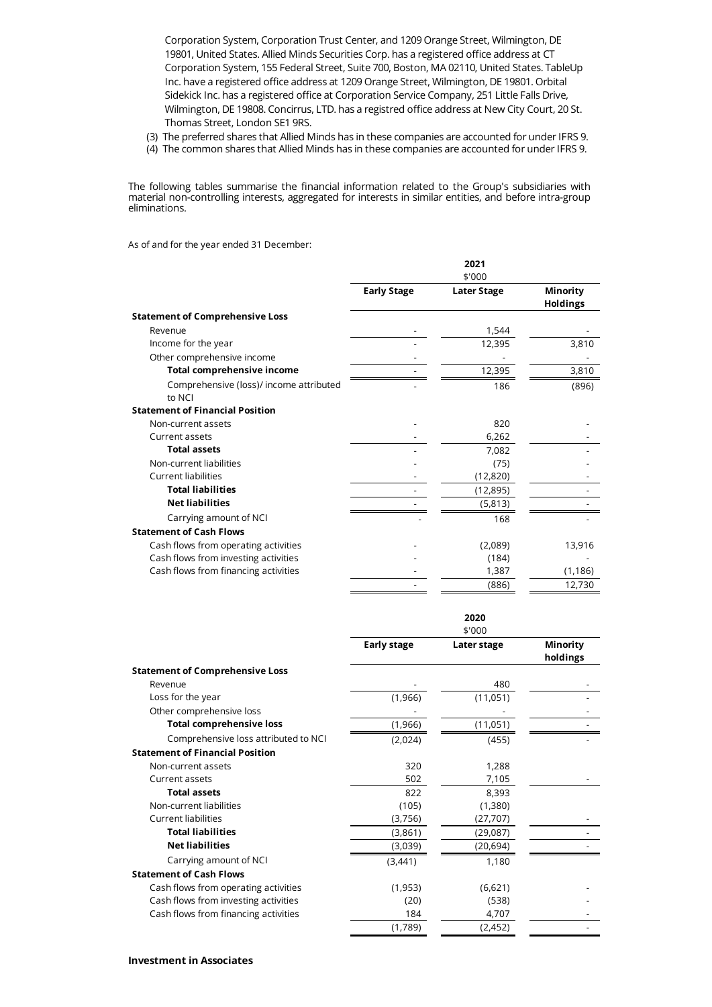Corporation System, Corporation Trust Center, and 1209 Orange Street, Wilmington, DE 19801, United States. Allied Minds Securities Corp. has a registered office address at CT Corporation System, 155 Federal Street, Suite 700, Boston, MA 02110, United States. TableUp Inc. have a registered office address at 1209 Orange Street, Wilmington, DE 19801. Orbital Sidekick Inc. has a registered office at Corporation Service Company, 251 Little Falls Drive, Wilmington, DE 19808. Concirrus, LTD. has a registred office address at New City Court, 20 St. Thomas Street, London SE1 9RS.

- (3) The preferred shares that Allied Minds has in these companies are accounted for under IFRS 9.
- (4) The common shares that Allied Minds has in these companies are accounted for under IFRS 9.

The following tables summarise the financial information related to the Group's subsidiaries with material non-controlling interests, aggregated for interests in similar entities, and before intra-group eliminations.

As of and for the year ended 31 December:

|                                                   | 2021<br>\$'000     |                    |                             |
|---------------------------------------------------|--------------------|--------------------|-----------------------------|
|                                                   | <b>Early Stage</b> | <b>Later Stage</b> | Minority<br><b>Holdings</b> |
| <b>Statement of Comprehensive Loss</b>            |                    |                    |                             |
| Revenue                                           |                    | 1,544              |                             |
| Income for the year                               |                    | 12,395             | 3,810                       |
| Other comprehensive income                        |                    |                    |                             |
| <b>Total comprehensive income</b>                 |                    | 12,395             | 3,810                       |
| Comprehensive (loss)/ income attributed<br>to NCI |                    | 186                | (896)                       |
| <b>Statement of Financial Position</b>            |                    |                    |                             |
| Non-current assets                                |                    | 820                |                             |
| Current assets                                    |                    | 6,262              |                             |
| <b>Total assets</b>                               |                    | 7,082              |                             |
| Non-current liabilities                           |                    | (75)               |                             |
| Current liabilities                               |                    | (12, 820)          |                             |
| <b>Total liabilities</b>                          |                    | (12, 895)          |                             |
| <b>Net liabilities</b>                            |                    | (5,813)            |                             |
| Carrying amount of NCI                            |                    | 168                |                             |
| <b>Statement of Cash Flows</b>                    |                    |                    |                             |
| Cash flows from operating activities              |                    | (2,089)            | 13,916                      |
| Cash flows from investing activities              |                    | (184)              |                             |
| Cash flows from financing activities              |                    | 1,387              | (1, 186)                    |
|                                                   |                    | (886)              | 12,730                      |

|                                        | \$'000             |             |                      |
|----------------------------------------|--------------------|-------------|----------------------|
|                                        | <b>Early stage</b> | Later stage | Minority<br>holdings |
| <b>Statement of Comprehensive Loss</b> |                    |             |                      |
| Revenue                                |                    | 480         |                      |
| Loss for the year                      | (1,966)            | (11,051)    |                      |
| Other comprehensive loss               |                    |             |                      |
| <b>Total comprehensive loss</b>        | (1,966)            | (11, 051)   |                      |
| Comprehensive loss attributed to NCI   | (2,024)            | (455)       |                      |
| <b>Statement of Financial Position</b> |                    |             |                      |
| Non-current assets                     | 320                | 1,288       |                      |
| Current assets                         | 502                | 7,105       |                      |
| <b>Total assets</b>                    | 822                | 8,393       |                      |
| Non-current liabilities                | (105)              | (1,380)     |                      |
| Current liabilities                    | (3,756)            | (27, 707)   |                      |
| <b>Total liabilities</b>               | (3,861)            | (29,087)    |                      |
| <b>Net liabilities</b>                 | (3,039)            | (20, 694)   |                      |
| Carrying amount of NCI                 | (3, 441)           | 1,180       |                      |
| <b>Statement of Cash Flows</b>         |                    |             |                      |
| Cash flows from operating activities   | (1, 953)           | (6,621)     |                      |
| Cash flows from investing activities   | (20)               | (538)       |                      |
| Cash flows from financing activities   | 184                | 4,707       |                      |
|                                        | (1,789)            | (2, 452)    |                      |

**2020**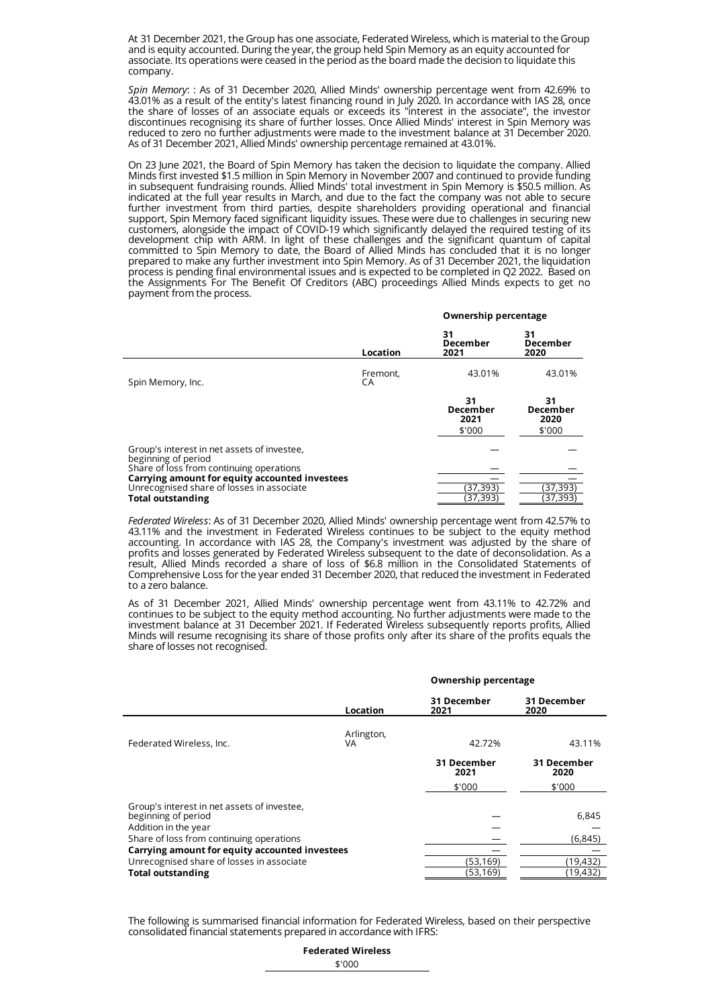At 31 December 2021, the Group has one associate, Federated Wireless, which is material to the Group and is equity accounted. During the year, the group held Spin Memory as an equity accounted for associate. Its operations were ceased in the period as the board made the decision to liquidate this company.

*Spin Memory*: : As of 31 December 2020, Allied Minds' ownership percentage went from 42.69% to 43.01% as a result of the entity's latest financing round in July 2020. In accordance with IAS 28, once the share of losses of an associate equals or exceeds its "interest in the associate", the investor discontinues recognising its share of further losses. Once Allied Minds' interest in Spin Memory was reduced to zero no further adjustments were made to the investment balance at 31 December 2020. As of 31 December 2021, Allied Minds' ownership percentage remained at 43.01%.

On 23 June 2021, the Board of Spin Memory has taken the decision to liquidate the company. Allied Minds first invested \$1.5 million in Spin Memory in November 2007 and continued to provide funding in subsequent fundraising rounds. Allied Minds' total investment in Spin Memory is \$50.5 million. As indicated at the full year results in March, and due to the fact the company was not able to secure further investment from third parties, despite shareholders providing operational and financial support, Spin Memory faced significant liquidity issues. These were due to challenges in securing new customers, alongside the impact of COVID-19 which significantly delayed the required testing of its development chip with ARM. In light of these challenges and the significant quantum of capital committed to Spin Memory to date, the Board of Allied Minds has concluded that it is no longer prepared to make any further investment into Spin Memory. As of 31 December 2021, the liquidation process is pending final environmental issues and is expected to be completed in Q2 2022. Based on the Assignments For The Benefit Of Creditors (ABC) proceedings Allied Minds expects to get no payment from the process.

|                                                                                                                                                                                                                                           |                | Ownership percentage                    |                                  |
|-------------------------------------------------------------------------------------------------------------------------------------------------------------------------------------------------------------------------------------------|----------------|-----------------------------------------|----------------------------------|
|                                                                                                                                                                                                                                           | Location       | 31<br>December<br>2021                  | 31<br>December<br>2020           |
| Spin Memory, Inc.                                                                                                                                                                                                                         | Fremont,<br>CA | 43.01%                                  | 43.01%                           |
|                                                                                                                                                                                                                                           |                | 31<br><b>December</b><br>2021<br>\$'000 | 31<br>December<br>2020<br>\$'000 |
| Group's interest in net assets of investee,<br>beginning of period<br>Share of loss from continuing operations<br>Carrying amount for equity accounted investees<br>Unrecognised share of losses in associate<br><b>Total outstanding</b> |                | (37,393)<br>(37,393)                    | (37, 393)<br>(37, 393)           |

*Federated Wireless*: As of 31 December 2020, Allied Minds' ownership percentage went from 42.57% to 43.11% and the investment in Federated Wireless continues to be subject to the equity method accounting. In accordance with IAS 28, the Company's investment was adjusted by the share of profits and losses generated by Federated Wireless subsequent to the date of deconsolidation. As a result, Allied Minds recorded a share of loss of \$6.8 million in the Consolidated Statements of Comprehensive Loss for the year ended 31 December 2020, that reduced the investment in Federated to a zero balance.

As of 31 December 2021, Allied Minds' ownership percentage went from 43.11% to 42.72% and continues to be subject to the equity method accounting. No further adjustments were made to the investment balance at 31 December 2021. If Federated Wireless subsequently reports profits, Allied Minds will resume recognising its share of those profits only after its share of the profits equals the share of losses not recognised.

|                                                                    |                  | Ownership percentage |                     |
|--------------------------------------------------------------------|------------------|----------------------|---------------------|
|                                                                    | Location         | 31 December<br>2021  | 31 December<br>2020 |
|                                                                    |                  |                      |                     |
| Federated Wireless, Inc.                                           | Arlington,<br>VA | 42.72%               | 43.11%              |
|                                                                    |                  | 31 December<br>2021  | 31 December<br>2020 |
|                                                                    |                  | \$'000               | \$'000              |
| Group's interest in net assets of investee,<br>beginning of period |                  |                      | 6,845               |
| Addition in the year<br>Share of loss from continuing operations   |                  |                      | (6, 845)            |
| Carrying amount for equity accounted investees                     |                  |                      |                     |
| Unrecognised share of losses in associate                          |                  | (53, 169)            | (19,432)            |
| <b>Total outstanding</b>                                           |                  | (53,169)             | (19,432)            |

The following is summarised financial information for Federated Wireless, based on their perspective consolidated financial statements prepared in accordance with IFRS:

| <b>Federated Wireless</b> |  |
|---------------------------|--|
| \$'000                    |  |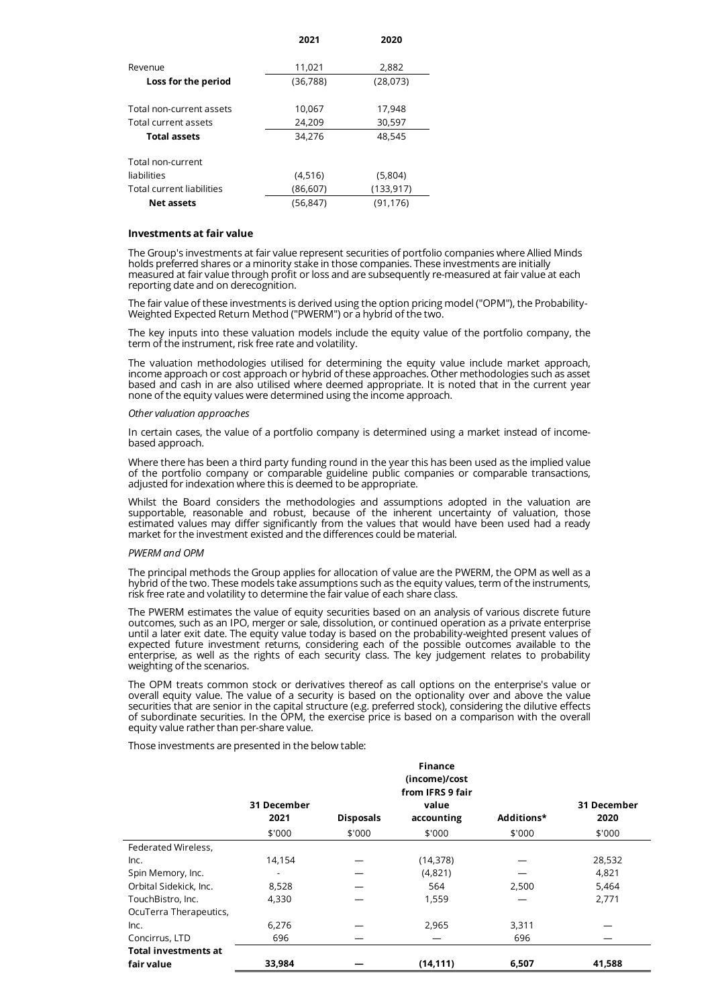|                           | 2021      | 2020       |
|---------------------------|-----------|------------|
| Revenue                   | 11,021    | 2,882      |
| Loss for the period       | (36, 788) | (28,073)   |
| Total non-current assets  |           |            |
|                           | 10,067    | 17,948     |
| Total current assets      | 24,209    | 30,597     |
| <b>Total assets</b>       | 34,276    | 48,545     |
| Total non-current         |           |            |
| liabilities               | (4,516)   | (5,804)    |
| Total current liabilities | (86, 607) | (133, 917) |
| Net assets                | (56.847)  | (91.176)   |

### **Investments at fair value**

The Group's investments at fair value represent securities of portfolio companies where Allied Minds holds preferred shares or a minority stake in those companies. These investments are initially measured at fair value through profit or loss and are subsequently re-measured at fair value at each reporting date and on derecognition.

The fair value of these investments is derived using the option pricing model ("OPM"), the Probability- Weighted Expected Return Method ("PWERM") or a hybrid of the two.

The key inputs into these valuation models include the equity value of the portfolio company, the term of the instrument, risk free rate and volatility.

The valuation methodologies utilised for determining the equity value include market approach, income approach or cost approach or hybrid of these approaches. Other methodologies such as asset based and cash in are also utilised where deemed appropriate. It is noted that in the current year none of the equity values were determined using the income approach.

#### *Other valuation approaches*

In certain cases, the value of a portfolio company is determined using a market instead of incomebased approach.

Where there has been a third party funding round in the year this has been used as the implied value of the portfolio company or comparable guideline public companies or comparable transactions, adjusted for indexation where this is deemed to be appropriate.

Whilst the Board considers the methodologies and assumptions adopted in the valuation are supportable, reasonable and robust, because of the inherent uncertainty of valuation, those estimated values may differ significantly from the values that would have been used had a ready market for the investment existed and the differences could be material.

#### *PWERM and OPM*

The principal methods the Group applies for allocation of value are the PWERM, the OPM as well as a hybrid of the two. These models take assumptions such as the equity values, term of the instruments, risk free rate and volatility to determine the fair value of each share class.

The PWERM estimates the value of equity securities based on an analysis of various discrete future outcomes, such as an IPO, merger or sale, dissolution, or continued operation as a private enterprise until a later exit date. The equity value today is based on the probability-weighted present values of expected future investment returns, considering each of the possible outcomes available to the enterprise, as well as the rights of each security class. The key judgement relates to probability weighting of the scenarios.

The OPM treats common stock or derivatives thereof as call options on the enterprise's value or overall equity value. The value of a security is based on the optionality over and above the value securities that are senior in the capital structure (e.g. preferred stock), considering the dilutive effects of subordinate securities. In the OPM, the exercise price is based on a comparison with the overall equity value rather than per-share value.

Those investments are presented in the below table:

|                             |             |                  | <b>Finance</b>   |            |             |
|-----------------------------|-------------|------------------|------------------|------------|-------------|
|                             |             |                  | (income)/cost    |            |             |
|                             |             |                  | from IFRS 9 fair |            |             |
|                             | 31 December |                  | value            |            | 31 December |
|                             | 2021        | <b>Disposals</b> | accounting       | Additions* | 2020        |
|                             | \$'000      | \$'000           | \$'000           | \$'000     | \$'000      |
| Federated Wireless,         |             |                  |                  |            |             |
| Inc.                        | 14,154      |                  | (14, 378)        |            | 28,532      |
| Spin Memory, Inc.           |             |                  | (4,821)          |            | 4,821       |
| Orbital Sidekick, Inc.      | 8,528       |                  | 564              | 2,500      | 5,464       |
| TouchBistro, Inc.           | 4,330       |                  | 1,559            |            | 2,771       |
| OcuTerra Therapeutics,      |             |                  |                  |            |             |
| Inc.                        | 6,276       |                  | 2,965            | 3,311      |             |
| Concirrus, LTD              | 696         |                  |                  | 696        |             |
| <b>Total investments at</b> |             |                  |                  |            |             |
| fair value                  | 33,984      |                  | (14, 111)        | 6,507      | 41,588      |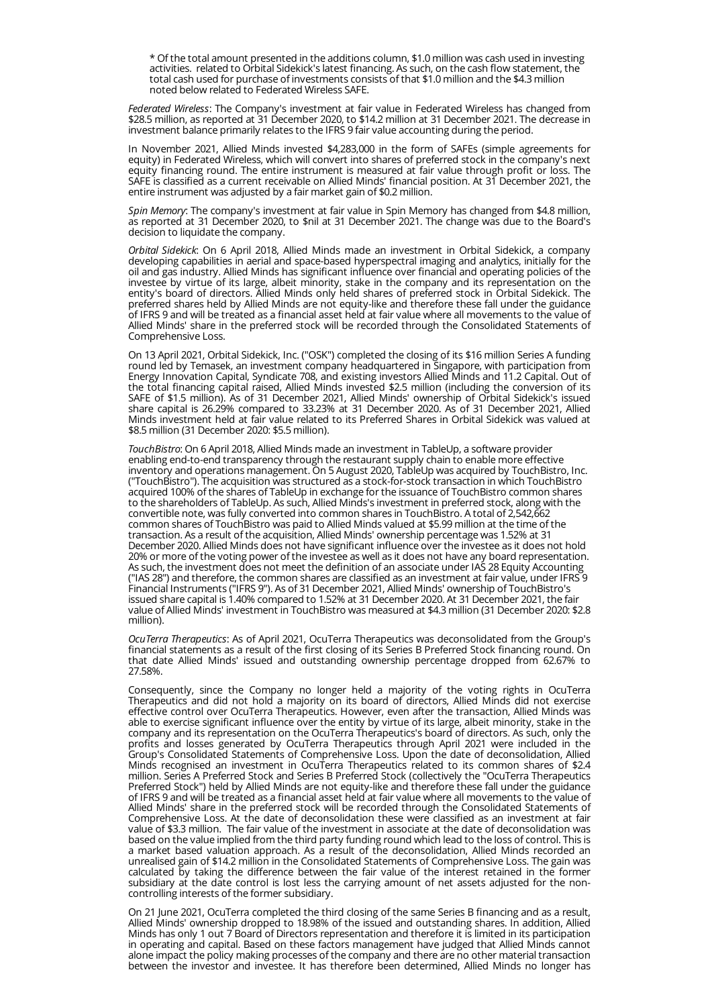\* Of the total amount presented in the additions column, \$1.0 million was cash used in investing activities. related to Orbital Sidekick's latest financing. As such, on the cash flow statement, the total cash used for purchase of investments consists of that \$1.0 million and the \$4.3 million noted below related to Federated Wireless SAFE.

*Federated Wireless*: The Company's investment at fair value in Federated Wireless has changed from \$28.5 million, as reported at 31 December 2020, to \$14.2 million at 31 December 2021. The decrease in investment balance primarily relates to the IFRS 9 fair value accounting during the period.

In November 2021, Allied Minds invested \$4,283,000 in the form of SAFEs (simple agreements for equity) in Federated Wireless, which will convert into shares of preferred stock in the company's next equity financing round. The entire instrument is measured at fair value through profit or loss. The SAFE is classified as a current receivable on Allied Minds' financial position. At 31 December 2021, the entire instrument was adjusted by a fair market gain of \$0.2 million.

*Spin Memory*: The company's investment at fair value in Spin Memory has changed from \$4.8 million, as reported at 31 December 2020, to \$nil at 31 December 2021. The change was due to the Board's decision to liquidate the company.

*Orbital Sidekick*: On 6 April 2018, Allied Minds made an investment in Orbital Sidekick, a company developing capabilities in aerial and space-based hyperspectral imaging and analytics, initially for the oil and gas industry. Allied Minds has significant influence over financial and operating policies of the investee by virtue of its large, albeit minority, stake in the company and its representation on the entity's board of directors. Allied Minds only held shares of preferred stock in Orbital Sidekick. The preferred shares held by Allied Minds are not equity-like and therefore these fall under the guidance of IFRS 9 and will be treated as a financial asset held at fair value where all movements to the value of Allied Minds' share in the preferred stock will be recorded through the Consolidated Statements of Comprehensive Loss.

On 13 April 2021, Orbital Sidekick, Inc. ("OSK") completed the closing of its \$16 million Series A funding round led by Temasek, an investment company headquartered in Singapore, with participation from Energy Innovation Capital, Syndicate 708, and existing investors Allied Minds and 11.2 Capital. Out of the total financing capital raised, Allied Minds invested \$2.5 million (including the conversion of its SAFE of \$1.5 million). As of 31 December 2021, Allied Minds' ownership of Orbital Sidekick's issued share capital is 26.29% compared to 33.23% at 31 December 2020. As of 31 December 2021, Allied Minds investment held at fair value related to its Preferred Shares in Orbital Sidekick was valued at \$8.5 million (31 December 2020: \$5.5 million).

*TouchBistro*: On 6 April 2018, Allied Minds made an investment in TableUp, a software provider enabling end-to-end transparency through the restaurant supply chain to enable more effective inventory and operations management. On 5 August 2020, TableUp was acquired by TouchBistro, Inc. ("TouchBistro"). The acquisition was structured as a stock-for-stock transaction in which TouchBistro acquired 100% of the shares of TableUp in exchange for the issuance of TouchBistro common shares to the shareholders of TableUp. As such, Allied Minds's investment in preferred stock, along with the convertible note, was fully converted into common shares in TouchBistro. A total of 2,542,662 common shares of TouchBistro was paid to Allied Minds valued at \$5.99 million at the time of the transaction. As a result of the acquisition, Allied Minds' ownership percentage was 1.52% at 31 December 2020. Allied Minds does not have significant influence over the investee as it does not hold 20% or more of the voting power of the investee as well as it does not have any board representation. As such, the investment does not meet the definition of an associate under IAS 28 Equity Accounting ("IAS 28") and therefore, the common shares are classified as an investment at fair value, under IFRS 9 Financial Instruments ("IFRS 9"). As of 31 December 2021, Allied Minds' ownership of TouchBistro's issued share capital is 1.40% compared to 1.52% at 31 December 2020. At 31 December 2021, the fair value of Allied Minds' investment in TouchBistro was measured at \$4.3 million (31 December 2020: \$2.8 million).

*OcuTerra Therapeutics*: As of April 2021, OcuTerra Therapeutics was deconsolidated from the Group's financial statements as a result of the first closing of its Series B Preferred Stock financing round. On that date Allied Minds' issued and outstanding ownership percentage dropped from 62.67% to 27.58%.

Consequently, since the Company no longer held a majority of the voting rights in OcuTerra Therapeutics and did not hold a majority on its board of directors, Allied Minds did not exercise effective control over OcuTerra Therapeutics. However, even after the transaction, Allied Minds was able to exercise significant influence over the entity by virtue of its large, albeit minority, stake in the company and its representation on the OcuTerra Therapeutics's board of directors. As such, only the profits and losses generated by OcuTerra Therapeutics through April 2021 were included in the Group's Consolidated Statements of Comprehensive Loss. Upon the date of deconsolidation, Allied Minds recognised an investment in OcuTerra Therapeutics related to its common shares of \$2.4 million. Series A Preferred Stock and Series B Preferred Stock (collectively the "OcuTerra Therapeutics Preferred Stock") held by Allied Minds are not equity-like and therefore these fall under the guidance of IFRS 9 and will be treated as a financial asset held at fair value where all movements to the value of Allied Minds' share in the preferred stock will be recorded through the Consolidated Statements of Comprehensive Loss. At the date of deconsolidation these were classified as an investment at fair value of \$3.3 million. The fair value of the investment in associate at the date of deconsolidation was based on the value implied from the third party funding round which lead to the loss of control. This is a market based valuation approach. As a result of the deconsolidation, Allied Minds recorded an unrealised gain of \$14.2 million in the Consolidated Statements of Comprehensive Loss. The gain was calculated by taking the difference between the fair value of the interest retained in the former subsidiary at the date control is lost less the carrying amount of net assets adjusted for the noncontrolling interests of the former subsidiary.

On 21 June 2021, OcuTerra completed the third closing of the same Series B financing and as a result, Allied Minds' ownership dropped to 18.98% of the issued and outstanding shares. In addition, Allied Minds has only 1 out 7 Board of Directors representation and therefore it is limited in its participation in operating and capital. Based on these factors management have judged that Allied Minds cannot alone impact the policy making processes of the company and there are no other material transaction between the investor and investee. It has therefore been determined, Allied Minds no longer has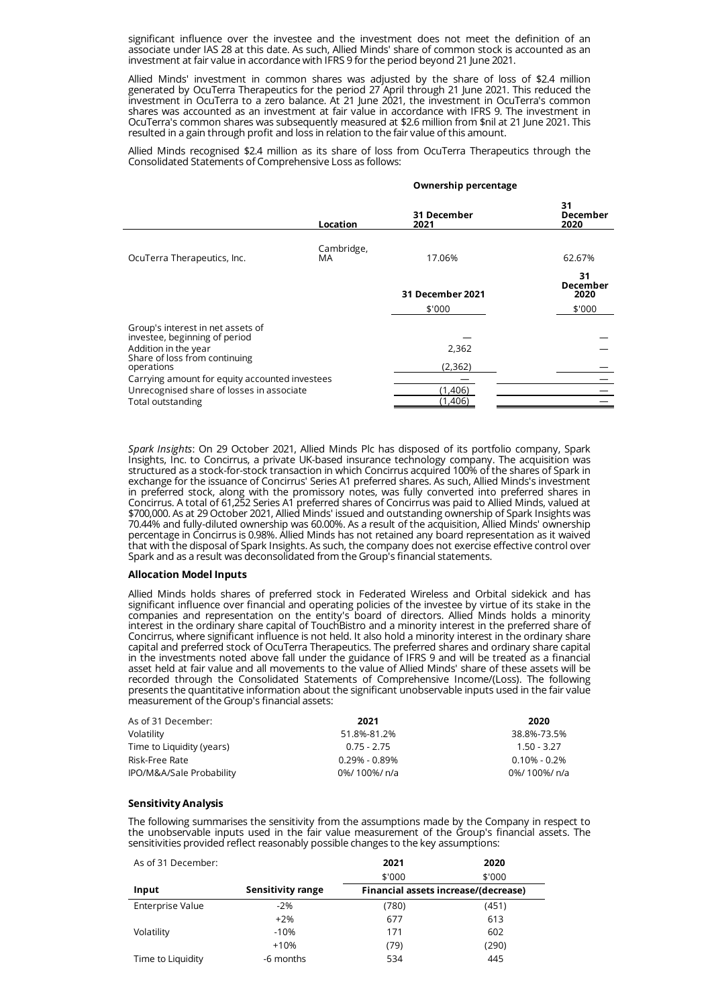significant influence over the investee and the investment does not meet the definition of an associate under IAS 28 at this date. As such, Allied Minds' share of common stock is accounted as an investment at fair value in accordance with IFRS 9 for the period beyond 21 June 2021.

Allied Minds' investment in common shares was adjusted by the share of loss of \$2.4 million generated by OcuTerra Therapeutics for the period 27 April through 21 June 2021. This reduced the investment in OcuTerra to a zero balance. At 21 June 2021, the investment in OcuTerra's common shares was accounted as an investment at fair value in accordance with IFRS 9. The investment in OcuTerra's common shares was subsequently measured at \$2.6 million from \$nil at 21 June 2021. This resulted in a gain through profit and loss in relation to the fair value of this amount.

Allied Minds recognised \$2.4 million as its share of loss from OcuTerra Therapeutics through the Consolidated Statements of Comprehensive Loss as follows:

#### **Ownership percentage**

|                                                                    | Location         | 31 December<br>2021 | 31<br><b>December</b><br>2020 |
|--------------------------------------------------------------------|------------------|---------------------|-------------------------------|
| OcuTerra Therapeutics, Inc.                                        | Cambridge,<br>MA | 17.06%              | 62.67%                        |
|                                                                    |                  | 31 December 2021    | 31<br><b>December</b><br>2020 |
|                                                                    |                  | \$'000              | \$'000                        |
| Group's interest in net assets of<br>investee, beginning of period |                  |                     |                               |
| Addition in the year                                               |                  | 2,362               |                               |
| Share of loss from continuing<br>operations                        |                  | (2, 362)            |                               |
| Carrying amount for equity accounted investees                     |                  |                     |                               |
| Unrecognised share of losses in associate                          |                  | (1.406)             |                               |
| Total outstanding                                                  |                  | (1,406)             |                               |

*Spark Insights*: On 29 October 2021, Allied Minds Plc has disposed of its portfolio company, Spark Insights, Inc. to Concirrus, a private UK-based insurance technology company. The acquisition was structured as a stock-for-stock transaction in which Concirrus acquired 100% of the shares of Spark in exchange for the issuance of Concirrus' Series A1 preferred shares. As such, Allied Minds's investment in preferred stock, along with the promissory notes, was fully converted into preferred shares in Concirrus. A total of 61,252 Series A1 preferred shares of Concirrus was paid to Allied Minds, valued at \$700,000. As at 29 October 2021, Allied Minds' issued and outstanding ownership of Spark Insights was 70.44% and fully-diluted ownership was 60.00%. As a result of the acquisition, Allied Minds' ownership percentage in Concirrus is 0.98%. Allied Minds has not retained any board representation as it waived that with the disposal of Spark Insights. As such, the company does not exercise effective control over Spark and as a result was deconsolidated from the Group's financial statements.

### **Allocation Model Inputs**

Allied Minds holds shares of preferred stock in Federated Wireless and Orbital sidekick and has significant influence over financial and operating policies of the investee by virtue of its stake in the companies and representation on the entity's board of directors. Allied Minds holds a minority interest in the ordinary share capital of TouchBistro and a minority interest in the preferred share of Concirrus, where significant influence is not held. It also hold a minority interest in the ordinary share capital and preferred stock of OcuTerra Therapeutics. The preferred shares and ordinary share capital in the investments noted above fall under the guidance of IFRS 9 and will be treated as a financial asset held at fair value and all movements to the value of Allied Minds' share of these assets will be recorded through the Consolidated Statements of Comprehensive Income/(Loss). The following presents the quantitative information about the significant unobservable inputs used in the fair value measurement of the Group's financial assets:

| As of 31 December:        | 2021              | 2020             |
|---------------------------|-------------------|------------------|
| Volatility                | 51.8%-81.2%       | 38.8%-73.5%      |
| Time to Liquidity (years) | $0.75 - 2.75$     | $1.50 - 3.27$    |
| Risk-Free Rate            | $0.29\% - 0.89\%$ | $0.10\% - 0.2\%$ |
| IPO/M&A/Sale Probability  | 0%/100%/n/a       | 0%/100%/n/a      |

# **Sensitivity Analysis**

The following summarises the sensitivity from the assumptions made by the Company in respect to the unobservable inputs used in the fair value measurement of the Group's financial assets. The sensitivities provided reflect reasonably possible changes to the key assumptions:

| As of 31 December: |                   | 2021   | 2020                                 |
|--------------------|-------------------|--------|--------------------------------------|
|                    |                   | \$'000 | \$'000                               |
| Input              | Sensitivity range |        | Financial assets increase/(decrease) |
| Enterprise Value   | $-2%$             | (780)  | (451)                                |
|                    | $+2%$             | 677    | 613                                  |
| Volatility         | $-10%$            | 171    | 602                                  |
|                    | $+10%$            | (79)   | (290)                                |
| Time to Liquidity  | -6 months         | 534    | 445                                  |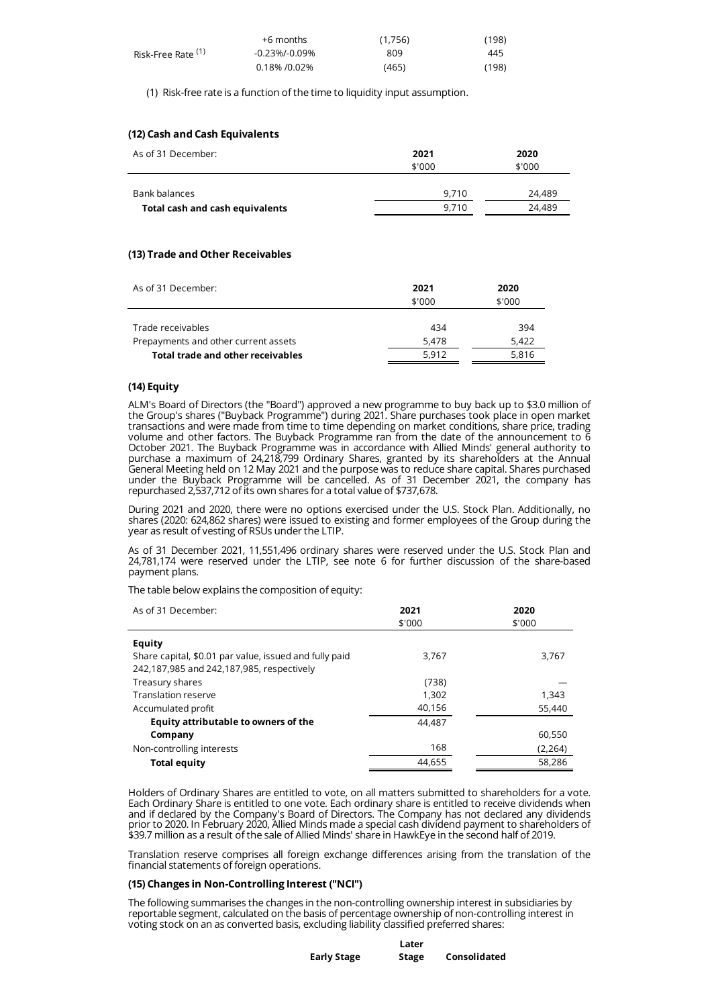|                    | +6 months     | (1,756) | (198) |
|--------------------|---------------|---------|-------|
| Risk-Free Rate (1) | -0.23%/-0.09% | 809     | 445   |
|                    | 0.18% / 0.02% | (465)   | (198) |

(1) Risk-free rate is a function of the time to liquidity input assumption.

# **(12) Cash and Cash Equivalents**

| As of 31 December:              | 2021<br>\$'000 | 2020<br>\$'000 |
|---------------------------------|----------------|----------------|
| Bank balances                   | 9.710          | 24.489         |
| Total cash and cash equivalents | 9.710          | 24.489         |

# **(13) Trade and Other Receivables**

| As of 31 December:                   | 2021<br>\$'000 | 2020<br>\$'000 |
|--------------------------------------|----------------|----------------|
| Trade receivables                    | 434            | 394            |
| Prepayments and other current assets | 5.478          | 5.422          |
| Total trade and other receivables    | 5.912          | 5.816          |

# **(14) Equity**

ALM's Board of Directors (the "Board") approved a new programme to buy back up to \$3.0 million of the Group's shares ("Buyback Programme") during 2021. Share purchases took place in open market transactions and were made from time to time depending on market conditions, share price, trading volume and other factors. The Buyback Programme ran from the date of the announcement to 6 October 2021. The Buyback Programme was in accordance with Allied Minds' general authority to purchase a maximum of 24,218,799 Ordinary Shares, granted by its shareholders at the Annual General Meeting held on 12 May 2021 and the purpose was to reduce share capital. Shares purchased under the Buyback Programme will be cancelled. As of 31 December 2021, the company has repurchased 2,537,712 of its own shares for a total value of \$737,678.

During 2021 and 2020, there were no options exercised under the U.S. Stock Plan. Additionally, no shares (2020: 624,862 shares) were issued to existing and former employees of the Group during the year as result of vesting of RSUs under the LTIP.

As of 31 December 2021, 11,551,496 ordinary shares were reserved under the U.S. Stock Plan and 24,781,174 were reserved under the LTIP, see note 6 for further discussion of the share-based payment plans.

The table below explains the composition of equity:

| As of 31 December:                                     | 2021   | 2020    |
|--------------------------------------------------------|--------|---------|
|                                                        | \$'000 | \$'000  |
| Equity                                                 |        |         |
| Share capital, \$0.01 par value, issued and fully paid | 3.767  | 3,767   |
| 242,187,985 and 242,187,985, respectively              |        |         |
| Treasury shares                                        | (738)  |         |
| <b>Translation reserve</b>                             | 1.302  | 1,343   |
| Accumulated profit                                     | 40,156 | 55,440  |
| Equity attributable to owners of the                   | 44.487 |         |
| Company                                                |        | 60,550  |
| Non-controlling interests                              | 168    | (2,264) |
| <b>Total equity</b>                                    | 44,655 | 58.286  |

Holders of Ordinary Shares are entitled to vote, on all matters submitted to shareholders for a vote. Each Ordinary Share is entitled to one vote. Each ordinary share is entitled to receive dividends when and if declared by the Company's Board of Directors. The Company has not declared any dividends prior to 2020. In February 2020, Allied Minds made a special cash dividend payment to shareholders of \$39.7 million as a result of the sale of Allied Minds' share in HawkEye in the second half of 2019.

Translation reserve comprises all foreign exchange differences arising from the translation of the financial statements of foreign operations.

# **(15) Changes in Non-Controlling Interest ("NCI")**

The following summarises the changes in the non-controlling ownership interest in subsidiaries by reportable segment, calculated on the basis of percentage ownership of non-controlling interest in voting stock on an as converted basis, excluding liability classified preferred shares:

|                    | Later |              |
|--------------------|-------|--------------|
| <b>Early Stage</b> | Stage | Consolidated |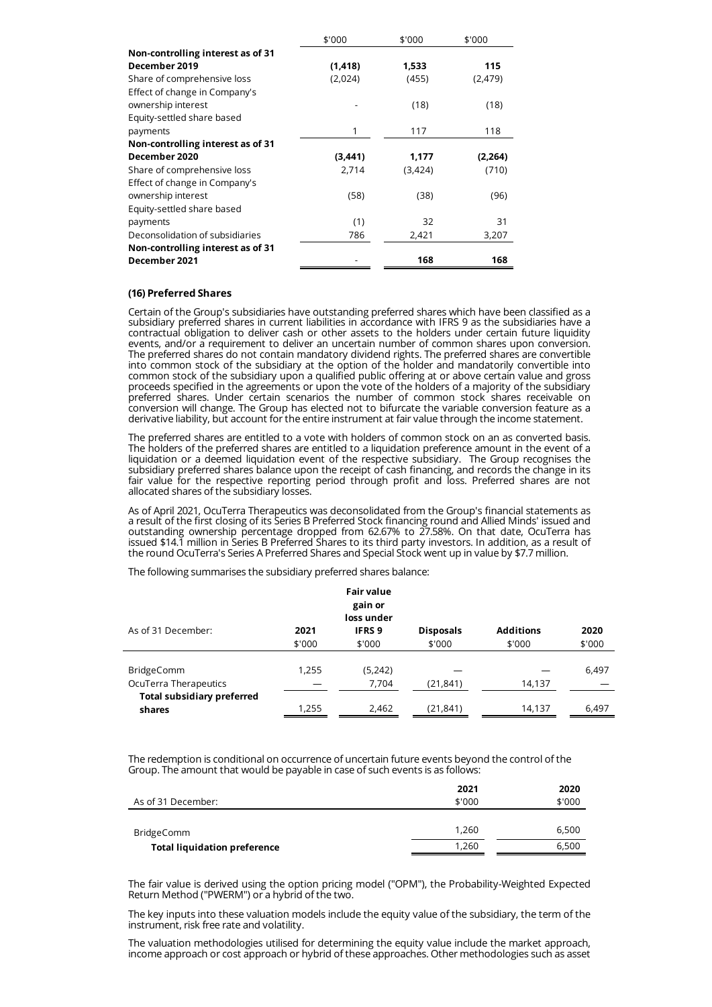|                                   | \$'000   | \$'000  | \$'000   |
|-----------------------------------|----------|---------|----------|
| Non-controlling interest as of 31 |          |         |          |
| December 2019                     | (1, 418) | 1,533   | 115      |
| Share of comprehensive loss       | (2,024)  | (455)   | (2, 479) |
| Effect of change in Company's     |          |         |          |
| ownership interest                |          | (18)    | (18)     |
| Equity-settled share based        |          |         |          |
| payments                          | 1        | 117     | 118      |
| Non-controlling interest as of 31 |          |         |          |
| December 2020                     | (3,441)  | 1,177   | (2,264)  |
| Share of comprehensive loss       | 2,714    | (3,424) | (710)    |
| Effect of change in Company's     |          |         |          |
| ownership interest                | (58)     | (38)    | (96)     |
| Equity-settled share based        |          |         |          |
| payments                          | (1)      | 32      | 31       |
| Deconsolidation of subsidiaries   | 786      | 2,421   | 3,207    |
| Non-controlling interest as of 31 |          |         |          |
| December 2021                     |          | 168     | 168      |

# **(16) Preferred Shares**

Certain of the Group's subsidiaries have outstanding preferred shares which have been classified as a subsidiary preferred shares in current liabilities in accordance with IFRS 9 as the subsidiaries have a contractual obligation to deliver cash or other assets to the holders under certain future liquidity events, and/or a requirement to deliver an uncertain number of common shares upon conversion. The preferred shares do not contain mandatory dividend rights. The preferred shares are convertible into common stock of the subsidiary at the option of the holder and mandatorily convertible into common stock of the subsidiary upon a qualified public offering at or above certain value and gross proceeds specified in the agreements or upon the vote of the holders of a majority of the subsidiary preferred shares. Under certain scenarios the number of common stock shares receivable on conversion will change. The Group has elected not to bifurcate the variable conversion feature as a derivative liability, but account for the entire instrument at fair value through the income statement.

The preferred shares are entitled to a vote with holders of common stock on an as converted basis. The holders of the preferred shares are entitled to a liquidation preference amount in the event of a liquidation or a deemed liquidation event of the respective subsidiary. The Group recognises the subsidiary preferred shares balance upon the receipt of cash financing, and records the change in its fair value for the respective reporting period through profit and loss. Preferred shares are not allocated shares of the subsidiary losses.

As of April 2021, OcuTerra Therapeutics was deconsolidated from the Group's financial statements as a result of the first closing of its Series B Preferred Stock financing round and Allied Minds' issued and outstanding ownership percentage dropped from 62.67% to 27.58%. On that date, OcuTerra has issued \$14.1 million in Series B Preferred Shares to its third party investors. In addition, as a result of the round OcuTerra's Series A Preferred Shares and Special Stock went up in value by \$7.7 million.

The following summarises the subsidiary preferred shares balance:

|                                             |                | <b>Fair value</b><br>gain or<br>loss under |                            |                            |                |
|---------------------------------------------|----------------|--------------------------------------------|----------------------------|----------------------------|----------------|
| As of 31 December:                          | 2021<br>\$'000 | <b>IFRS 9</b><br>\$'000                    | <b>Disposals</b><br>\$'000 | <b>Additions</b><br>\$'000 | 2020<br>\$'000 |
| <b>BridgeComm</b><br>OcuTerra Therapeutics  | 1,255          | (5,242)<br>7,704                           | (21, 841)                  | 14,137                     | 6,497          |
| <b>Total subsidiary preferred</b><br>shares | 1,255          | 2,462                                      | (21, 841)                  | 14,137                     | 6,497          |

The redemption is conditional on occurrence of uncertain future events beyond the control of the Group. The amount that would be payable in case of such events is as follows:

|                                     | 2021   | 2020   |
|-------------------------------------|--------|--------|
| As of 31 December:                  | \$'000 | \$'000 |
|                                     |        |        |
| BridgeComm                          | 1.260  | 6,500  |
| <b>Total liquidation preference</b> | 1.260  | 6,500  |
|                                     |        |        |

The fair value is derived using the option pricing model ("OPM"), the Probability-Weighted Expected Return Method ("PWERM") or a hybrid of the two.

The key inputs into these valuation models include the equity value of the subsidiary, the term of the instrument, risk free rate and volatility.

The valuation methodologies utilised for determining the equity value include the market approach, income approach or cost approach or hybrid of these approaches. Other methodologies such as asset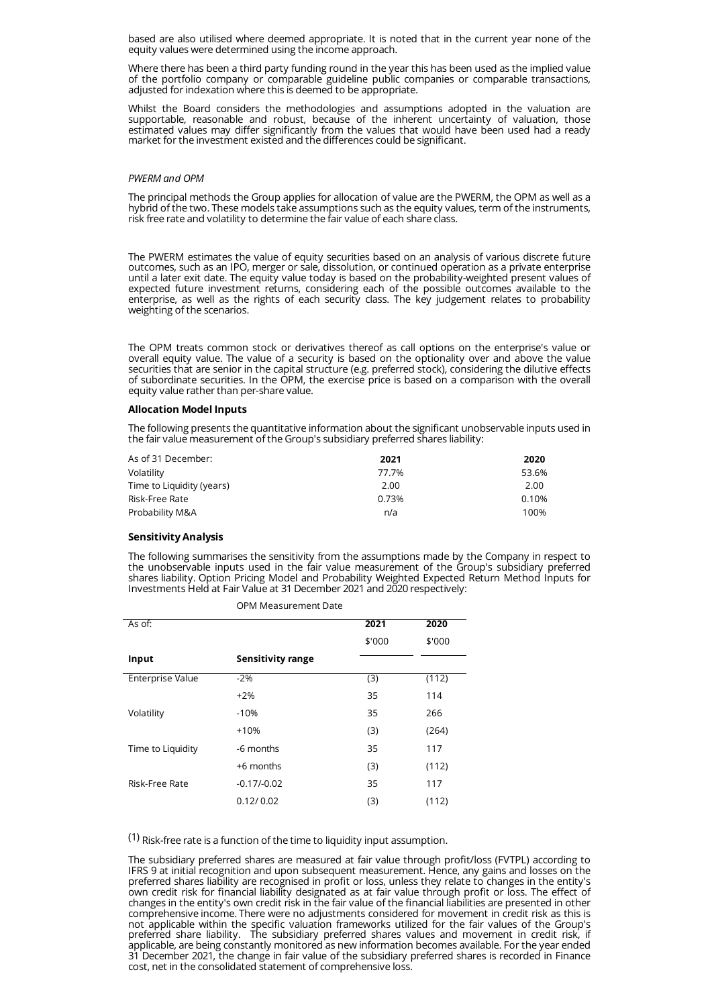based are also utilised where deemed appropriate. It is noted that in the current year none of the equity values were determined using the income approach.

Where there has been a third party funding round in the year this has been used as the implied value of the portfolio company or comparable guideline public companies or comparable transactions, adjusted for indexation where this is deemed to be appropriate.

Whilst the Board considers the methodologies and assumptions adopted in the valuation are supportable, reasonable and robust, because of the inherent uncertainty of valuation, those estimated values may differ significantly from the values that would have been used had a ready market for the investment existed and the differences could be significant.

# *PWERM and OPM*

The principal methods the Group applies for allocation of value are the PWERM, the OPM as well as a hybrid of the two. These models take assumptions such as the equity values, term of the instruments, risk free rate and volatility to determine the fair value of each share class.

The PWERM estimates the value of equity securities based on an analysis of various discrete future outcomes, such as an IPO, merger or sale, dissolution, or continued operation as a private enterprise until a later exit date. The equity value today is based on the probability-weighted present values of expected future investment returns, considering each of the possible outcomes available to the enterprise, as well as the rights of each security class. The key judgement relates to probability weighting of the scenarios.

The OPM treats common stock or derivatives thereof as call options on the enterprise's value or overall equity value. The value of a security is based on the optionality over and above the value securities that are senior in the capital structure (e.g. preferred stock), considering the dilutive effects of subordinate securities. In the OPM, the exercise price is based on a comparison with the overall equity value rather than per-share value.

#### **Allocation Model Inputs**

The following presents the quantitative information about the significant unobservable inputs used in the fair value measurement of the Group's subsidiary preferred shares liability:

| As of 31 December:        | 2021  | 2020  |
|---------------------------|-------|-------|
| Volatility                | 77.7% | 53.6% |
| Time to Liquidity (years) | 2.00  | 2.00  |
| Risk-Free Rate            | 0.73% | 0.10% |
| Probability M&A           | n/a   | 100%  |

# **Sensitivity Analysis**

The following summarises the sensitivity from the assumptions made by the Company in respect to the unobservable inputs used in the fair value measurement of the Group's subsidiary preferred shares liability. Option Pricing Model and Probability Weighted Expected Return Method Inputs for Investments Held at Fair Value at 31 December 2021 and 2020 respectively:

| As of:            |                          | 2021   | 2020   |
|-------------------|--------------------------|--------|--------|
|                   |                          | \$'000 | \$'000 |
| Input             | <b>Sensitivity range</b> |        |        |
| Enterprise Value  | $-2%$                    | (3)    | (112)  |
|                   | $+2%$                    | 35     | 114    |
| Volatility        | $-10%$                   | 35     | 266    |
|                   | $+10%$                   | (3)    | (264)  |
| Time to Liquidity | -6 months                | 35     | 117    |
|                   | +6 months                | (3)    | (112)  |
| Risk-Free Rate    | $-0.17/-0.02$            | 35     | 117    |
|                   | 0.12/0.02                | (3)    | (112)  |
|                   |                          |        |        |

OPM Measurement Date

(1) Risk-free rate is a function of the time to liquidity input assumption.

The subsidiary preferred shares are measured at fair value through profit/loss (FVTPL) according to IFRS 9 at initial recognition and upon subsequent measurement. Hence, any gains and losses on the preferred shares liability are recognised in profit or loss, unless they relate to changes in the entity's own credit risk for financial liability designated as at fair value through profit or loss. The effect of changes in the entity's own credit risk in the fair value of the financial liabilities are presented in other comprehensive income. There were no adjustments considered for movement in credit risk as this is not applicable within the specific valuation frameworks utilized for the fair values of the Group's preferred share liability. The subsidiary preferred shares values and movement in credit risk, if applicable, are being constantly monitored as new information becomes available. For the year ended 31 December 2021, the change in fair value of the subsidiary preferred shares is recorded in Finance cost, net in the consolidated statement of comprehensive loss.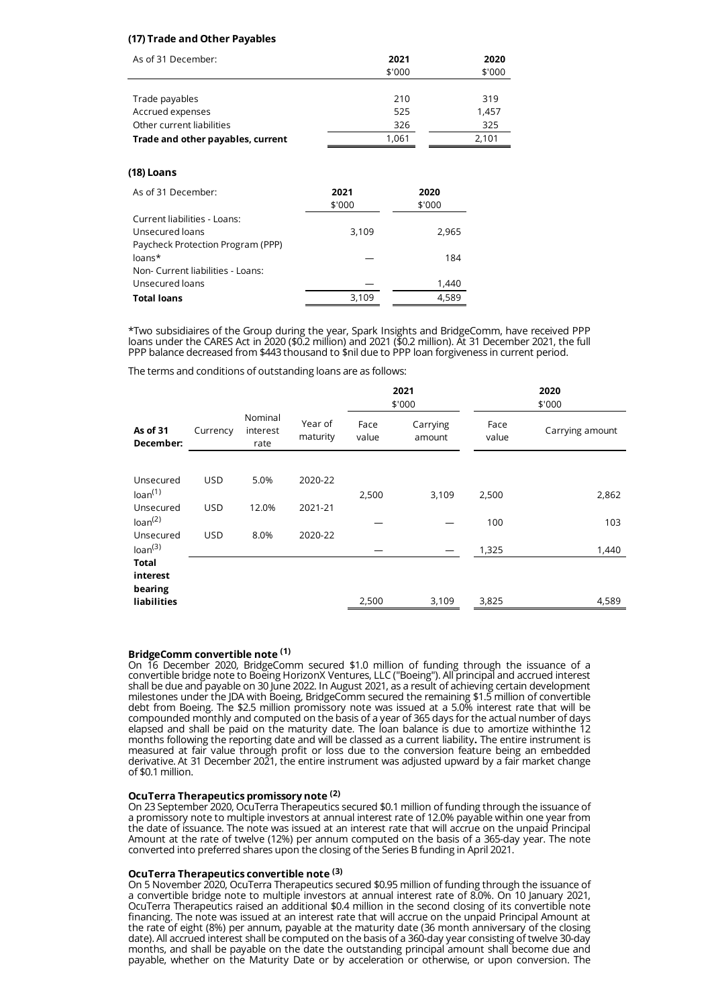# **(17) Trade and Other Payables**

| As of 31 December:                | 2021   | 2020   |
|-----------------------------------|--------|--------|
|                                   | \$'000 | \$'000 |
|                                   |        |        |
| Trade payables                    | 210    | 319    |
| Accrued expenses                  | 525    | 1,457  |
| Other current liabilities         | 326    | 325    |
| Trade and other payables, current | 1.061  | 2.101  |

# **(18) Loans**

| As of 31 December:                | 2021<br>\$'000 | 2020<br>\$'000 |
|-----------------------------------|----------------|----------------|
| Current liabilities - Loans:      |                |                |
| Unsecured loans                   | 3,109          | 2,965          |
| Paycheck Protection Program (PPP) |                |                |
| $loans*$                          |                | 184            |
| Non- Current liabilities - Loans: |                |                |
| Unsecured loans                   |                | 1,440          |
| <b>Total loans</b>                | 3,109          | 4.589          |

\*Two subsidiaires of the Group during the year, Spark Insights and BridgeComm, have received PPP loans under the CARES Act in 2020 (\$0.2 million) and 2021 (\$0.2 million). At 31 December 2021, the full PPP balance decreased from \$443 thousand to \$nil due to PPP loan forgiveness in current period.

The terms and conditions of outstanding loans are as follows:

|                                     |            |                             |                     |               | 2021<br>\$'000     |               | 2020<br>\$'000  |
|-------------------------------------|------------|-----------------------------|---------------------|---------------|--------------------|---------------|-----------------|
| As of 31<br>December:               | Currency   | Nominal<br>interest<br>rate | Year of<br>maturity | Face<br>value | Carrying<br>amount | Face<br>value | Carrying amount |
|                                     |            |                             |                     |               |                    |               |                 |
| Unsecured<br>Ioan <sup>(1)</sup>    | <b>USD</b> | 5.0%                        | 2020-22             | 2,500         | 3,109              | 2,500         | 2,862           |
| Unsecured<br>Ioan <sup>(2)</sup>    | <b>USD</b> | 12.0%                       | 2021-21             |               |                    | 100           | 103             |
| Unsecured<br>Ioan <sup>(3)</sup>    | <b>USD</b> | 8.0%                        | 2020-22             |               |                    | 1,325         | 1,440           |
| <b>Total</b><br>interest<br>bearing |            |                             |                     |               |                    |               |                 |
| liabilities                         |            |                             |                     | 2,500         | 3,109              | 3,825         | 4,589           |

# **BridgeComm convertible note (1)**

On 16 December 2020, BridgeComm secured \$1.0 million of funding through the issuance of a convertible bridge note to Boeing HorizonX Ventures, LLC ("Boeing"). All principal and accrued interest shall be due and payable on 30 June 2022. In August 2021, as a result of achieving certain development milestones under the JDA with Boeing, BridgeComm secured the remaining \$1.5 million of convertible debt from Boeing. The \$2.5 million promissory note was issued at a 5.0% interest rate that will be compounded monthly and computed on the basis of a year of 365 days for the actual number of days elapsed and shall be paid on the maturity date. The loan balance is due to amortize withinthe 12 months following the reporting date and will be classed as a current liability**.** The entire instrument is measured at fair value through profit or loss due to the conversion feature being an embedded derivative. At 31 December 2021, the entire instrument was adjusted upward by a fair market change of \$0.1 million.

# **OcuTerra Therapeutics promissory note (2)**

On 23 September 2020, OcuTerra Therapeutics secured \$0.1 million of funding through the issuance of a promissory note to multiple investors at annual interest rate of 12.0% payable within one year from the date of issuance. The note was issued at an interest rate that will accrue on the unpaid Principal Amount at the rate of twelve (12%) per annum computed on the basis of a 365-day year. The note converted into preferred shares upon the closing of the Series B funding in April 2021.

# **OcuTerra Therapeutics convertible note (3)**

On 5 November 2020, OcuTerra Therapeutics secured \$0.95 million of funding through the issuance of a convertible bridge note to multiple investors at annual interest rate of 8.0%. On 10 January 2021, OcuTerra Therapeutics raised an additional \$0.4 million in the second closing of its convertible note financing. The note was issued at an interest rate that will accrue on the unpaid Principal Amount at the rate of eight (8%) per annum, payable at the maturity date (36 month anniversary of the closing date). All accrued interest shall be computed on the basis of a 360-day year consisting of twelve 30-day months, and shall be payable on the date the outstanding principal amount shall become due and payable, whether on the Maturity Date or by acceleration or otherwise, or upon conversion. The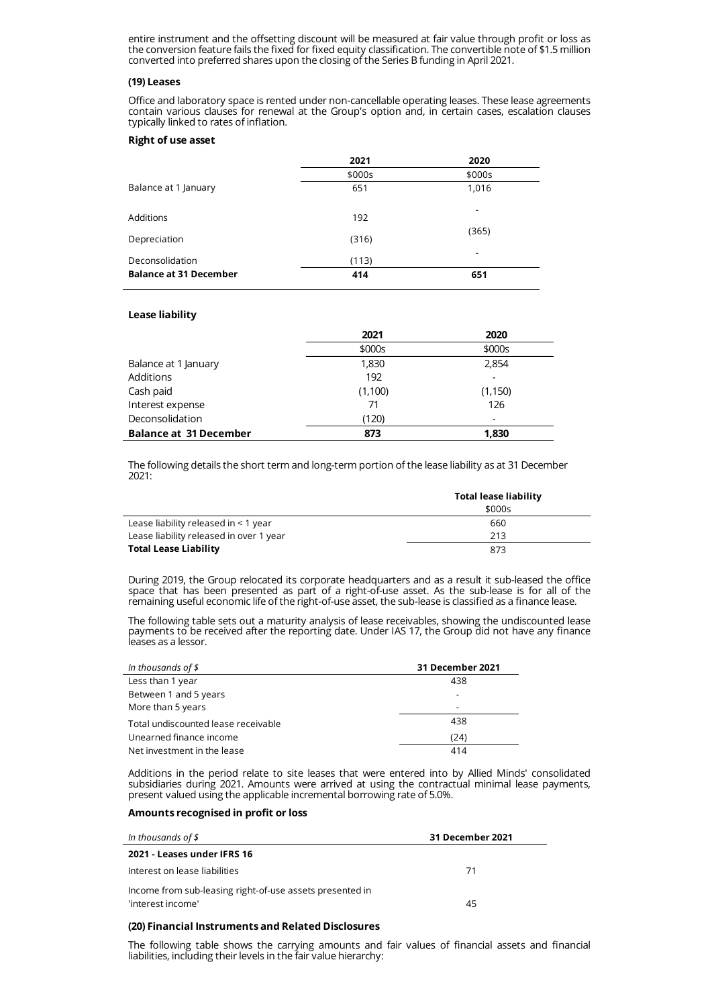entire instrument and the offsetting discount will be measured at fair value through profit or loss as the conversion feature fails the fixed for fixed equity classification. The convertible note of \$1.5 million converted into preferred shares upon the closing of the Series B funding in April 2021.

#### **(19) Leases**

Office and laboratory space is rented under non-cancellable operating leases. These lease agreements contain various clauses for renewal at the Group's option and, in certain cases, escalation clauses typically linked to rates of inflation.

### **Right of use asset**

|                               | 2021   | 2020   |
|-------------------------------|--------|--------|
|                               | \$000s | \$000s |
| Balance at 1 January          | 651    | 1,016  |
| Additions                     | 192    | -      |
| Depreciation                  | (316)  | (365)  |
| Deconsolidation               | (113)  |        |
| <b>Balance at 31 December</b> | 414    | 651    |

#### **Lease liability**

|                               | 2021    | 2020     |
|-------------------------------|---------|----------|
|                               | \$000s  | \$000s   |
| Balance at 1 January          | 1,830   | 2,854    |
| Additions                     | 192     |          |
| Cash paid                     | (1,100) | (1, 150) |
| Interest expense              | 71      | 126      |
| Deconsolidation               | (120)   | -        |
| <b>Balance at 31 December</b> | 873     | 1,830    |

The following details the short term and long-term portion of the lease liability as at 31 December 2021:

|                                         | <b>Total lease liability</b> |  |
|-----------------------------------------|------------------------------|--|
|                                         | \$000s                       |  |
| Lease liability released in $<$ 1 year  | 660                          |  |
| Lease liability released in over 1 year | 213                          |  |
| <b>Total Lease Liability</b>            | 873                          |  |

During 2019, the Group relocated its corporate headquarters and as a result it sub-leased the office space that has been presented as part of a right-of-use asset. As the sub-lease is for all of the remaining useful economic life of the right-of-use asset, the sub-lease is classified as a finance lease.

The following table sets out a maturity analysis of lease receivables, showing the undiscounted lease payments to be received after the reporting date. Under IAS 17, the Group did not have any finance leases as a lessor.

| In thousands of $$$                 | 31 December 2021 |
|-------------------------------------|------------------|
| Less than 1 year                    | 438              |
| Between 1 and 5 years               |                  |
| More than 5 years                   | ٠                |
| Total undiscounted lease receivable | 438              |
| Unearned finance income             | (24)             |
| Net investment in the lease         | 414              |

Additions in the period relate to site leases that were entered into by Allied Minds' consolidated subsidiaries during 2021. Amounts were arrived at using the contractual minimal lease payments, present valued using the applicable incremental borrowing rate of 5.0%.

### **Amounts recognised in profit or loss**

| In thousands of $\frac{2}{3}$                                                 | 31 December 2021 |  |
|-------------------------------------------------------------------------------|------------------|--|
| 2021 - Leases under IFRS 16                                                   |                  |  |
| Interest on lease liabilities                                                 | 71               |  |
| Income from sub-leasing right-of-use assets presented in<br>'interest income' | 45               |  |

# **(20) Financial Instruments and Related Disclosures**

The following table shows the carrying amounts and fair values of financial assets and financial liabilities, including their levels in the fair value hierarchy: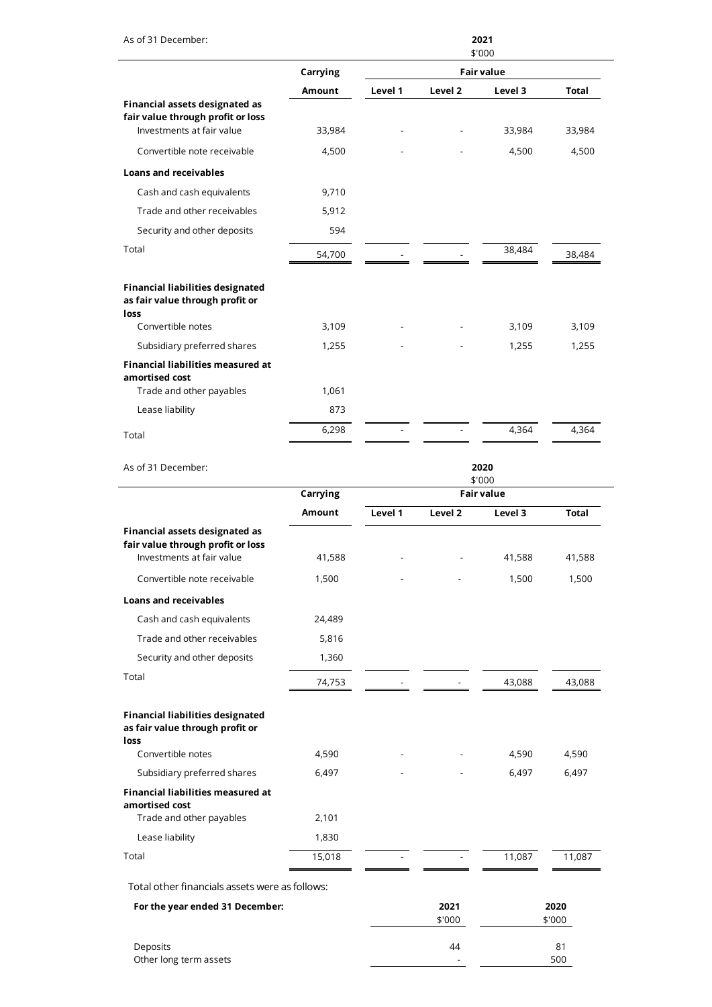| As of 31 December:                                                                               |          |                |                | 2021<br>\$'000    |                |
|--------------------------------------------------------------------------------------------------|----------|----------------|----------------|-------------------|----------------|
|                                                                                                  | Carrying |                |                | <b>Fair value</b> |                |
|                                                                                                  | Amount   | Level 1        | Level 2        | Level 3           | <b>Total</b>   |
| Financial assets designated as<br>fair value through profit or loss<br>Investments at fair value | 33,984   |                |                | 33,984            | 33,984         |
| Convertible note receivable                                                                      | 4,500    |                |                | 4,500             | 4,500          |
| <b>Loans and receivables</b>                                                                     |          |                |                |                   |                |
| Cash and cash equivalents                                                                        | 9,710    |                |                |                   |                |
| Trade and other receivables                                                                      | 5,912    |                |                |                   |                |
| Security and other deposits                                                                      | 594      |                |                |                   |                |
| Total                                                                                            | 54,700   |                |                | 38,484            | 38,484         |
| <b>Financial liabilities designated</b><br>as fair value through profit or                       |          |                |                |                   |                |
| loss<br>Convertible notes                                                                        | 3,109    |                |                | 3,109             | 3,109          |
| Subsidiary preferred shares                                                                      | 1,255    |                |                | 1,255             | 1,255          |
| <b>Financial liabilities measured at</b><br>amortised cost                                       |          |                |                |                   |                |
| Trade and other payables                                                                         | 1,061    |                |                |                   |                |
| Lease liability                                                                                  | 873      |                |                |                   |                |
| Total                                                                                            | 6,298    |                |                | 4,364             | 4,364          |
| As of 31 December:                                                                               |          | 2020<br>\$'000 |                |                   |                |
|                                                                                                  | Carrying |                |                | <b>Fair value</b> |                |
|                                                                                                  | Amount   | Level 1        | Level 2        | Level 3           | Total          |
| Financial assets designated as<br>fair value through profit or loss<br>Investments at fair value | 41,588   |                |                | 41,588            | 41,588         |
| Convertible note receivable                                                                      | 1,500    |                |                | 1,500             | 1,500          |
| <b>Loans and receivables</b>                                                                     |          |                |                |                   |                |
| Cash and cash equivalents                                                                        | 24,489   |                |                |                   |                |
| Trade and other receivables                                                                      | 5,816    |                |                |                   |                |
| Security and other deposits                                                                      | 1,360    |                |                |                   |                |
| Total                                                                                            | 74,753   |                |                | 43,088            | 43,088         |
| <b>Financial liabilities designated</b><br>as fair value through profit or<br>loss               |          |                |                |                   |                |
| Convertible notes                                                                                | 4,590    |                |                | 4,590             | 4,590          |
| Subsidiary preferred shares                                                                      | 6,497    |                |                | 6,497             | 6,497          |
| Financial liabilities measured at<br>amortised cost<br>Trade and other payables                  | 2,101    |                |                |                   |                |
| Lease liability                                                                                  | 1,830    |                |                |                   |                |
| Total                                                                                            | 15,018   |                |                | 11,087            | 11,087         |
| Total other financials assets were as follows:                                                   |          |                |                |                   |                |
| For the year ended 31 December:                                                                  |          |                | 2021<br>\$'000 |                   | 2020<br>\$'000 |
| Deposits<br>Other long term assets                                                               |          |                | 44             |                   | 81<br>500      |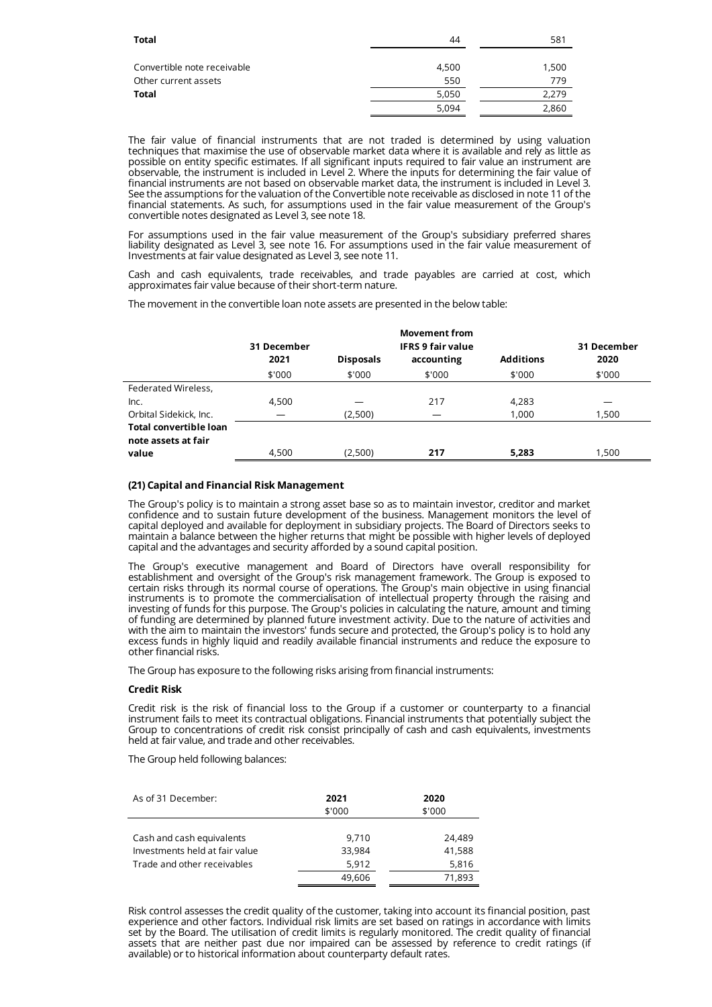| <b>Total</b>                | 44    | 581   |
|-----------------------------|-------|-------|
|                             |       |       |
| Convertible note receivable | 4,500 | 1,500 |
| Other current assets        | 550   | 779   |
| <b>Total</b>                | 5,050 | 2.279 |
|                             | 5,094 | 2,860 |

The fair value of financial instruments that are not traded is determined by using valuation techniques that maximise the use of observable market data where it is available and rely as little as possible on entity specific estimates. If all significant inputs required to fair value an instrument are observable, the instrument is included in Level 2. Where the inputs for determining the fair value of financial instruments are not based on observable market data, the instrument is included in Level 3. See the assumptions for the valuation of the Convertible note receivable as disclosed in note 11 of the financial statements. As such, for assumptions used in the fair value measurement of the Group's convertible notes designated as Level 3, see note 18.

For assumptions used in the fair value measurement of the Group's subsidiary preferred shares liability designated as Level 3, see note 16. For assumptions used in the fair value measurement of Investments at fair value designated as Level 3, see note 11.

Cash and cash equivalents, trade receivables, and trade payables are carried at cost, which approximates fair value because of their short-term nature.

The movement in the convertible loan note assets are presented in the below table:

|                               | 31 December<br>2021 | <b>Disposals</b> | <b>Movement from</b><br><b>IFRS 9 fair value</b><br>accounting | <b>Additions</b> | 31 December<br>2020 |
|-------------------------------|---------------------|------------------|----------------------------------------------------------------|------------------|---------------------|
|                               | \$'000              | \$'000           | \$'000                                                         | \$'000           | \$'000              |
| Federated Wireless,           |                     |                  |                                                                |                  |                     |
| Inc.                          | 4,500               |                  | 217                                                            | 4,283            |                     |
| Orbital Sidekick, Inc.        |                     | (2,500)          |                                                                | 1,000            | 1,500               |
| <b>Total convertible loan</b> |                     |                  |                                                                |                  |                     |
| note assets at fair           |                     |                  |                                                                |                  |                     |
| value                         | 4,500               | (2,500)          | 217                                                            | 5.283            | 1,500               |

# **(21) Capital and Financial Risk Management**

The Group's policy is to maintain a strong asset base so as to maintain investor, creditor and market confidence and to sustain future development of the business. Management monitors the level of capital deployed and available for deployment in subsidiary projects. The Board of Directors seeks to maintain a balance between the higher returns that might be possible with higher levels of deployed capital and the advantages and security afforded by a sound capital position.

The Group's executive management and Board of Directors have overall responsibility for establishment and oversight of the Group's risk management framework. The Group is exposed to certain risks through its normal course of operations. The Group's main objective in using financial instruments is to promote the commercialisation of intellectual property through the raising and investing of funds for this purpose. The Group's policies in calculating the nature, amount and timing of funding are determined by planned future investment activity. Due to the nature of activities and with the aim to maintain the investors' funds secure and protected, the Group's policy is to hold any excess funds in highly liquid and readily available financial instruments and reduce the exposure to other financial risks.

The Group has exposure to the following risks arising from financial instruments:

# **Credit Risk**

Credit risk is the risk of financial loss to the Group if a customer or counterparty to a financial instrument fails to meet its contractual obligations. Financial instruments that potentially subject the Group to concentrations of credit risk consist principally of cash and cash equivalents, investments held at fair value, and trade and other receivables.

The Group held following balances:

| As of 31 December:                                                                         | 2021<br>\$'000                     | 2020<br>\$'000                      |
|--------------------------------------------------------------------------------------------|------------------------------------|-------------------------------------|
| Cash and cash equivalents<br>Investments held at fair value<br>Trade and other receivables | 9.710<br>33,984<br>5,912<br>49,606 | 24.489<br>41,588<br>5,816<br>71,893 |

Risk control assesses the credit quality of the customer, taking into account its financial position, past experience and other factors. Individual risk limits are set based on ratings in accordance with limits set by the Board. The utilisation of credit limits is regularly monitored. The credit quality of financial assets that are neither past due nor impaired can be assessed by reference to credit ratings (if available) or to historical information about counterparty default rates.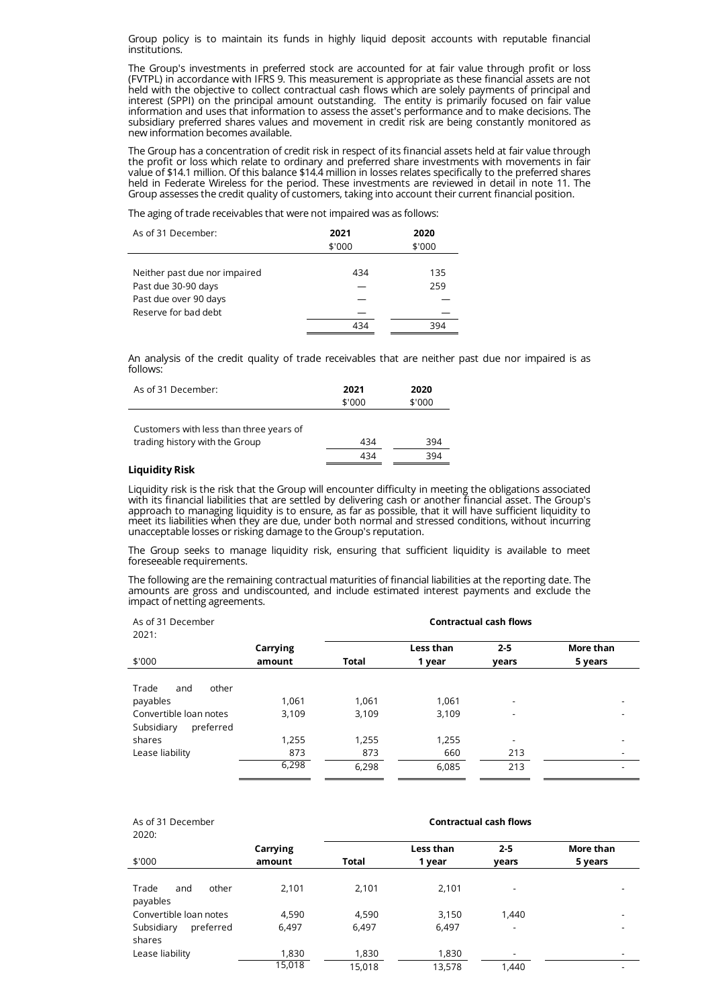Group policy is to maintain its funds in highly liquid deposit accounts with reputable financial institutions.

The Group's investments in preferred stock are accounted for at fair value through profit or loss (FVTPL) in accordance with IFRS 9. This measurement is appropriate as these financial assets are not held with the objective to collect contractual cash flows which are solely payments of principal and interest (SPPI) on the principal amount outstanding. The entity is primarily focused on fair value information and uses that information to assess the asset's performance and to make decisions. The subsidiary preferred shares values and movement in credit risk are being constantly monitored as new information becomes available.

The Group has a concentration of credit risk in respect of its financial assets held at fair value through the profit or loss which relate to ordinary and preferred share investments with movements in fair value of \$14.1 million. Of this balance \$14.4 million in losses relates specifically to the preferred shares held in Federate Wireless for the period. These investments are reviewed in detail in note 11. The Group assesses the credit quality of customers, taking into account their current financial position.

The aging of trade receivables that were not impaired was as follows:

| As of 31 December:            | 2021<br>\$'000 | 2020<br>\$'000 |
|-------------------------------|----------------|----------------|
|                               |                |                |
| Neither past due nor impaired | 434            | 135            |
| Past due 30-90 days           |                | 259            |
| Past due over 90 days         |                |                |
| Reserve for bad debt          |                |                |
|                               | 434            | 394            |

An analysis of the credit quality of trade receivables that are neither past due nor impaired is as follows:

| As of 31 December: | 2021   | 2020   |
|--------------------|--------|--------|
|                    | \$'000 | \$'000 |
|                    |        |        |

| Customers with less than three years of |     |     |
|-----------------------------------------|-----|-----|
| trading history with the Group          | 434 | 394 |
|                                         | 434 | 394 |

# **Liquidity Risk**

Liquidity risk is the risk that the Group will encounter difficulty in meeting the obligations associated with its financial liabilities that are settled by delivering cash or another financial asset. The Group's approach to managing liquidity is to ensure, as far as possible, that it will have sufficient liquidity to meet its liabilities when they are due, under both normal and stressed conditions, without incurring unacceptable losses or risking damage to the Group's reputation.

The Group seeks to manage liquidity risk, ensuring that sufficient liquidity is available to meet foreseeable requirements.

The following are the remaining contractual maturities of financial liabilities at the reporting date. The amounts are gross and undiscounted, and include estimated interest payments and exclude the impact of netting agreements.

| As of 31 December<br>2021:                                                             |                | <b>Contractual cash flows</b> |                |                                                              |           |
|----------------------------------------------------------------------------------------|----------------|-------------------------------|----------------|--------------------------------------------------------------|-----------|
|                                                                                        | Carrying       |                               | Less than      | $2 - 5$                                                      | More than |
| \$'000                                                                                 | amount         | <b>Total</b>                  | 1 year         | years                                                        | 5 years   |
| Trade<br>other<br>and<br>payables<br>Convertible loan notes<br>Subsidiary<br>preferred | 1,061<br>3,109 | 1,061<br>3,109                | 1,061<br>3,109 | $\qquad \qquad \blacksquare$<br>$\qquad \qquad \blacksquare$ |           |
| shares                                                                                 | 1,255          | 1,255                         | 1,255          | $\qquad \qquad \blacksquare$                                 |           |
| Lease liability                                                                        | 873            | 873                           | 660            | 213                                                          |           |
|                                                                                        | 6,298          | 6,298                         | 6.085          | 213                                                          |           |

| As of 31 December<br>2020:        |          | <b>Contractual cash flows</b> |           |                          |           |
|-----------------------------------|----------|-------------------------------|-----------|--------------------------|-----------|
|                                   | Carrying |                               | Less than | $2 - 5$                  | More than |
| \$'000                            | amount   | Total                         | 1 year    | years                    | 5 years   |
| other<br>Trade<br>and<br>payables | 2,101    | 2,101                         | 2,101     | ٠                        |           |
| Convertible loan notes            | 4,590    | 4,590                         | 3,150     | 1,440                    |           |
| Subsidiary<br>preferred<br>shares | 6.497    | 6.497                         | 6,497     | $\overline{\phantom{a}}$ |           |
| Lease liability                   | 1,830    | 1,830                         | 1,830     | $\overline{\phantom{a}}$ |           |
|                                   | 15,018   | 15,018                        | 13,578    | 1,440                    |           |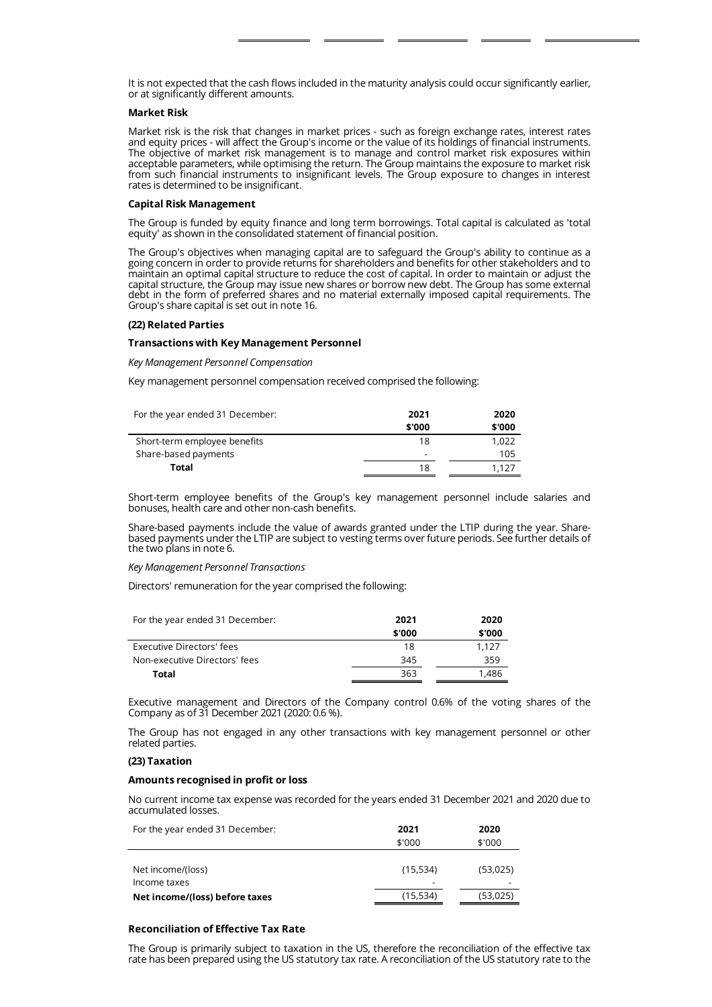It is not expected that the cash flows included in the maturity analysis could occur significantly earlier, or at significantly different amounts.

# **Market Risk**

Market risk is the risk that changes in market prices - such as foreign exchange rates, interest rates and equity prices - will affect the Group's income or the value of its holdings of financial instruments. The objective of market risk management is to manage and control market risk exposures within acceptable parameters, while optimising the return. The Group maintains the exposure to market risk from such financial instruments to insignificant levels. The Group exposure to changes in interest rates is determined to be insignificant.

# **Capital Risk Management**

The Group is funded by equity finance and long term borrowings. Total capital is calculated as 'total equity' as shown in the consolidated statement of financial position.

The Group's objectives when managing capital are to safeguard the Group's ability to continue as a going concern in order to provide returns for shareholders and benefits for other stakeholders and to maintain an optimal capital structure to reduce the cost of capital. In order to maintain or adjust the capital structure, the Group may issue new shares or borrow new debt. The Group has some external debt in the form of preferred shares and no material externally imposed capital requirements. The Group's share capital is set out in note 16.

#### **(22) Related Parties**

#### **Transactions with Key Management Personnel**

*Key Management Personnel Compensation*

Key management personnel compensation received comprised the following:

| For the year ended 31 December: | 2021                     | 2020   |
|---------------------------------|--------------------------|--------|
|                                 | \$'000                   | \$'000 |
| Short-term employee benefits    | 18                       | 1.022  |
| Share-based payments            | $\overline{\phantom{a}}$ | 105    |
| Total                           | 18                       | 1.127  |

Short-term employee benefits of the Group's key management personnel include salaries and bonuses, health care and other non-cash benefits.

Share-based payments include the value of awards granted under the LTIP during the year. Sharebased payments under the LTIP are subject to vesting terms over future periods. See further details of the two plans in note 6.

# *Key Management Personnel Transactions*

Directors' remuneration for the year comprised the following:

| For the year ended 31 December: | 2021   | 2020   |
|---------------------------------|--------|--------|
|                                 | \$'000 | \$'000 |
| Executive Directors' fees       | 18     | 1.127  |
| Non-executive Directors' fees   | 345    | 359    |
| Total                           | 363    | 1.486  |

Executive management and Directors of the Company control 0.6% of the voting shares of the Company as of 31 December 2021 (2020: 0.6 %).

The Group has not engaged in any other transactions with key management personnel or other related parties.

#### **(23) Taxation**

# **Amounts recognised in profit or loss**

No current income tax expense was recorded for the years ended 31 December 2021 and 2020 due to accumulated losses.

| For the year ended 31 December: | 2021     | 2020     |
|---------------------------------|----------|----------|
|                                 | \$'000   | \$'000   |
|                                 |          |          |
| Net income/(loss)               | (15,534) | (53,025) |
| Income taxes                    | -        |          |
| Net income/(loss) before taxes  | (15,534) | (53,025) |
|                                 |          |          |

# **Reconciliation of Effective Tax Rate**

The Group is primarily subject to taxation in the US, therefore the reconciliation of the effective tax rate has been prepared using the US statutory tax rate. A reconciliation of the US statutory rate to the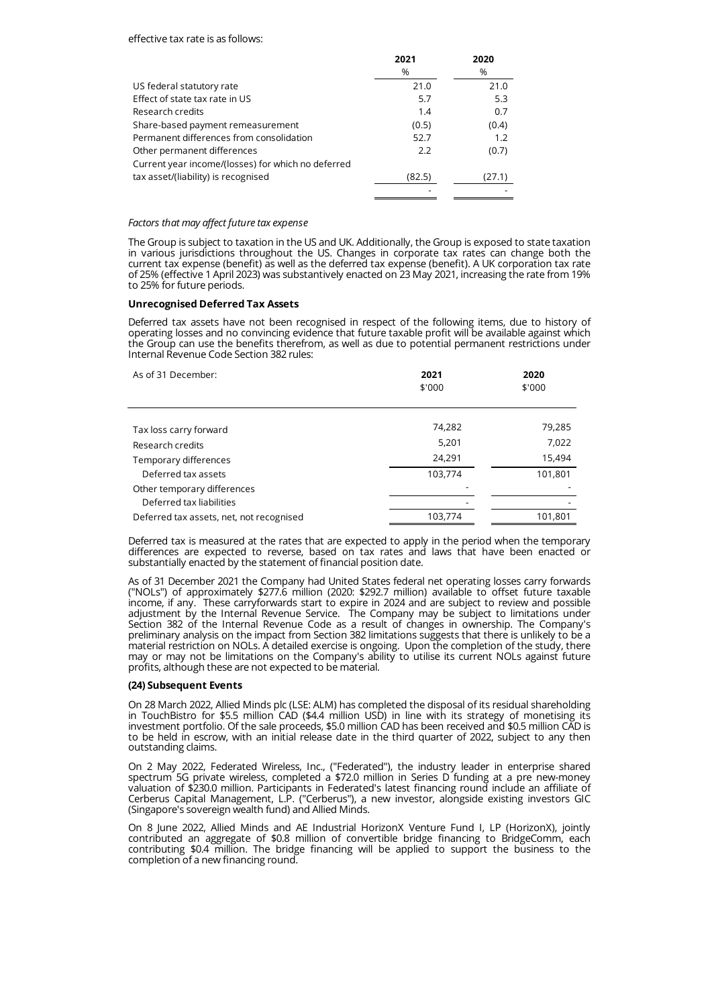### effective tax rate is as follows:

|                                                    | 2021   | 2020   |
|----------------------------------------------------|--------|--------|
|                                                    | %      | %      |
| US federal statutory rate                          | 21.0   | 21.0   |
| Effect of state tax rate in US                     | 5.7    | 5.3    |
| Research credits                                   | 1.4    | 0.7    |
| Share-based payment remeasurement                  | (0.5)  | (0.4)  |
| Permanent differences from consolidation           | 52.7   | 1.2    |
| Other permanent differences                        | 2.2    | (0.7)  |
| Current year income/(losses) for which no deferred |        |        |
| tax asset/(liability) is recognised                | (82.5) | (27.1) |
|                                                    |        |        |

#### *Factors that may affect future tax expense*

The Group is subject to taxation in the US and UK. Additionally, the Group is exposed to state taxation in various jurisdictions throughout the US. Changes in corporate tax rates can change both the current tax expense (benefit) as well as the deferred tax expense (benefit). A UK corporation tax rate of 25% (effective 1 April 2023) was substantively enacted on 23 May 2021, increasing the rate from 19% to 25% for future periods.

#### **Unrecognised Deferred Tax Assets**

Deferred tax assets have not been recognised in respect of the following items, due to history of operating losses and no convincing evidence that future taxable profit will be available against which the Group can use the benefits therefrom, as well as due to potential permanent restrictions under Internal Revenue Code Section 382 rules:

| As of 31 December:                       | 2021<br>\$'000 | 2020<br>\$'000 |  |
|------------------------------------------|----------------|----------------|--|
| Tax loss carry forward                   | 74,282         | 79,285         |  |
| Research credits                         | 5,201          | 7,022          |  |
| Temporary differences                    | 24,291         | 15,494         |  |
| Deferred tax assets                      | 103,774        | 101,801        |  |
| Other temporary differences              |                |                |  |
| Deferred tax liabilities                 |                |                |  |
| Deferred tax assets, net, not recognised | 103,774        | 101,801        |  |

Deferred tax is measured at the rates that are expected to apply in the period when the temporary differences are expected to reverse, based on tax rates and laws that have been enacted or substantially enacted by the statement of financial position date.

As of 31 December 2021 the Company had United States federal net operating losses carry forwards ("NOLs") of approximately \$277.6 million (2020: \$292.7 million) available to offset future taxable income, if any. These carryforwards start to expire in 2024 and are subject to review and possible adjustment by the Internal Revenue Service. The Company may be subject to limitations under Section 382 of the Internal Revenue Code as a result of changes in ownership. The Company's preliminary analysis on the impact from Section 382 limitations suggests that there is unlikely to be a material restriction on NOLs. A detailed exercise is ongoing. Upon the completion of the study, there may or may not be limitations on the Company's ability to utilise its current NOLs against future profits, although these are not expected to be material.

# **(24) Subsequent Events**

On 28 March 2022, Allied Minds plc (LSE: ALM) has completed the disposal of its residual shareholding in TouchBistro for \$5.5 million CAD (\$4.4 million USD) in line with its strategy of monetising its investment portfolio. Of the sale proceeds, \$5.0 million CAD has been received and \$0.5 million CAD is to be held in escrow, with an initial release date in the third quarter of 2022, subject to any then outstanding claims.

On 2 May 2022, Federated Wireless, Inc., ("Federated"), the industry leader in enterprise shared spectrum 5G private wireless, completed a \$72.0 million in Series D funding at a pre new-money valuation of \$230.0 million. Participants in Federated's latest financing round include an affiliate of Cerberus Capital Management, L.P. ("Cerberus"), a new investor, alongside existing investors GIC (Singapore's sovereign wealth fund) and Allied Minds.

On 8 June 2022, Allied Minds and AE Industrial HorizonX Venture Fund I, LP (HorizonX), jointly contributed an aggregate of \$0.8 million of convertible bridge financing to BridgeComm, each contributing \$0.4 million. The bridge financing will be applied to support the business to the completion of a new financing round.